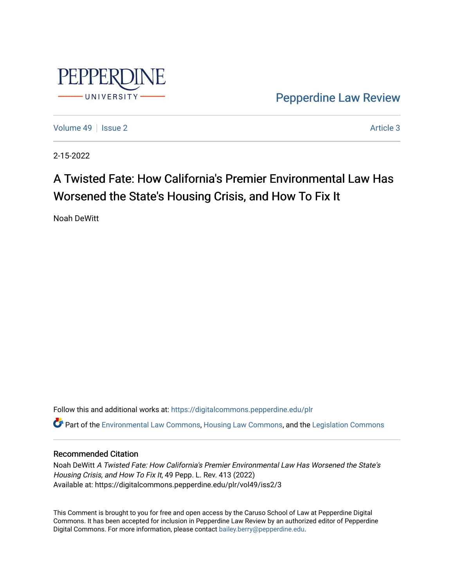

[Pepperdine Law Review](https://digitalcommons.pepperdine.edu/plr) 

[Volume 49](https://digitalcommons.pepperdine.edu/plr/vol49) | [Issue 2](https://digitalcommons.pepperdine.edu/plr/vol49/iss2) Article 3

2-15-2022

# A Twisted Fate: How California's Premier Environmental Law Has Worsened the State's Housing Crisis, and How To Fix It

Noah DeWitt

Follow this and additional works at: [https://digitalcommons.pepperdine.edu/plr](https://digitalcommons.pepperdine.edu/plr?utm_source=digitalcommons.pepperdine.edu%2Fplr%2Fvol49%2Fiss2%2F3&utm_medium=PDF&utm_campaign=PDFCoverPages) Part of the [Environmental Law Commons](http://network.bepress.com/hgg/discipline/599?utm_source=digitalcommons.pepperdine.edu%2Fplr%2Fvol49%2Fiss2%2F3&utm_medium=PDF&utm_campaign=PDFCoverPages), [Housing Law Commons](http://network.bepress.com/hgg/discipline/846?utm_source=digitalcommons.pepperdine.edu%2Fplr%2Fvol49%2Fiss2%2F3&utm_medium=PDF&utm_campaign=PDFCoverPages), and the [Legislation Commons](http://network.bepress.com/hgg/discipline/859?utm_source=digitalcommons.pepperdine.edu%2Fplr%2Fvol49%2Fiss2%2F3&utm_medium=PDF&utm_campaign=PDFCoverPages) 

# Recommended Citation

Noah DeWitt A Twisted Fate: How California's Premier Environmental Law Has Worsened the State's Housing Crisis, and How To Fix It, 49 Pepp. L. Rev. 413 (2022) Available at: https://digitalcommons.pepperdine.edu/plr/vol49/iss2/3

This Comment is brought to you for free and open access by the Caruso School of Law at Pepperdine Digital Commons. It has been accepted for inclusion in Pepperdine Law Review by an authorized editor of Pepperdine Digital Commons. For more information, please contact [bailey.berry@pepperdine.edu.](mailto:bailey.berry@pepperdine.edu)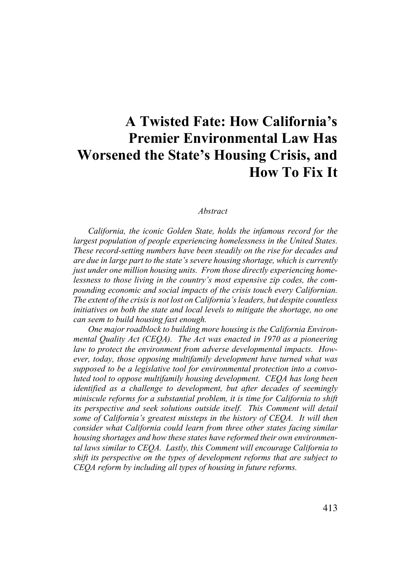# **A Twisted Fate: How California's Premier Environmental Law Has Worsened the State's Housing Crisis, and How To Fix It**

#### *Abstract*

*California, the iconic Golden State, holds the infamous record for the largest population of people experiencing homelessness in the United States. These record-setting numbers have been steadily on the rise for decades and are due in large part to the state's severe housing shortage, which is currently just under one million housing units. From those directly experiencing homelessness to those living in the country's most expensive zip codes, the compounding economic and social impacts of the crisis touch every Californian. The extent of the crisis is not lost on California's leaders, but despite countless initiatives on both the state and local levels to mitigate the shortage, no one can seem to build housing fast enough.*

*One major roadblock to building more housing is the California Environmental Quality Act (CEQA). The Act was enacted in 1970 as a pioneering law to protect the environment from adverse developmental impacts. However, today, those opposing multifamily development have turned what was supposed to be a legislative tool for environmental protection into a convoluted tool to oppose multifamily housing development. CEQA has long been identified as a challenge to development, but after decades of seemingly miniscule reforms for a substantial problem, it is time for California to shift its perspective and seek solutions outside itself. This Comment will detail some of California's greatest missteps in the history of CEQA. It will then consider what California could learn from three other states facing similar housing shortages and how these states have reformed their own environmental laws similar to CEQA. Lastly, this Comment will encourage California to shift its perspective on the types of development reforms that are subject to CEQA reform by including all types of housing in future reforms.*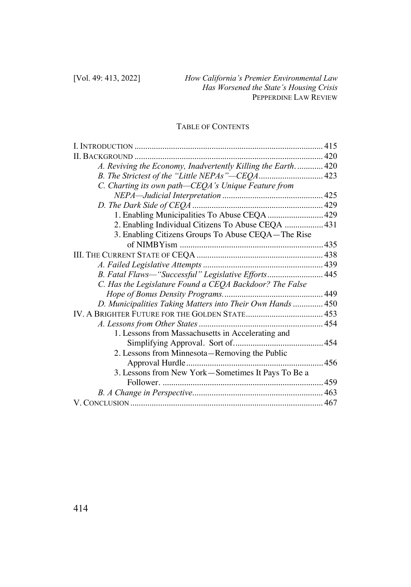# TABLE OF CONTENTS

| A. Reviving the Economy, Inadvertently Killing the Earth.  420<br>C. Charting its own path-CEQA's Unique Feature from<br>1. Enabling Municipalities To Abuse CEQA  429<br>2. Enabling Individual Citizens To Abuse CEQA  431<br>3. Enabling Citizens Groups To Abuse CEQA—The Rise<br>B. Fatal Flaws-"Successful" Legislative Efforts 445<br>C. Has the Legislature Found a CEQA Backdoor? The False<br>D. Municipalities Taking Matters into Their Own Hands  450<br>1. Lessons from Massachusetts in Accelerating and<br>2. Lessons from Minnesota—Removing the Public<br>3. Lessons from New York-Sometimes It Pays To Be a |  |
|--------------------------------------------------------------------------------------------------------------------------------------------------------------------------------------------------------------------------------------------------------------------------------------------------------------------------------------------------------------------------------------------------------------------------------------------------------------------------------------------------------------------------------------------------------------------------------------------------------------------------------|--|
|                                                                                                                                                                                                                                                                                                                                                                                                                                                                                                                                                                                                                                |  |
|                                                                                                                                                                                                                                                                                                                                                                                                                                                                                                                                                                                                                                |  |
|                                                                                                                                                                                                                                                                                                                                                                                                                                                                                                                                                                                                                                |  |
|                                                                                                                                                                                                                                                                                                                                                                                                                                                                                                                                                                                                                                |  |
|                                                                                                                                                                                                                                                                                                                                                                                                                                                                                                                                                                                                                                |  |
|                                                                                                                                                                                                                                                                                                                                                                                                                                                                                                                                                                                                                                |  |
|                                                                                                                                                                                                                                                                                                                                                                                                                                                                                                                                                                                                                                |  |
|                                                                                                                                                                                                                                                                                                                                                                                                                                                                                                                                                                                                                                |  |
|                                                                                                                                                                                                                                                                                                                                                                                                                                                                                                                                                                                                                                |  |
|                                                                                                                                                                                                                                                                                                                                                                                                                                                                                                                                                                                                                                |  |
|                                                                                                                                                                                                                                                                                                                                                                                                                                                                                                                                                                                                                                |  |
|                                                                                                                                                                                                                                                                                                                                                                                                                                                                                                                                                                                                                                |  |
|                                                                                                                                                                                                                                                                                                                                                                                                                                                                                                                                                                                                                                |  |
|                                                                                                                                                                                                                                                                                                                                                                                                                                                                                                                                                                                                                                |  |
|                                                                                                                                                                                                                                                                                                                                                                                                                                                                                                                                                                                                                                |  |
|                                                                                                                                                                                                                                                                                                                                                                                                                                                                                                                                                                                                                                |  |
|                                                                                                                                                                                                                                                                                                                                                                                                                                                                                                                                                                                                                                |  |
|                                                                                                                                                                                                                                                                                                                                                                                                                                                                                                                                                                                                                                |  |
|                                                                                                                                                                                                                                                                                                                                                                                                                                                                                                                                                                                                                                |  |
|                                                                                                                                                                                                                                                                                                                                                                                                                                                                                                                                                                                                                                |  |
|                                                                                                                                                                                                                                                                                                                                                                                                                                                                                                                                                                                                                                |  |
|                                                                                                                                                                                                                                                                                                                                                                                                                                                                                                                                                                                                                                |  |
|                                                                                                                                                                                                                                                                                                                                                                                                                                                                                                                                                                                                                                |  |
|                                                                                                                                                                                                                                                                                                                                                                                                                                                                                                                                                                                                                                |  |
|                                                                                                                                                                                                                                                                                                                                                                                                                                                                                                                                                                                                                                |  |
|                                                                                                                                                                                                                                                                                                                                                                                                                                                                                                                                                                                                                                |  |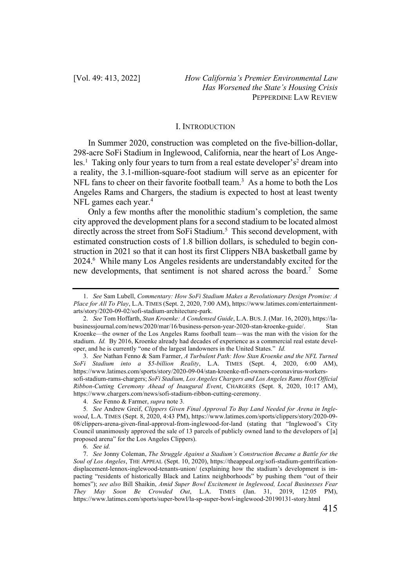#### I. INTRODUCTION

In Summer 2020, construction was completed on the five-billion-dollar, 298-acre SoFi Stadium in Inglewood, California, near the heart of Los Angeles.<sup>1</sup> Taking only four years to turn from a real estate developer's<sup>2</sup> dream into a reality, the 3.1-million-square-foot stadium will serve as an epicenter for NFL fans to cheer on their favorite football team.<sup>3</sup> As a home to both the Los Angeles Rams and Chargers, the stadium is expected to host at least twenty NFL games each year.<sup>4</sup>

Only a few months after the monolithic stadium's completion, the same city approved the development plans for a second stadium to be located almost directly across the street from SoFi Stadium.<sup>5</sup> This second development, with estimated construction costs of 1.8 billion dollars, is scheduled to begin construction in 2021 so that it can host its first Clippers NBA basketball game by 2024.6 While many Los Angeles residents are understandably excited for the new developments, that sentiment is not shared across the board.7 Some

3. *See* Nathan Fenno & Sam Farmer, *A Turbulent Path: How Stan Kroenke and the NFL Turned SoFi Stadium into a \$5-billion Reality*, L.A. TIMES (Sept. 4, 2020, 6:00 AM), https://www.latimes.com/sports/story/2020-09-04/stan-kroenke-nfl-owners-coronavirus-workerssofi-stadium-rams-chargers; *SoFi Stadium, Los Angeles Chargers and Los Angeles Rams Host Official Ribbon-Cutting Ceremony Ahead of Inaugural Event*, CHARGERS (Sept. 8, 2020, 10:17 AM), https://www.chargers.com/news/sofi-stadium-ribbon-cutting-ceremony.

4. *See* Fenno & Farmer, *supra* note 3*.* 

6. *See id.*

<sup>1.</sup> *See* Sam Lubell, *Commentary: How SoFi Stadium Makes a Revolutionary Design Promise: A Place for All To Play*, L.A. TIMES (Sept. 2, 2020, 7:00 AM), https://www.latimes.com/entertainmentarts/story/2020-09-02/sofi-stadium-architecture-park.

<sup>2.</sup> *See* Tom Hoffarth, *Stan Kroenke: A Condensed Guide*, L.A. BUS.J. (Mar. 16, 2020), https://labusinessjournal.com/news/2020/mar/16/business-person-year-2020-stan-kroenke-guide/. Stan Kroenke—the owner of the Los Angeles Rams football team—was the man with the vision for the stadium. *Id.* By 2016, Kroenke already had decades of experience as a commercial real estate developer, and he is currently "one of the largest landowners in the United States." *Id.*

<sup>5</sup>*. See* Andrew Greif, *Clippers Given Final Approval To Buy Land Needed for Arena in Inglewood*, L.A. TIMES (Sept. 8, 2020, 4:43 PM), https://www.latimes.com/sports/clippers/story/2020-09- 08/clippers-arena-given-final-approval-from-inglewood-for-land (stating that "Inglewood's City Council unanimously approved the sale of 13 parcels of publicly owned land to the developers of [a] proposed arena" for the Los Angeles Clippers).

<sup>7.</sup> *See* Jonny Coleman, *The Struggle Against a Stadium's Construction Became a Battle for the Soul of Los Angeles*, THE APPEAL (Sept. 10, 2020), https://theappeal.org/sofi-stadium-gentrificationdisplacement-lennox-inglewood-tenants-union/ (explaining how the stadium's development is impacting "residents of historically Black and Latinx neighborhoods" by pushing them "out of their homes"); *see also* Bill Shaikin, *Amid Super Bowl Excitement in Inglewood, Local Businesses Fear They May Soon Be Crowded Out*, L.A. TIMES (Jan. 31, 2019, 12:05 PM), https://www.latimes.com/sports/super-bowl/la-sp-super-bowl-inglewood-20190131-story.html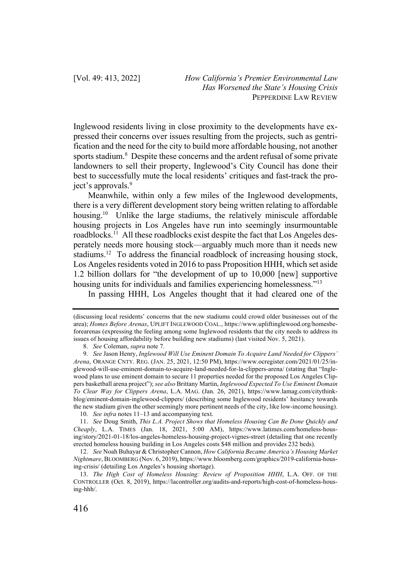Inglewood residents living in close proximity to the developments have expressed their concerns over issues resulting from the projects, such as gentrification and the need for the city to build more affordable housing, not another sports stadium.<sup>8</sup> Despite these concerns and the ardent refusal of some private landowners to sell their property, Inglewood's City Council has done their best to successfully mute the local residents' critiques and fast-track the project's approvals.<sup>9</sup>

Meanwhile, within only a few miles of the Inglewood developments, there is a very different development story being written relating to affordable housing.<sup>10</sup> Unlike the large stadiums, the relatively miniscule affordable housing projects in Los Angeles have run into seemingly insurmountable roadblocks.11 All these roadblocks exist despite the fact that Los Angeles desperately needs more housing stock—arguably much more than it needs new stadiums.12 To address the financial roadblock of increasing housing stock, Los Angeles residents voted in 2016 to pass Proposition HHH, which set aside 1.2 billion dollars for "the development of up to 10,000 [new] supportive housing units for individuals and families experiencing homelessness."<sup>13</sup>

In passing HHH, Los Angeles thought that it had cleared one of the

<sup>(</sup>discussing local residents' concerns that the new stadiums could crowd older businesses out of the area); *Homes Before Arenas*, UPLIFT INGLEWOOD COAL., https://www.upliftinglewood.org/homesbeforearenas (expressing the feeling among some Inglewood residents that the city needs to address its issues of housing affordability before building new stadiums) (last visited Nov. 5, 2021).

<sup>8.</sup> *See* Coleman, *supra* note 7.

<sup>9.</sup> *See* Jason Henry, *Inglewood Will Use Eminent Domain To Acquire Land Needed for Clippers' Arena*, ORANGE CNTY. REG. (JAN. 25, 2021, 12:50 PM), https://www.ocregister.com/2021/01/25/inglewood-will-use-eminent-domain-to-acquire-land-needed-for-la-clippers-arena/ (stating that "Inglewood plans to use eminent domain to secure 11 properties needed for the proposed Los Angeles Clippers basketball arena project"); *see also* Brittany Martin, *Inglewood Expected To Use Eminent Domain To Clear Way for Clippers Arena*, L.A. MAG. (Jan. 26, 2021), https://www.lamag.com/citythinkblog/eminent-domain-inglewood-clippers/ (describing some Inglewood residents' hesitancy towards the new stadium given the other seemingly more pertinent needs of the city, like low-income housing).

<sup>10.</sup> *See infra* notes 11–13 and accompanying text.

<sup>11.</sup> *See* Doug Smith, *This L.A. Project Shows that Homeless Housing Can Be Done Quickly and Cheaply*, L.A. TIMES (Jan. 18, 2021, 5:00 AM), https://www.latimes.com/homeless-housing/story/2021-01-18/los-angeles-homeless-housing-project-vignes-street (detailing that one recently erected homeless housing building in Los Angeles costs \$48 million and provides 232 beds).

<sup>12.</sup> *See* Noah Buhayar & Christopher Cannon, *How California Became America's Housing Market Nightmare*, BLOOMBERG (Nov. 6, 2019), https://www.bloomberg.com/graphics/2019-california-housing-crisis/ (detailing Los Angeles's housing shortage).

<sup>13.</sup> *The High Cost of Homeless Housing: Review of Proposition HHH*, L.A. OFF. OF THE CONTROLLER (Oct. 8, 2019), https://lacontroller.org/audits-and-reports/high-cost-of-homeless-housing-hhh/.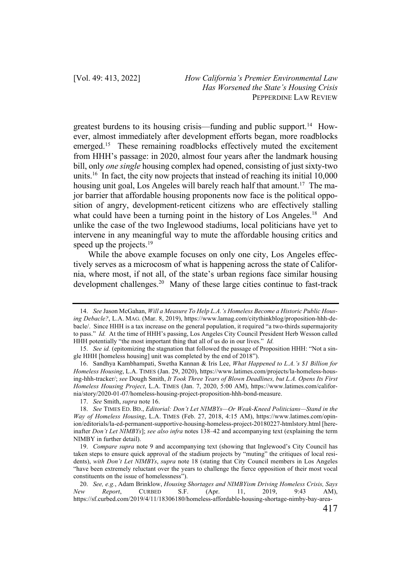greatest burdens to its housing crisis—funding and public support.<sup>14</sup> However, almost immediately after development efforts began, more roadblocks emerged.<sup>15</sup> These remaining roadblocks effectively muted the excitement from HHH's passage: in 2020, almost four years after the landmark housing bill, only *one single* housing complex had opened, consisting of just sixty-two units.16 In fact, the city now projects that instead of reaching its initial 10,000 housing unit goal, Los Angeles will barely reach half that amount.<sup>17</sup> The major barrier that affordable housing proponents now face is the political opposition of angry, development-reticent citizens who are effectively stalling what could have been a turning point in the history of Los Angeles.<sup>18</sup> And unlike the case of the two Inglewood stadiums, local politicians have yet to intervene in any meaningful way to mute the affordable housing critics and speed up the projects.<sup>19</sup>

While the above example focuses on only one city, Los Angeles effectively serves as a microcosm of what is happening across the state of California, where most, if not all, of the state's urban regions face similar housing development challenges.<sup>20</sup> Many of these large cities continue to fast-track

17. *See* Smith, *supra* note 16.

<sup>14.</sup> *See* Jason McGahan, *Will a Measure To Help L.A.'s Homeless Become a Historic Public Housing Debacle?*, L.A. MAG. (Mar. 8, 2019), https://www.lamag.com/citythinkblog/proposition-hhh-debacle/. Since HHH is a tax increase on the general population, it required "a two-thirds supermajority to pass." *Id.* At the time of HHH's passing, Los Angeles City Council President Herb Wesson called HHH potentially "the most important thing that all of us do in our lives." *Id.*

<sup>15.</sup> *See id.* (epitomizing the stagnation that followed the passage of Proposition HHH: "Not a single HHH [homeless housing] unit was completed by the end of 2018").

<sup>16.</sup> Sandhya Kambhampati, Swetha Kannan & Iris Lee, *What Happened to L.A.'s \$1 Billion for Homeless Housing*, L.A. TIMES (Jan. 29, 2020), https://www.latimes.com/projects/la-homeless-housing-hhh-tracker/; *see* Dough Smith, *It Took Three Years of Blown Deadlines, but L.A. Opens Its First Homeless Housing Project*, L.A. TIMES (Jan. 7, 2020, 5:00 AM), https://www.latimes.com/california/story/2020-01-07/homeless-housing-project-proposition-hhh-bond-measure.

<sup>18.</sup> *See* TIMES ED. BD., *Editorial: Don't Let NIMBYs—Or Weak-Kneed Politicians—Stand in the Way of Homeless Housing*, L.A. TIMES (Feb. 27, 2018, 4:15 AM), https://www.latimes.com/opinion/editorials/la-ed-permanent-supportive-housing-homeless-project-20180227-htmlstory.html [hereinafter *Don't Let NIMBYs*]; *see also infra* notes 138–42 and accompanying text (explaining the term NIMBY in further detail).

<sup>19.</sup> *Compare supra* note 9 and accompanying text (showing that Inglewood's City Council has taken steps to ensure quick approval of the stadium projects by "muting" the critiques of local residents), *with Don't Let NIMBYs*, *supra* note 18 (stating that City Council members in Los Angeles "have been extremely reluctant over the years to challenge the fierce opposition of their most vocal constituents on the issue of homelessness").

<sup>20.</sup> *See, e.g.*, Adam Brinklow, *Housing Shortages and NIMBYism Driving Homeless Crisis, Says New Report*, CURBED S.F. (Apr. 11, 2019, 9:43 AM), https://sf.curbed.com/2019/4/11/18306180/homeless-affordable-housing-shortage-nimby-bay-area-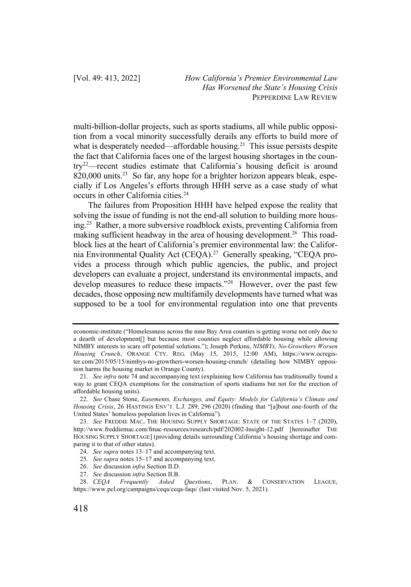multi-billion-dollar projects, such as sports stadiums, all while public opposition from a vocal minority successfully derails any efforts to build more of what is desperately needed—affordable housing.<sup>21</sup> This issue persists despite the fact that California faces one of the largest housing shortages in the country22—recent studies estimate that California's housing deficit is around 820,000 units.<sup>23</sup> So far, any hope for a brighter horizon appears bleak, especially if Los Angeles's efforts through HHH serve as a case study of what occurs in other California cities.24

The failures from Proposition HHH have helped expose the reality that solving the issue of funding is not the end-all solution to building more housing.25 Rather, a more subversive roadblock exists, preventing California from making sufficient headway in the area of housing development.<sup>26</sup> This roadblock lies at the heart of California's premier environmental law: the California Environmental Quality Act (CEQA).27 Generally speaking, "CEQA provides a process through which public agencies, the public, and project developers can evaluate a project, understand its environmental impacts, and develop measures to reduce these impacts."<sup>28</sup> However, over the past few decades, those opposing new multifamily developments have turned what was supposed to be a tool for environmental regulation into one that prevents

economic-institute ("Homelessness across the nine Bay Area counties is getting worse not only due to a dearth of development[] but because most counties neglect affordable housing while allowing NIMBY interests to scare off potential solutions."); Joseph Perkins, *NIMBYs, No-Growthers Worsen Housing Crunch*, ORANGE CTY. REG. (May 15, 2015, 12:00 AM), https://www.ocregister.com/2015/05/15/nimbys-no-growthers-worsen-housing-crunch/ (detailing how NIMBY opposition harms the housing market in Orange County).

<sup>21.</sup> *See infra* note 74 and accompanying text (explaining how California has traditionally found a way to grant CEQA exemptions for the construction of sports stadiums but not for the erection of affordable housing units).

<sup>22.</sup> *See* Chase Stone, *Easements, Exchanges, and Equity: Models for California's Climate and Housing Crisis*, 26 HASTINGS ENV'T. L.J. 289, 296 (2020) (finding that "[a]bout one-fourth of the United States' homeless population lives in California").

<sup>23.</sup> *See* FREDDIE MAC, THE HOUSING SUPPLY SHORTAGE: STATE OF THE STATES 1–7 (2020), http://www.freddiemac.com/fmac-resources/research/pdf/202002-Insight-12.pdf [hereinafter THE HOUSING SUPPLY SHORTAGE] (providing details surrounding California's housing shortage and comparing it to that of other states).

<sup>24.</sup> *See supra* notes 13–17 and accompanying text.

<sup>25.</sup> *See supra* notes 15–17 and accompanying text.

<sup>26.</sup> *See* discussion *infra* Section II.D.

<sup>27.</sup> *See* discussion *infra* Section II.B.

<sup>28.</sup> *CEQA Frequently Asked Questions*, PLAN. & CONSERVATION LEAGUE, https://www.pcl.org/campaigns/ceqa/ceqa-faqs/ (last visited Nov. 5, 2021).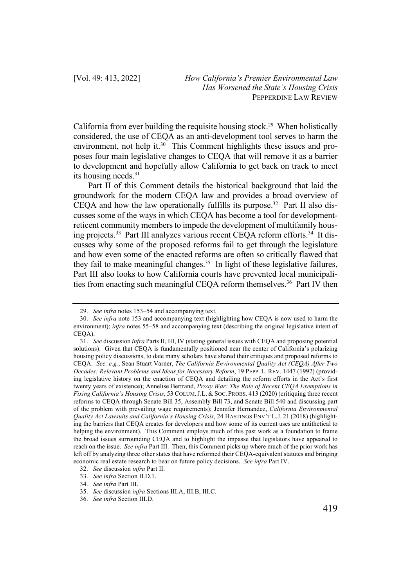California from ever building the requisite housing stock.<sup>29</sup> When holistically considered, the use of CEQA as an anti-development tool serves to harm the environment, not help it.<sup>30</sup> This Comment highlights these issues and proposes four main legislative changes to CEQA that will remove it as a barrier to development and hopefully allow California to get back on track to meet its housing needs.31

Part II of this Comment details the historical background that laid the groundwork for the modern CEQA law and provides a broad overview of CEQA and how the law operationally fulfills its purpose.<sup>32</sup> Part II also discusses some of the ways in which CEQA has become a tool for developmentreticent community members to impede the development of multifamily housing projects.<sup>33</sup> Part III analyzes various recent CEQA reform efforts.<sup>34</sup> It discusses why some of the proposed reforms fail to get through the legislature and how even some of the enacted reforms are often so critically flawed that they fail to make meaningful changes.<sup>35</sup> In light of these legislative failures, Part III also looks to how California courts have prevented local municipalities from enacting such meaningful CEQA reform themselves.<sup>36</sup> Part IV then

<sup>29.</sup> *See infra* notes 153–54 and accompanying text.

<sup>30.</sup> *See infra* note 153 and accompanying text (highlighting how CEQA is now used to harm the environment); *infra* notes 55–58 and accompanying text (describing the original legislative intent of CEQA).

<sup>31.</sup> *See* discussion *infra* Parts II, III, IV (stating general issues with CEQA and proposing potential solutions). Given that CEQA is fundamentally positioned near the center of California's polarizing housing policy discussions, to date many scholars have shared their critiques and proposed reforms to CEQA. *See, e.g.*, Sean Stuart Varner, *The California Environmental Quality Act (CEQA) After Two Decades: Relevant Problems and Ideas for Necessary Reform*, 19 PEPP. L. REV. 1447 (1992) (providing legislative history on the enaction of CEQA and detailing the reform efforts in the Act's first twenty years of existence); Annelise Bertrand, *Proxy War: The Role of Recent CEQA Exemptions in Fixing California's Housing Crisis*, 53 COLUM.J.L. & SOC. PROBS. 413 (2020) (critiquing three recent reforms to CEQA through Senate Bill 35, Assembly Bill 73, and Senate Bill 540 and discussing part of the problem with prevailing wage requirements); Jennifer Hernandez, *California Environmental Quality Act Lawsuits and California's Housing Crisis*, 24 HASTINGS ENV'T L.J. 21 (2018) (highlighting the barriers that CEQA creates for developers and how some of its current uses are antithetical to helping the environment). This Comment employs much of this past work as a foundation to frame the broad issues surrounding CEQA and to highlight the impasse that legislators have appeared to reach on the issue. *See infra* Part III. Then, this Comment picks up where much of the prior work has left off by analyzing three other states that have reformed their CEQA-equivalent statutes and bringing economic real estate research to bear on future policy decisions. *See infra* Part IV.

<sup>32.</sup> *See* discussion *infra* Part II.

<sup>33.</sup> *See infra* Section II.D.1.

<sup>34.</sup> *See infra* Part III.

<sup>35.</sup> *See* discussion *infra* Sections III.A, III.B, III.C.

<sup>36.</sup> *See infra* Section III.D.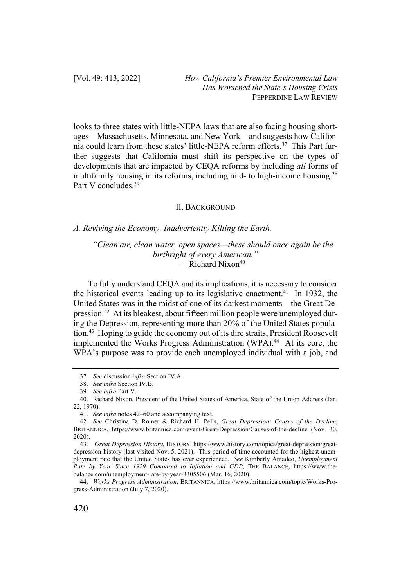looks to three states with little-NEPA laws that are also facing housing shortages—Massachusetts, Minnesota, and New York—and suggests how California could learn from these states' little-NEPA reform efforts.37 This Part further suggests that California must shift its perspective on the types of developments that are impacted by CEQA reforms by including *all* forms of multifamily housing in its reforms, including mid- to high-income housing.<sup>38</sup> Part V concludes<sup>39</sup>

#### II. BACKGROUND

#### *A. Reviving the Economy, Inadvertently Killing the Earth.*

*"Clean air, clean water, open spaces—these should once again be the birthright of every American."*  $\equiv$ Richard Nixon<sup>40</sup>

To fully understand CEQA and its implications, it is necessary to consider the historical events leading up to its legislative enactment.<sup>41</sup> In 1932, the United States was in the midst of one of its darkest moments—the Great Depression.<sup>42</sup> At its bleakest, about fifteen million people were unemployed during the Depression, representing more than 20% of the United States population.<sup>43</sup> Hoping to guide the economy out of its dire straits, President Roosevelt implemented the Works Progress Administration (WPA).<sup>44</sup> At its core, the WPA's purpose was to provide each unemployed individual with a job, and

<sup>37.</sup> *See* discussion *infra* Section IV.A.

<sup>38.</sup> *See infra* Section IV.B.

<sup>39.</sup> *See infra* Part V.

<sup>40.</sup> Richard Nixon, President of the United States of America, State of the Union Address (Jan. 22, 1970).

<sup>41.</sup> *See infra* notes 42–60 and accompanying text.

<sup>42.</sup> *See* Christina D. Romer & Richard H. Pells, *Great Depression: Causes of the Decline*, BRITANNICA, https://www.britannica.com/event/Great-Depression/Causes-of-the-decline (Nov. 30, 2020).

<sup>43.</sup> *Great Depression History*, HISTORY, https://www.history.com/topics/great-depression/greatdepression-history (last visited Nov. 5, 2021). This period of time accounted for the highest unemployment rate that the United States has ever experienced. *See* Kimberly Amadeo, *Unemployment Rate by Year Since 1929 Compared to Inflation and GDP*, THE BALANCE, https://www.thebalance.com/unemployment-rate-by-year-3305506 (Mar. 16, 2020).

<sup>44.</sup> *Works Progress Administration*, BRITANNICA, https://www.britannica.com/topic/Works-Progress-Administration (July 7, 2020).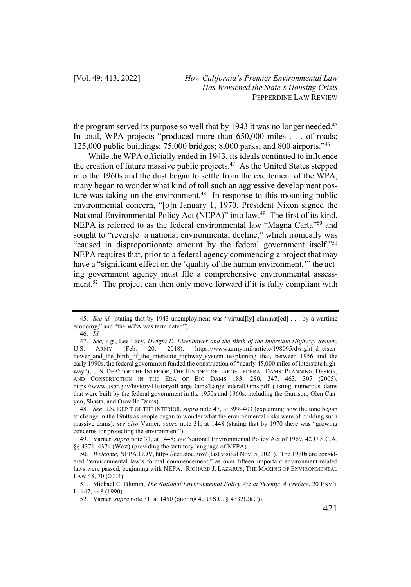the program served its purpose so well that by 1943 it was no longer needed.<sup>45</sup> In total, WPA projects "produced more than 650,000 miles . . . of roads; 125,000 public buildings; 75,000 bridges; 8,000 parks; and 800 airports."46

While the WPA officially ended in 1943, its ideals continued to influence the creation of future massive public projects.<sup>47</sup> As the United States stepped into the 1960s and the dust began to settle from the excitement of the WPA, many began to wonder what kind of toll such an aggressive development posture was taking on the environment.<sup>48</sup> In response to this mounting public environmental concern, "[o]n January 1, 1970, President Nixon signed the National Environmental Policy Act (NEPA)" into law.49 The first of its kind, NEPA is referred to as the federal environmental law "Magna Carta"<sup>50</sup> and sought to "revers[e] a national environmental decline," which ironically was "caused in disproportionate amount by the federal government itself."51 NEPA requires that, prior to a federal agency commencing a project that may have a "significant effect on the 'quality of the human environment,'" the acting government agency must file a comprehensive environmental assessment.<sup>52</sup> The project can then only move forward if it is fully compliant with

<sup>45.</sup> *See id.* (stating that by 1943 unemployment was "virtual[ly] eliminat[ed] . . . by a wartime economy," and "the WPA was terminated").

<sup>46.</sup> *Id.*

<sup>47.</sup> *See, e.g.*, Lee Lacy, *Dwight D. Eisenhower and the Birth of the Interstate Highway System*, U.S. ARMY (Feb. 20, 2018), https://www.army.mil/article/198095/dwight\_d\_eisenhower\_and\_the\_birth\_of\_the\_interstate\_highway\_system (explaining that, between 1956 and the early 1990s, the federal government funded the construction of "nearly 45,000 miles of interstate highway"); U.S. DEP'T OF THE INTERIOR, THE HISTORY OF LARGE FEDERAL DAMS: PLANNING, DESIGN, AND CONSTRUCTION IN THE ERA OF BIG DAMS 183, 280, 347, 463, 305 (2005), https://www.usbr.gov/history/HistoryofLargeDams/LargeFederalDams.pdf (listing numerous dams that were built by the federal government in the 1950s and 1960s, including the Garrison, Glen Canyon, Shasta, and Oroville Dams).

<sup>48.</sup> *See* U.S. DEP'T OF THE INTERIOR, *supra* note 47, at 399–403 (explaining how the tone began to change in the 1960s as people began to wonder what the environmental risks were of building such massive dams); *see also* Varner, *supra* note 31, at 1448 (stating that by 1970 there was "growing concerns for protecting the environment").

<sup>49.</sup> Varner, *supra* note 31, at 1448; *see* National Environmental Policy Act of 1969, 42 U.S.C.A. §§ 4371–4374 (West) (providing the statutory language of NEPA).

<sup>50.</sup> *Welcome*, NEPA.GOV, https://ceq.doe.gov/ (last visited Nov. 5, 2021). The 1970s are considered "environmental law's formal commencement," as over fifteen important environment-related laws were passed, beginning with NEPA. RICHARD J. LAZARUS, THE MAKING OF ENVIRONMENTAL LAW 48, 70 (2004).

<sup>51.</sup> Michael C. Blumm, *The National Environmental Policy Act at Twenty: A Preface*, 20 ENV'T L. 447, 448 (1990).

<sup>52.</sup> Varner, *supra* note 31, at 1450 (quoting 42 U.S.C. § 4332(2)(C)).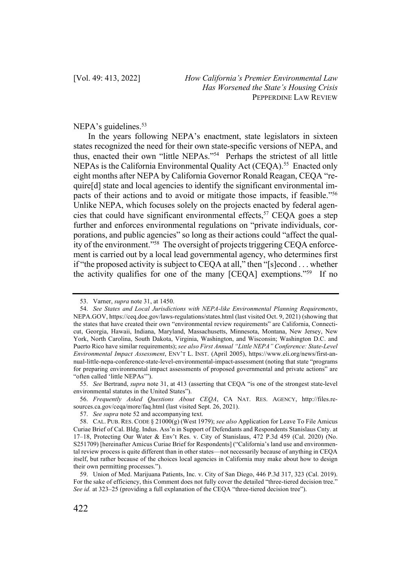## NEPA's guidelines.<sup>53</sup>

In the years following NEPA's enactment, state legislators in sixteen states recognized the need for their own state-specific versions of NEPA, and thus, enacted their own "little NEPAs."54 Perhaps the strictest of all little NEPAs is the California Environmental Quality Act (CEQA).<sup>55</sup> Enacted only eight months after NEPA by California Governor Ronald Reagan, CEQA "require[d] state and local agencies to identify the significant environmental impacts of their actions and to avoid or mitigate those impacts, if feasible."56 Unlike NEPA, which focuses solely on the projects enacted by federal agencies that could have significant environmental effects,<sup>57</sup> CEQA goes a step further and enforces environmental regulations on "private individuals, corporations, and public agencies" so long as their actions could "affect the quality of the environment."58 The oversight of projects triggering CEQA enforcement is carried out by a local lead governmental agency, who determines first if "the proposed activity is subject to CEQA at all," then "[s]econd . . . whether the activity qualifies for one of the many [CEQA] exemptions."59 If no

56. *Frequently Asked Questions About CEQA*, CA NAT. RES. AGENCY, http://files.resources.ca.gov/ceqa/more/faq.html (last visited Sept. 26, 2021).

<sup>53.</sup> Varner, *supra* note 31, at 1450.

<sup>54.</sup> *See States and Local Jurisdictions with NEPA-like Environmental Planning Requirements*, NEPA.GOV, https://ceq.doe.gov/laws-regulations/states.html (last visited Oct. 9, 2021) (showing that the states that have created their own "environmental review requirements" are California, Connecticut, Georgia, Hawaii, Indiana, Maryland, Massachusetts, Minnesota, Montana, New Jersey, New York, North Carolina, South Dakota, Virginia, Washington, and Wisconsin; Washington D.C. and Puerto Rico have similar requirements); *see also First Annual "Little NEPA" Conference: State-Level Environmental Impact Assessment*, ENV'T L. INST. (April 2005), https://www.eli.org/news/first-annual-little-nepa-conference-state-level-environmental-impact-assessment (noting that state "programs for preparing environmental impact assessments of proposed governmental and private actions" are "often called 'little NEPAs'").

<sup>55.</sup> *See* Bertrand, *supra* note 31, at 413 (asserting that CEQA "is one of the strongest state-level environmental statutes in the United States").

<sup>57.</sup> *See supra* note 52 and accompanying text.

<sup>58.</sup> CAL. PUB. RES. CODE § 21000(g) (West 1979); *see also* Application for Leave To File Amicus Curiae Brief of Cal. Bldg. Indus. Ass'n in Support of Defendants and Respondents Stanislaus Cnty. at 17–18, Protecting Our Water & Env't Res. v. City of Stanislaus, 472 P.3d 459 (Cal. 2020) (No. S251709) [hereinafter Amicus Curiae Brief for Respondents] ("California's land use and environmental review process is quite different than in other states—not necessarily because of anything in CEQA itself, but rather because of the choices local agencies in California may make about how to design their own permitting processes.").

<sup>59.</sup> Union of Med. Marijuana Patients, Inc. v. City of San Diego, 446 P.3d 317, 323 (Cal. 2019). For the sake of efficiency, this Comment does not fully cover the detailed "three-tiered decision tree." *See id.* at 323–25 (providing a full explanation of the CEQA "three-tiered decision tree").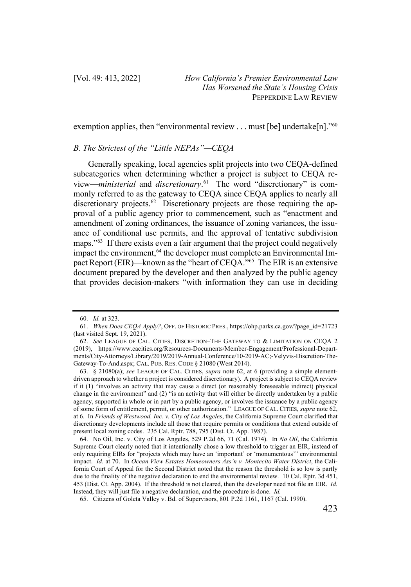exemption applies, then "environmental review . . . must [be] undertake[n]."<sup>60</sup>

## *B. The Strictest of the "Little NEPAs"—CEQA*

Generally speaking, local agencies split projects into two CEQA-defined subcategories when determining whether a project is subject to CEQA review—*ministerial* and *discretionary*. 61 The word "discretionary" is commonly referred to as the gateway to CEQA since CEQA applies to nearly all discretionary projects.<sup>62</sup> Discretionary projects are those requiring the approval of a public agency prior to commencement, such as "enactment and amendment of zoning ordinances, the issuance of zoning variances, the issuance of conditional use permits, and the approval of tentative subdivision maps."63 If there exists even a fair argument that the project could negatively impact the environment, <sup>64</sup> the developer must complete an Environmental Impact Report (EIR)—known as the "heart of CEQA."65 The EIR is an extensive document prepared by the developer and then analyzed by the public agency that provides decision-makers "with information they can use in deciding

<sup>60.</sup> *Id.* at 323.

<sup>61.</sup> *When Does CEQA Apply?*, OFF. OF HISTORIC PRES., https://ohp.parks.ca.gov/?page\_id=21723 (last visited Sept. 19, 2021).

<sup>62.</sup> *See* LEAGUE OF CAL. CITIES, DISCRETION–THE GATEWAY TO & LIMITATION ON CEQA 2 (2019), https://www.cacities.org/Resources-Documents/Member-Engagement/Professional-Departments/City-Attorneys/Library/2019/2019-Annual-Conference/10-2019-AC;-Velyvis-Discretion-The-Gateway-To-And.aspx; CAL. PUB. RES. CODE § 21080 (West 2014).

<sup>63.</sup> § 21080(a); *see* LEAGUE OF CAL. CITIES, *supra* note 62, at 6 (providing a simple elementdriven approach to whether a project is considered discretionary). A project is subject to CEQA review if it (1) "involves an activity that may cause a direct (or reasonably foreseeable indirect) physical change in the environment" and (2) "is an activity that will either be directly undertaken by a public agency, supported in whole or in part by a public agency, or involves the issuance by a public agency of some form of entitlement, permit, or other authorization." LEAGUE OF CAL. CITIES, *supra* note 62, at 6. In *Friends of Westwood, Inc. v. City of Los Angeles*, the California Supreme Court clarified that discretionary developments include all those that require permits or conditions that extend outside of present local zoning codes. 235 Cal. Rptr. 788, 795 (Dist. Ct. App. 1987).

<sup>64.</sup> No Oil, Inc. v. City of Los Angeles, 529 P.2d 66, 71 (Cal. 1974). In *No Oil*, the California Supreme Court clearly noted that it intentionally chose a low threshold to trigger an EIR, instead of only requiring EIRs for "projects which may have an 'important' or 'monumentous'" environmental impact. *Id.* at 70. In *Ocean View Estates Homeowners Ass'n v. Montecito Water District*, the California Court of Appeal for the Second District noted that the reason the threshold is so low is partly due to the finality of the negative declaration to end the environmental review. 10 Cal. Rptr. 3d 451, 453 (Dist. Ct. App. 2004). If the threshold is not cleared, then the developer need not file an EIR. *Id.* Instead, they will just file a negative declaration, and the procedure is done. *Id.*

<sup>65.</sup> Citizens of Goleta Valley v. Bd. of Supervisors, 801 P.2d 1161, 1167 (Cal. 1990).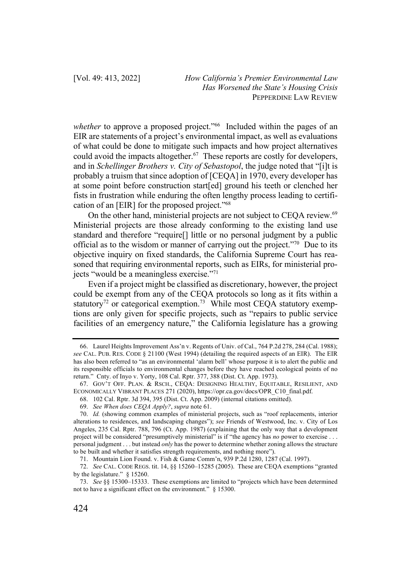*whether* to approve a proposed project."<sup>66</sup> Included within the pages of an EIR are statements of a project's environmental impact, as well as evaluations of what could be done to mitigate such impacts and how project alternatives could avoid the impacts altogether.<sup>67</sup> These reports are costly for developers, and in *Schellinger Brothers v. City of Sebastopol*, the judge noted that "[i]t is probably a truism that since adoption of [CEQA] in 1970, every developer has at some point before construction start[ed] ground his teeth or clenched her fists in frustration while enduring the often lengthy process leading to certification of an [EIR] for the proposed project."68

On the other hand, ministerial projects are not subject to CEQA review.<sup>69</sup> Ministerial projects are those already conforming to the existing land use standard and therefore "require[] little or no personal judgment by a public official as to the wisdom or manner of carrying out the project."70 Due to its objective inquiry on fixed standards, the California Supreme Court has reasoned that requiring environmental reports, such as EIRs, for ministerial projects "would be a meaningless exercise."71

Even if a project might be classified as discretionary, however, the project could be exempt from any of the CEQA protocols so long as it fits within a statutory<sup>72</sup> or categorical exemption.<sup>73</sup> While most CEQA statutory exemptions are only given for specific projects, such as "repairs to public service facilities of an emergency nature," the California legislature has a growing

68. 102 Cal. Rptr. 3d 394, 395 (Dist. Ct. App. 2009) (internal citations omitted).

<sup>66.</sup> Laurel Heights Improvement Ass'n v. Regents of Univ. of Cal., 764 P.2d 278, 284 (Cal. 1988); *see* CAL. PUB. RES. CODE § 21100 (West 1994) (detailing the required aspects of an EIR). The EIR has also been referred to "as an environmental 'alarm bell' whose purpose it is to alert the public and its responsible officials to environmental changes before they have reached ecological points of no return." Cnty. of Inyo v. Yorty, 108 Cal. Rptr. 377, 388 (Dist. Ct. App. 1973).

<sup>67.</sup> GOV'T OFF. PLAN. & RSCH., CEQA: DESIGNING HEALTHY, EQUITABLE, RESILIENT, AND ECONOMICALLY VIBRANT PLACES 271 (2020), https://opr.ca.gov/docs/OPR\_C10\_final.pdf.

<sup>69.</sup> *See When does CEQA Apply?*, *supra* note 61.

<sup>70.</sup> *Id.* (showing common examples of ministerial projects, such as "roof replacements, interior alterations to residences, and landscaping changes"); *see* Friends of Westwood, Inc. v. City of Los Angeles, 235 Cal. Rptr. 788, 796 (Ct. App. 1987) (explaining that the only way that a development project will be considered "presumptively ministerial" is if "the agency has *no* power to exercise . . . personal judgment . . . but instead *only* has the power to determine whether zoning allows the structure to be built and whether it satisfies strength requirements, and nothing more").

<sup>71.</sup> Mountain Lion Found. v. Fish & Game Comm'n, 939 P.2d 1280, 1287 (Cal. 1997).

<sup>72.</sup> *See* CAL. CODE REGS. tit. 14, §§ 15260–15285 (2005). These are CEQA exemptions "granted by the legislature." § 15260.

<sup>73.</sup> *See* §§ 15300–15333. These exemptions are limited to "projects which have been determined not to have a significant effect on the environment." § 15300.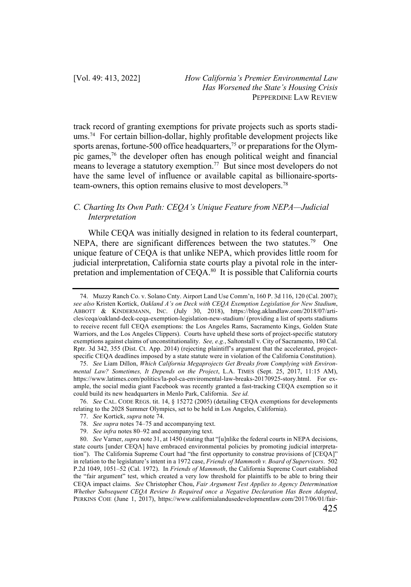track record of granting exemptions for private projects such as sports stadiums.74 For certain billion-dollar, highly profitable development projects like sports arenas, fortune-500 office headquarters,<sup>75</sup> or preparations for the Olympic games,76 the developer often has enough political weight and financial means to leverage a statutory exemption.77 But since most developers do not have the same level of influence or available capital as billionaire-sportsteam-owners, this option remains elusive to most developers.78

# *C. Charting Its Own Path: CEQA's Unique Feature from NEPA—Judicial Interpretation*

While CEQA was initially designed in relation to its federal counterpart, NEPA, there are significant differences between the two statutes.<sup>79</sup> One unique feature of CEQA is that unlike NEPA, which provides little room for judicial interpretation, California state courts play a pivotal role in the interpretation and implementation of CEQA.80 It is possible that California courts

76. *See* CAL. CODE REGS. tit. 14, § 15272 (2005) (detailing CEQA exemptions for developments relating to the 2028 Summer Olympics, set to be held in Los Angeles, California).

- 78. *See supra* notes 74–75 and accompanying text.
- 79. *See infra* notes 80–92 and accompanying text.

<sup>74.</sup> Muzzy Ranch Co. v. Solano Cnty. Airport Land Use Comm'n, 160 P. 3d 116, 120 (Cal. 2007); *see also* Kristen Kortick, *Oakland A's on Deck with CEQA Exemption Legislation for New Stadium*, ABBOTT & KINDERMANN, INC. (July 30, 2018), https://blog.aklandlaw.com/2018/07/articles/ceqa/oakland-deck-ceqa-exemption-legislation-new-stadium/ (providing a list of sports stadiums to receive recent full CEQA exemptions: the Los Angeles Rams, Sacramento Kings, Golden State Warriors, and the Los Angeles Clippers). Courts have upheld these sorts of project-specific statutory exemptions against claims of unconstitutionality. *See, e.g.*, Saltonstall v. City of Sacramento, 180 Cal. Rptr. 3d 342, 355 (Dist. Ct. App. 2014) (rejecting plaintiff's argument that the accelerated, projectspecific CEQA deadlines imposed by a state statute were in violation of the California Constitution).

<sup>75.</sup> *See* Liam Dillon, *Which California Megaprojects Get Breaks from Complying with Environmental Law? Sometimes, It Depends on the Project*, L.A. TIMES (Sept. 25, 2017, 11:15 AM), https://www.latimes.com/politics/la-pol-ca-enviromental-law-breaks-20170925-story.html. For example, the social media giant Facebook was recently granted a fast-tracking CEQA exemption so it could build its new headquarters in Menlo Park, California. *See id.*

<sup>77.</sup> *See* Kortick, *supra* note 74.

<sup>80.</sup> *See* Varner, *supra* note 31, at 1450 (stating that "[u]nlike the federal courts in NEPA decisions, state courts [under CEQA] have embraced environmental policies by promoting judicial interpretation"). The California Supreme Court had "the first opportunity to construe provisions of [CEQA]" in relation to the legislature's intent in a 1972 case, *Friends of Mammoth v. Board of Supervisors*. 502 P.2d 1049, 1051–52 (Cal. 1972). In *Friends of Mammoth*, the California Supreme Court established the "fair argument" test, which created a very low threshold for plaintiffs to be able to bring their CEQA impact claims. *See* Christopher Chou, *Fair Argument Test Applies to Agency Determination Whether Subsequent CEQA Review Is Required once a Negative Declaration Has Been Adopted*, PERKINS COIE (June 1, 2017), https://www.californialandusedevelopmentlaw.com/2017/06/01/fair-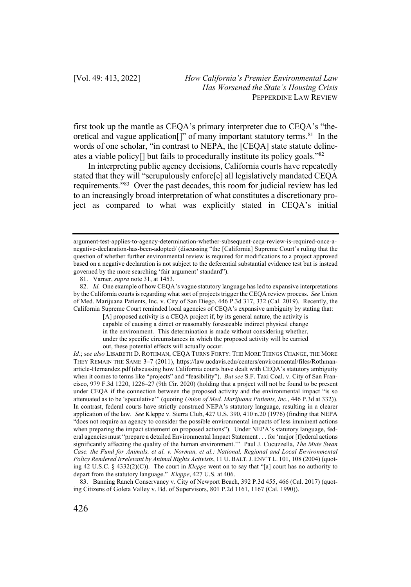first took up the mantle as CEQA's primary interpreter due to CEQA's "theoretical and vague application[]" of many important statutory terms.<sup>81</sup> In the words of one scholar, "in contrast to NEPA, the [CEQA] state statute delineates a viable policy[] but fails to procedurally institute its policy goals."82

In interpreting public agency decisions, California courts have repeatedly stated that they will "scrupulously enforc[e] all legislatively mandated CEQA requirements."83 Over the past decades, this room for judicial review has led to an increasingly broad interpretation of what constitutes a discretionary project as compared to what was explicitly stated in CEQA's initial

argument-test-applies-to-agency-determination-whether-subsequent-ceqa-review-is-required-once-anegative-declaration-has-been-adopted/ (discussing "the [California] Supreme Court's ruling that the question of whether further environmental review is required for modifications to a project approved based on a negative declaration is not subject to the deferential substantial evidence test but is instead governed by the more searching 'fair argument' standard").

<sup>81.</sup> Varner, *supra* note 31, at 1453.

<sup>82.</sup> *Id.* One example of how CEQA's vague statutory language has led to expansive interpretations by the California courts is regarding what sort of projects trigger the CEQA review process. *See* Union of Med. Marijuana Patients, Inc. v. City of San Diego, 446 P.3d 317, 332 (Cal. 2019). Recently, the California Supreme Court reminded local agencies of CEQA's expansive ambiguity by stating that:

<sup>[</sup>A] proposed activity is a CEQA project if, by its general nature, the activity is capable of causing a direct or reasonably foreseeable indirect physical change in the environment. This determination is made without considering whether, under the specific circumstances in which the proposed activity will be carried out, these potential effects will actually occur.

*Id.*; *see also* LISABETH D. ROTHMAN, CEQA TURNS FORTY: THE MORE THINGS CHANGE, THE MORE THEY REMAIN THE SAME 3–7 (2011), https://law.ucdavis.edu/centers/environmental/files/Rothmanarticle-Hernandez.pdf (discussing how California courts have dealt with CEQA's statutory ambiguity when it comes to terms like "projects" and "feasibility"). *But see* S.F. Taxi Coal. v. City of San Francisco, 979 F.3d 1220, 1226–27 (9th Cir. 2020) (holding that a project will not be found to be present under CEQA if the connection between the proposed activity and the environmental impact "is so attenuated as to be 'speculative'" (quoting *Union of Med. Marijuana Patients, Inc.*, 446 P.3d at 332)). In contrast, federal courts have strictly construed NEPA's statutory language, resulting in a clearer application of the law. *See* Kleppe v. Sierra Club, 427 U.S. 390, 410 n.20 (1976) (finding that NEPA "does not require an agency to consider the possible environmental impacts of less imminent actions when preparing the impact statement on proposed actions"). Under NEPA's statutory language, federal agencies must "prepare a detailed Environmental Impact Statement . . . for 'major [f]ederal actions significantly affecting the quality of the human environment.'" Paul J. Cucuzzella, *The Mute Swan Case, the Fund for Animals, et al. v. Norman, et al.: National, Regional and Local Environmental Policy Rendered Irrelevant by Animal Rights Activists*, 11 U. BALT.J. ENV'T L. 101, 108 (2004) (quoting 42 U.S.C. § 4332(2)(C)). The court in *Kleppe* went on to say that "[a] court has no authority to depart from the statutory language." *Kleppe*, 427 U.S. at 406.

<sup>83.</sup> Banning Ranch Conservancy v. City of Newport Beach, 392 P.3d 455, 466 (Cal. 2017) (quoting Citizens of Goleta Valley v. Bd. of Supervisors, 801 P.2d 1161, 1167 (Cal. 1990)).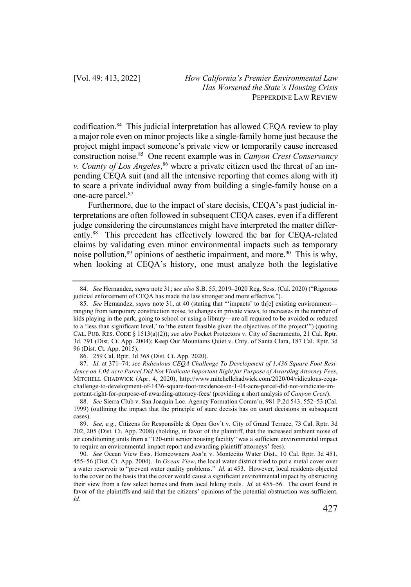codification.84 This judicial interpretation has allowed CEQA review to play a major role even on minor projects like a single-family home just because the project might impact someone's private view or temporarily cause increased construction noise.85 One recent example was in *Canyon Crest Conservancy v. County of Los Angeles*, <sup>86</sup> where a private citizen used the threat of an impending CEQA suit (and all the intensive reporting that comes along with it) to scare a private individual away from building a single-family house on a one-acre parcel.87

Furthermore, due to the impact of stare decisis, CEQA's past judicial interpretations are often followed in subsequent CEQA cases, even if a different judge considering the circumstances might have interpreted the matter differently.88 This precedent has effectively lowered the bar for CEQA-related claims by validating even minor environmental impacts such as temporary noise pollution,<sup>89</sup> opinions of aesthetic impairment, and more.<sup>90</sup> This is why, when looking at CEQA's history, one must analyze both the legislative

86. 259 Cal. Rptr. 3d 368 (Dist. Ct. App. 2020).

87. *Id.* at 371–74; *see Ridiculous CEQA Challenge To Development of 1,436 Square Foot Residence on 1.04-acre Parcel Did Not Vindicate Important Right for Purpose of Awarding Attorney Fees*, MITCHELL CHADWICK (Apr. 4, 2020), http://www.mitchellchadwick.com/2020/04/ridiculous-ceqachallenge-to-development-of-1436-square-foot-residence-on-1-04-acre-parcel-did-not-vindicate-important-right-for-purpose-of-awarding-attorney-fees/ (providing a short analysis of *Canyon Crest*).

<sup>84.</sup> *See* Hernandez, *supra* note 31; s*ee also* S.B. 55, 2019–2020 Reg. Sess. (Cal. 2020) ("Rigorous judicial enforcement of CEQA has made the law stronger and more effective.").

<sup>85.</sup> *See* Hernandez, *supra* note 31, at 40 (stating that "'impacts' to th[e] existing environment ranging from temporary construction noise, to changes in private views, to increases in the number of kids playing in the park, going to school or using a library—are all required to be avoided or reduced to a 'less than significant level,' to 'the extent feasible given the objectives of the project'") (quoting CAL. PUB. RES. CODE § 1513(a)(2)); *see also* Pocket Protectors v. City of Sacramento, 21 Cal. Rptr. 3d. 791 (Dist. Ct. App. 2004); Keep Our Mountains Quiet v. Cnty. of Santa Clara, 187 Cal. Rptr. 3d 96 (Dist. Ct. App. 2015).

<sup>88.</sup> *See* Sierra Club v. San Joaquin Loc. Agency Formation Comm'n, 981 P.2d 543, 552–53 (Cal. 1999) (outlining the impact that the principle of stare decisis has on court decisions in subsequent cases).

<sup>89.</sup> *See, e.g.*, Citizens for Responsible & Open Gov't v. City of Grand Terrace, 73 Cal. Rptr. 3d 202, 205 (Dist. Ct. App. 2008) (holding, in favor of the plaintiff, that the increased ambient noise of air conditioning units from a "120-unit senior housing facility" was a sufficient environmental impact to require an environmental impact report and awarding plaintiff attorneys' fees).

<sup>90.</sup> *See* Ocean View Ests. Homeowners Ass'n v. Montecito Water Dist., 10 Cal. Rptr. 3d 451, 455–56 (Dist. Ct. App. 2004). In *Ocean View*, the local water district tried to put a metal cover over a water reservoir to "prevent water quality problems." *Id.* at 453. However, local residents objected to the cover on the basis that the cover would cause a significant environmental impact by obstructing their view from a few select homes and from local hiking trails. *Id.* at 455–56.The court found in favor of the plaintiffs and said that the citizens' opinions of the potential obstruction was sufficient. *Id.*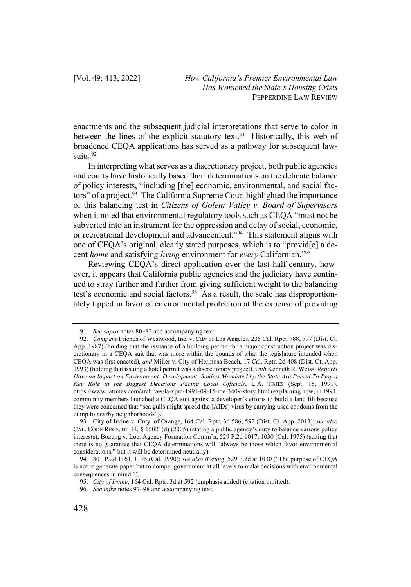enactments and the subsequent judicial interpretations that serve to color in between the lines of the explicit statutory text.<sup>91</sup> Historically, this web of broadened CEQA applications has served as a pathway for subsequent lawsuits.<sup>92</sup>

In interpreting what serves as a discretionary project, both public agencies and courts have historically based their determinations on the delicate balance of policy interests, "including [the] economic, environmental, and social factors" of a project.<sup>93</sup> The California Supreme Court highlighted the importance of this balancing test in *Citizens of Goleta Valley v. Board of Supervisors* when it noted that environmental regulatory tools such as CEQA "must not be subverted into an instrument for the oppression and delay of social, economic, or recreational development and advancement."94 This statement aligns with one of CEQA's original, clearly stated purposes, which is to "provid[e] a decent *home* and satisfying *living* environment for *every* Californian."95

Reviewing CEQA's direct application over the last half-century, however, it appears that California public agencies and the judiciary have continued to stray further and further from giving sufficient weight to the balancing test's economic and social factors.<sup>96</sup> As a result, the scale has disproportionately tipped in favor of environmental protection at the expense of providing

<sup>91.</sup> *See supra* notes 80–82 and accompanying text.

<sup>92.</sup> *Compare* Friends of Westwood, Inc. v. City of Los Angeles, 235 Cal. Rptr. 788, 797 (Dist. Ct. App. 1987) (holding that the issuance of a building permit for a major construction project was discretionary in a CEQA suit that was more within the bounds of what the legislature intended when CEQA was first enacted), *and* Miller v. City of Hermosa Beach, 17 Cal. Rptr. 2d 408 (Dist. Ct. App. 1993) (holding that issuing a hotel permit was a discretionary project), *with* Kenneth R. Weiss, *Reports Have an Impact on Environment: Development: Studies Mandated by the State Are Poised To Play a Key Role in the Biggest Decisions Facing Local Officials*, L.A. TIMES (Sept. 15, 1991), https://www.latimes.com/archives/la-xpm-1991-09-15-me-3409-story.html (explaining how, in 1991, community members launched a CEQA suit against a developer's efforts to build a land fill because they were concerned that "sea gulls might spread the [AIDs] virus by carrying used condoms from the dump to nearby neighborhoods").

<sup>93.</sup> City of Irvine v. Cnty. of Orange, 164 Cal. Rptr. 3d 586, 592 (Dist. Ct. App. 2013); *see also*  CAL. CODE REGS. tit. 14, § 15021(d) (2005) (stating a public agency's duty to balance various policy interests); Bozung v. Loc. Agency Formation Comm'n, 529 P.2d 1017, 1030 (Cal. 1975) (stating that there is no guarantee that CEQA determinations will "always be those which favor environmental considerations," but it will be determined neutrally).

<sup>94.</sup> 801 P.2d 1161, 1175 (Cal. 1990); *see also Bozung*, 529 P.2d at 1030 ("The purpose of CEQA is not to generate paper but to compel government at all levels to make decisions with environmental consequences in mind.").

<sup>95.</sup> *City of Irvine*, 164 Cal. Rptr. 3d at 592 (emphasis added) (citation omitted).

<sup>96.</sup> *See infra* notes 97–98 and accompanying text.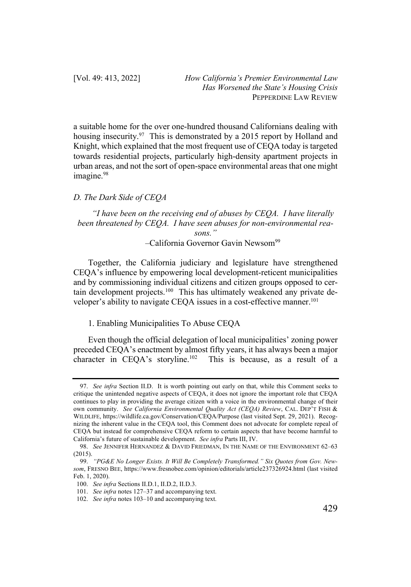a suitable home for the over one-hundred thousand Californians dealing with housing insecurity.<sup>97</sup> This is demonstrated by a 2015 report by Holland and Knight, which explained that the most frequent use of CEQA today is targeted towards residential projects, particularly high-density apartment projects in urban areas, and not the sort of open-space environmental areas that one might imagine.<sup>98</sup>

## *D. The Dark Side of CEQA*

*"I have been on the receiving end of abuses by CEQA. I have literally been threatened by CEQA. I have seen abuses for non-environmental reasons."*

–California Governor Gavin Newsom99

Together, the California judiciary and legislature have strengthened CEQA's influence by empowering local development-reticent municipalities and by commissioning individual citizens and citizen groups opposed to certain development projects.<sup>100</sup> This has ultimately weakened any private developer's ability to navigate CEQA issues in a cost-effective manner.<sup>101</sup>

#### 1. Enabling Municipalities To Abuse CEQA

Even though the official delegation of local municipalities' zoning power preceded CEQA's enactment by almost fifty years, it has always been a major character in CEOA's storyline.<sup>102</sup> This is because, as a result of a This is because, as a result of a

<sup>97.</sup> *See infra* Section II.D. It is worth pointing out early on that, while this Comment seeks to critique the unintended negative aspects of CEQA, it does not ignore the important role that CEQA continues to play in providing the average citizen with a voice in the environmental change of their own community. *See California Environmental Quality Act (CEQA) Review*, CAL. DEP'T FISH & WILDLIFE, https://wildlife.ca.gov/Conservation/CEQA/Purpose (last visited Sept. 29, 2021). Recognizing the inherent value in the CEQA tool, this Comment does not advocate for complete repeal of CEQA but instead for comprehensive CEQA reform to certain aspects that have become harmful to California's future of sustainable development. *See infra* Parts III, IV.

<sup>98.</sup> *See* JENNIFER HERNANDEZ & DAVID FRIEDMAN, IN THE NAME OF THE ENVIRONMENT 62–63 (2015).

<sup>99.</sup> *"PG&E No Longer Exists. It Will Be Completely Transformed." Six Quotes from Gov. Newsom*, FRESNO BEE, https://www.fresnobee.com/opinion/editorials/article237326924.html (last visited Feb. 1, 2020).

<sup>100.</sup> *See infra* Sections II.D.1, II.D.2, II.D.3.

<sup>101.</sup> *See infra* notes 127–37 and accompanying text.

<sup>102.</sup> *See infra* notes 103–10 and accompanying text.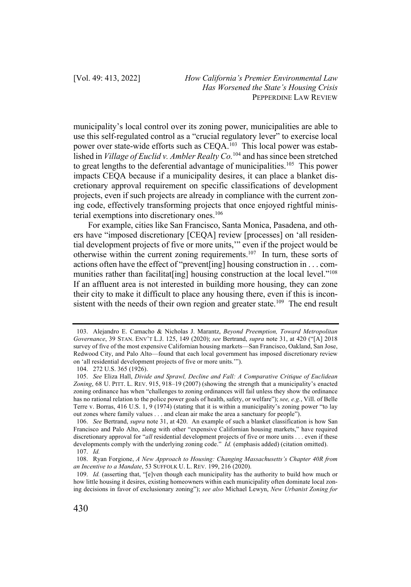municipality's local control over its zoning power, municipalities are able to use this self-regulated control as a "crucial regulatory lever" to exercise local power over state-wide efforts such as CEQA.<sup>103</sup> This local power was established in *Village of Euclid v. Ambler Realty Co.*<sup>104</sup> and has since been stretched to great lengths to the deferential advantage of municipalities.<sup>105</sup> This power impacts CEQA because if a municipality desires, it can place a blanket discretionary approval requirement on specific classifications of development projects, even if such projects are already in compliance with the current zoning code, effectively transforming projects that once enjoyed rightful ministerial exemptions into discretionary ones.<sup>106</sup>

For example, cities like San Francisco, Santa Monica, Pasadena, and others have "imposed discretionary [CEQA] review [processes] on 'all residential development projects of five or more units,'" even if the project would be otherwise within the current zoning requirements.107 In turn, these sorts of actions often have the effect of "prevent[ing] housing construction in . . . communities rather than facilitat[ing] housing construction at the local level."<sup>108</sup> If an affluent area is not interested in building more housing, they can zone their city to make it difficult to place any housing there, even if this is inconsistent with the needs of their own region and greater state.<sup>109</sup> The end result

<sup>103.</sup> Alejandro E. Camacho & Nicholas J. Marantz, *Beyond Preemption, Toward Metropolitan Governance*, 39 STAN. ENV'T L.J. 125, 149 (2020); *see* Bertrand, *supra* note 31, at 420 ("[A] 2018 survey of five of the most expensive Californian housing markets—San Francisco, Oakland, San Jose, Redwood City, and Palo Alto—found that each local government has imposed discretionary review on 'all residential development projects of five or more units.'").

<sup>104.</sup> 272 U.S. 365 (1926).

<sup>105.</sup> *See* Eliza Hall, *Divide and Sprawl, Decline and Fall: A Comparative Critique of Euclidean Zoning*, 68 U. PITT. L. REV. 915, 918–19 (2007) (showing the strength that a municipality's enacted zoning ordinance has when "challenges to zoning ordinances will fail unless they show the ordinance has no rational relation to the police power goals of health, safety, or welfare"); *see, e.g.*, Vill. of Belle Terre v. Borras, 416 U.S. 1, 9 (1974) (stating that it is within a municipality's zoning power "to lay out zones where family values . . . and clean air make the area a sanctuary for people").

<sup>106.</sup> *See* Bertrand, *supra* note 31, at 420. An example of such a blanket classification is how San Francisco and Palo Alto, along with other "expensive Californian housing markets," have required discretionary approval for "*all* residential development projects of five or more units . . . even if these developments comply with the underlying zoning code." *Id.* (emphasis added) (citation omitted). 107. *Id.*

<sup>108.</sup> Ryan Forgione, *A New Approach to Housing: Changing Massachusetts's Chapter 40R from an Incentive to a Mandate*, 53 SUFFOLK U. L. REV. 199, 216 (2020).

<sup>109.</sup> *Id.* (asserting that, "[e]ven though each municipality has the authority to build how much or how little housing it desires, existing homeowners within each municipality often dominate local zoning decisions in favor of exclusionary zoning"); *see also* Michael Lewyn, *New Urbanist Zoning for*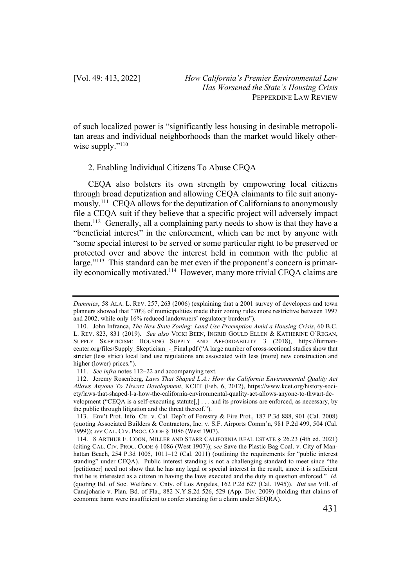of such localized power is "significantly less housing in desirable metropolitan areas and individual neighborhoods than the market would likely otherwise supply."<sup>110</sup>

## 2. Enabling Individual Citizens To Abuse CEQA

CEQA also bolsters its own strength by empowering local citizens through broad deputization and allowing CEQA claimants to file suit anonymously.111 CEQA allows for the deputization of Californians to anonymously file a CEQA suit if they believe that a specific project will adversely impact them.112 Generally, all a complaining party needs to show is that they have a "beneficial interest" in the enforcement, which can be met by anyone with "some special interest to be served or some particular right to be preserved or protected over and above the interest held in common with the public at large."<sup>113</sup> This standard can be met even if the proponent's concern is primarily economically motivated.114 However, many more trivial CEQA claims are

*Dummies*, 58 ALA. L. REV. 257, 263 (2006) (explaining that a 2001 survey of developers and town planners showed that "70% of municipalities made their zoning rules more restrictive between 1997 and 2002, while only 16% reduced landowners' regulatory burdens").

<sup>110.</sup> John Infranca, *The New State Zoning: Land Use Preemption Amid a Housing Crisis*, 60 B.C. L. REV. 823, 831 (2019). *See also* VICKI BEEN, INGRID GOULD ELLEN & KATHERINE O'REGAN, SUPPLY SKEPTICISM: HOUSING SUPPLY AND AFFORDABILITY 3 (2018), https://furmancenter.org/files/Supply\_Skepticism\_-\_Final.pdf ("A large number of cross-sectional studies show that stricter (less strict) local land use regulations are associated with less (more) new construction and higher (lower) prices.").

<sup>111.</sup> *See infra* notes 112–22 and accompanying text.

<sup>112.</sup> Jeremy Rosenberg, *Laws That Shaped L.A.: How the California Environmental Quality Act Allows Anyone To Thwart Development*, KCET (Feb. 6, 2012), https://www.kcet.org/history-society/laws-that-shaped-l-a-how-the-california-environmental-quality-act-allows-anyone-to-thwart-development ("CEQA is a self-executing statute[,] . . . and its provisions are enforced, as necessary, by the public through litigation and the threat thereof.").

<sup>113.</sup> Env't Prot. Info. Ctr. v. Cal. Dep't of Forestry & Fire Prot., 187 P.3d 888, 901 (Cal. 2008) (quoting Associated Builders & Contractors, Inc. v. S.F. Airports Comm'n, 981 P.2d 499, 504 (Cal. 1999)); *see* CAL. CIV. PROC. CODE § 1086 (West 1907).

<sup>114.</sup> 8 ARTHUR F. COON, MILLER AND STARR CALIFORNIA REAL ESTATE § 26.23 (4th ed. 2021) (citing CAL. CIV. PROC. CODE § 1086 (West 1907)); *see* Save the Plastic Bag Coal. v. City of Manhattan Beach, 254 P.3d 1005, 1011–12 (Cal. 2011) (outlining the requirements for "public interest standing" under CEQA). Public interest standing is not a challenging standard to meet since "the [petitioner] need not show that he has any legal or special interest in the result, since it is sufficient that he is interested as a citizen in having the laws executed and the duty in question enforced." *Id.*  (quoting Bd. of Soc. Welfare v. Cnty. of Los Angeles, 162 P.2d 627 (Cal. 1945)). *But see* Vill. of Canajoharie v. Plan. Bd. of Fla., 882 N.Y.S.2d 526, 529 (App. Div. 2009) (holding that claims of economic harm were insufficient to confer standing for a claim under SEQRA).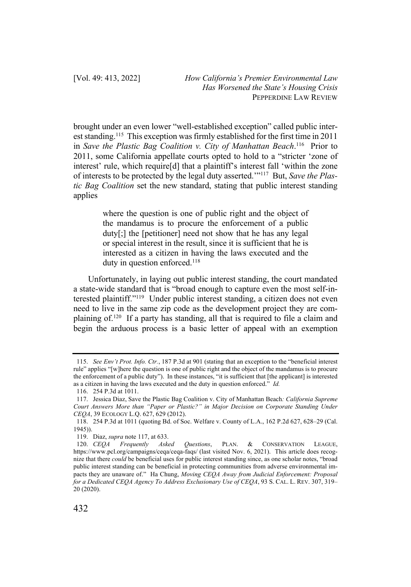brought under an even lower "well-established exception" called public interest standing.115 This exception was firmly established for the first time in 2011 in *Save the Plastic Bag Coalition v. City of Manhattan Beach*. 116 Prior to 2011, some California appellate courts opted to hold to a "stricter 'zone of interest' rule, which require[d] that a plaintiff's interest fall 'within the zone of interests to be protected by the legal duty asserted.'"117 But, *Save the Plastic Bag Coalition* set the new standard, stating that public interest standing applies

> where the question is one of public right and the object of the mandamus is to procure the enforcement of a public duty[;] the [petitioner] need not show that he has any legal or special interest in the result, since it is sufficient that he is interested as a citizen in having the laws executed and the duty in question enforced.<sup>118</sup>

Unfortunately, in laying out public interest standing, the court mandated a state-wide standard that is "broad enough to capture even the most self-interested plaintiff."119 Under public interest standing, a citizen does not even need to live in the same zip code as the development project they are complaining of.120 If a party has standing, all that is required to file a claim and begin the arduous process is a basic letter of appeal with an exemption

<sup>115.</sup> *See Env't Prot. Info. Ctr.*, 187 P.3d at 901 (stating that an exception to the "beneficial interest rule" applies "[w]here the question is one of public right and the object of the mandamus is to procure the enforcement of a public duty"). In these instances, "it is sufficient that [the applicant] is interested as a citizen in having the laws executed and the duty in question enforced." *Id.*

<sup>116.</sup> 254 P.3d at 1011.

<sup>117.</sup> Jessica Diaz, Save the Plastic Bag Coalition v. City of Manhattan Beach*: California Supreme Court Answers More than "Paper or Plastic?" in Major Decision on Corporate Standing Under CEQA*, 39 ECOLOGY L.Q. 627, 629 (2012).

<sup>118.</sup> 254 P.3d at 1011 (quoting Bd. of Soc. Welfare v. County of L.A., 162 P.2d 627, 628–29 (Cal. 1945)).

<sup>119.</sup> Diaz, *supra* note 117, at 633.

<sup>120.</sup> *CEQA Frequently Asked Questions*, PLAN. & CONSERVATION LEAGUE, https://www.pcl.org/campaigns/ceqa/ceqa-faqs/ (last visited Nov. 6, 2021). This article does recognize that there *could* be beneficial uses for public interest standing since, as one scholar notes, "broad public interest standing can be beneficial in protecting communities from adverse environmental impacts they are unaware of." Ha Chung, *Moving CEQA Away from Judicial Enforcement: Proposal for a Dedicated CEQA Agency To Address Exclusionary Use of CEQA*, 93 S. CAL. L. REV. 307, 319– 20 (2020).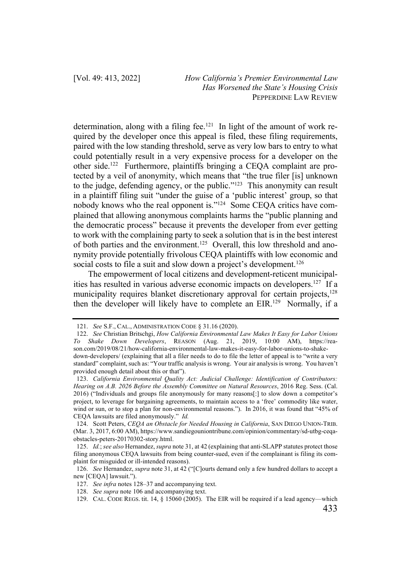determination, along with a filing fee.<sup>121</sup> In light of the amount of work required by the developer once this appeal is filed, these filing requirements, paired with the low standing threshold, serve as very low bars to entry to what could potentially result in a very expensive process for a developer on the other side.122 Furthermore, plaintiffs bringing a CEQA complaint are protected by a veil of anonymity, which means that "the true filer [is] unknown to the judge, defending agency, or the public."123 This anonymity can result in a plaintiff filing suit "under the guise of a 'public interest' group, so that nobody knows who the real opponent is."124 Some CEQA critics have complained that allowing anonymous complaints harms the "public planning and the democratic process" because it prevents the developer from ever getting to work with the complaining party to seek a solution that is in the best interest of both parties and the environment.125 Overall, this low threshold and anonymity provide potentially frivolous CEQA plaintiffs with low economic and social costs to file a suit and slow down a project's development.<sup>126</sup>

The empowerment of local citizens and development-reticent municipalities has resulted in various adverse economic impacts on developers.127 If a municipality requires blanket discretionary approval for certain projects,<sup>128</sup> then the developer will likely have to complete an EIR.<sup>129</sup> Normally, if a

<sup>121.</sup> *See* S.F., CAL., ADMINISTRATION CODE § 31.16 (2020).

<sup>122.</sup> *See* Christian Britschgi, *How California Environmental Law Makes It Easy for Labor Unions To Shake Down Developers*, REASON (Aug. 21, 2019, 10:00 AM), https://reason.com/2019/08/21/how-california-environmental-law-makes-it-easy-for-labor-unions-to-shakedown-developers/ (explaining that all a filer needs to do to file the letter of appeal is to "write a very standard" complaint, such as: "Your traffic analysis is wrong. Your air analysis is wrong. You haven't provided enough detail about this or that").

<sup>123.</sup> *California Environmental Quality Act: Judicial Challenge: Identification of Contributors: Hearing on A.B. 2026 Before the Assembly Committee on Natural Resources*, 2016 Reg. Sess. (Cal. 2016) ("Individuals and groups file anonymously for many reasons[:] to slow down a competitor's project, to leverage for bargaining agreements, to maintain access to a 'free' commodity like water, wind or sun, or to stop a plan for non-environmental reasons."). In 2016, it was found that "45% of CEQA lawsuits are filed anonymously." *Id.*

<sup>124.</sup> Scott Peters, *CEQA an Obstacle for Needed Housing in California*, SAN DIEGO UNION-TRIB. (Mar. 3, 2017, 6:00 AM), https://www.sandiegouniontribune.com/opinion/commentary/sd-utbg-ceqaobstacles-peters-20170302-story.html.

<sup>125.</sup> *Id.*; *see also* Hernandez, *supra* note 31, at 42 (explaining that anti-SLAPP statutes protect those filing anonymous CEQA lawsuits from being counter-sued, even if the complainant is filing its complaint for misguided or ill-intended reasons).

<sup>126.</sup> *See* Hernandez, *supra* note 31, at 42 ("[C]ourts demand only a few hundred dollars to accept a new [CEQA] lawsuit.").

<sup>127.</sup> *See infra* notes 128–37 and accompanying text.

<sup>128.</sup> *See supra* note 106 and accompanying text.

<sup>129.</sup> CAL. CODE REGS. tit. 14, § 15060 (2005). The EIR will be required if a lead agency—which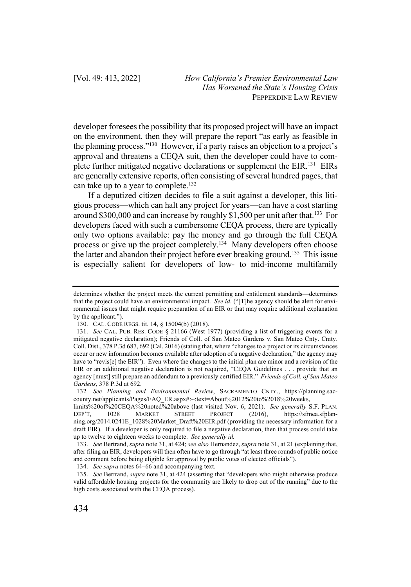developer foresees the possibility that its proposed project will have an impact on the environment, then they will prepare the report "as early as feasible in the planning process."130 However, if a party raises an objection to a project's approval and threatens a CEQA suit, then the developer could have to complete further mitigated negative declarations or supplement the EIR.<sup>131</sup> EIRs are generally extensive reports, often consisting of several hundred pages, that can take up to a year to complete.<sup>132</sup>

If a deputized citizen decides to file a suit against a developer, this litigious process—which can halt any project for years—can have a cost starting around \$300,000 and can increase by roughly \$1,500 per unit after that.<sup>133</sup> For developers faced with such a cumbersome CEQA process, there are typically only two options available: pay the money and go through the full CEQA process or give up the project completely.<sup>134</sup> Many developers often choose the latter and abandon their project before ever breaking ground.135 This issue is especially salient for developers of low- to mid-income multifamily

determines whether the project meets the current permitting and entitlement standards—determines that the project could have an environmental impact. *See id.* ("[T]he agency should be alert for environmental issues that might require preparation of an EIR or that may require additional explanation by the applicant.").

<sup>130.</sup> CAL. CODE REGS. tit. 14, § 15004(b) (2018).

<sup>131.</sup> *See* CAL. PUB. RES. CODE § 21166 (West 1977) (providing a list of triggering events for a mitigated negative declaration); Friends of Coll. of San Mateo Gardens v. San Mateo Cnty. Cmty. Coll. Dist., 378 P.3d 687, 692 (Cal. 2016) (stating that, where "changes to a project or its circumstances occur or new information becomes available after adoption of a negative declaration," the agency may have to "revis[e] the EIR"). Even where the changes to the initial plan are minor and a revision of the EIR or an additional negative declaration is not required, "CEQA Guidelines . . . provide that an agency [must] still prepare an addendum to a previously certified EIR." *Friends of Coll. of San Mateo Gardens*, 378 P.3d at 692.

<sup>132</sup>*. See Planning and Environmental Review*, SACRAMENTO CNTY., https://planning.saccounty.net/applicants/Pages/FAQ\_ER.aspx#:~:text=About%2012%20to%2018%20weeks,

limits%20of%20CEQA%20noted%20above (last visited Nov. 6, 2021). *See generally* S.F. PLAN. DEP'T, 1028 MARKET STREET PROJECT (2016), https://sfmea.sfplanning.org/2014.0241E\_1028%20Market\_Draft%20EIR.pdf (providing the necessary information for a draft EIR). If a developer is only required to file a negative declaration, then that process could take up to twelve to eighteen weeks to complete. *See generally id.*

<sup>133.</sup> *See* Bertrand, *supra* note 31, at 424; *see also* Hernandez, *supra* note 31, at 21 (explaining that, after filing an EIR, developers will then often have to go through "at least three rounds of public notice and comment before being eligible for approval by public votes of elected officials").

<sup>134.</sup> *See supra* notes 64–66 and accompanying text.

<sup>135.</sup> *See* Bertrand, *supra* note 31, at 424 (asserting that "developers who might otherwise produce valid affordable housing projects for the community are likely to drop out of the running" due to the high costs associated with the CEQA process).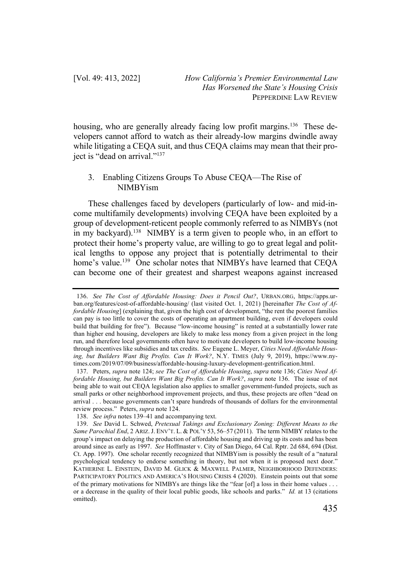housing, who are generally already facing low profit margins.<sup>136</sup> These developers cannot afford to watch as their already-low margins dwindle away while litigating a CEQA suit, and thus CEQA claims may mean that their project is "dead on arrival."137

# 3. Enabling Citizens Groups To Abuse CEQA—The Rise of NIMBYism

These challenges faced by developers (particularly of low- and mid-income multifamily developments) involving CEQA have been exploited by a group of development-reticent people commonly referred to as NIMBYs (not in my backyard).<sup>138</sup> NIMBY is a term given to people who, in an effort to protect their home's property value, are willing to go to great legal and political lengths to oppose any project that is potentially detrimental to their home's value.<sup>139</sup> One scholar notes that NIMBYs have learned that CEQA can become one of their greatest and sharpest weapons against increased

<sup>136.</sup> *See The Cost of Affordable Housing: Does it Pencil Out?*, URBAN.ORG, https://apps.urban.org/features/cost-of-affordable-housing/ (last visited Oct. 1, 2021) [hereinafter *The Cost of Affordable Housing*] (explaining that, given the high cost of development, "the rent the poorest families can pay is too little to cover the costs of operating an apartment building, even if developers could build that building for free"). Because "low-income housing" is rented at a substantially lower rate than higher end housing, developers are likely to make less money from a given project in the long run, and therefore local governments often have to motivate developers to build low-income housing through incentives like subsidies and tax credits. *See* Eugene L. Meyer, *Cities Need Affordable Housing, but Builders Want Big Profits. Can It Work?*, N.Y. TIMES (July 9, 2019), https://www.nytimes.com/2019/07/09/business/affordable-housing-luxury-development-gentrification.html.

<sup>137.</sup> Peters, *supra* note 124; *see The Cost of Affordable Housing*, *supra* note 136; *Cities Need Affordable Housing, but Builders Want Big Profits. Can It Work?*, *supra* note 136. The issue of not being able to wait out CEQA legislation also applies to smaller government-funded projects, such as small parks or other neighborhood improvement projects, and thus, these projects are often "dead on arrival . . . because governments can't spare hundreds of thousands of dollars for the environmental review process." Peters, *supra* note 124.

<sup>138.</sup> *See infra* notes 139–41 and accompanying text.

<sup>139.</sup> *See* David L. Schwed, *Pretexual Takings and Exclusionary Zoning: Different Means to the Same Parochial End*, 2 ARIZ.J. ENV'T. L. & POL'Y 53, 56–57 (2011). The term NIMBY relates to the group's impact on delaying the production of affordable housing and driving up its costs and has been around since as early as 1997. *See* Hoffmaster v. City of San Diego, 64 Cal. Rptr. 2d 684, 694 (Dist. Ct. App. 1997). One scholar recently recognized that NIMBYism is possibly the result of a "natural psychological tendency to endorse something in theory, but not when it is proposed next door." KATHERINE L. EINSTEIN, DAVID M. GLICK & MAXWELL PALMER, NEIGHBORHOOD DEFENDERS: PARTICIPATORY POLITICS AND AMERICA'S HOUSING CRISIS 4 (2020). Einstein points out that some of the primary motivations for NIMBYs are things like the "fear [of] a loss in their home values . . . or a decrease in the quality of their local public goods, like schools and parks." *Id.* at 13 (citations omitted).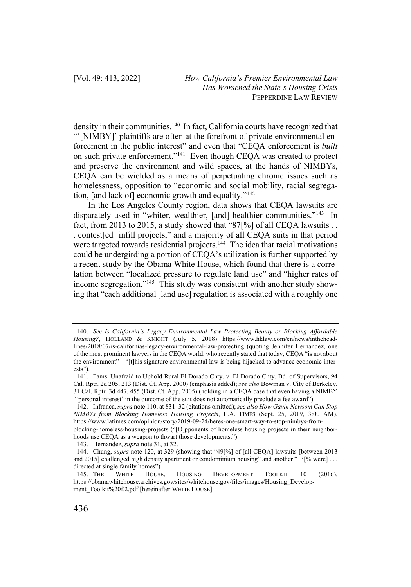density in their communities.<sup>140</sup> In fact, California courts have recognized that "'[NIMBY]' plaintiffs are often at the forefront of private environmental enforcement in the public interest" and even that "CEQA enforcement is *built*  on such private enforcement."141 Even though CEQA was created to protect and preserve the environment and wild spaces, at the hands of NIMBYs, CEQA can be wielded as a means of perpetuating chronic issues such as homelessness, opposition to "economic and social mobility, racial segregation,  $[$ and lack of $]$  economic growth and equality." $142$ 

In the Los Angeles County region, data shows that CEQA lawsuits are disparately used in "whiter, wealthier, [and] healthier communities."<sup>143</sup> In fact, from 2013 to 2015, a study showed that "87[%] of all CEQA lawsuits . . . contest[ed] infill projects," and a majority of all CEQA suits in that period were targeted towards residential projects.<sup>144</sup> The idea that racial motivations could be undergirding a portion of CEQA's utilization is further supported by a recent study by the Obama White House, which found that there is a correlation between "localized pressure to regulate land use" and "higher rates of income segregation."145 This study was consistent with another study showing that "each additional [land use] regulation is associated with a roughly one

<sup>140.</sup> *See Is California's Legacy Environmental Law Protecting Beauty or Blocking Affordable Housing?*, HOLLAND & KNIGHT (July 5, 2018) https://www.hklaw.com/en/news/intheheadlines/2018/07/is-californias-legacy-environmental-law-protecting (quoting Jennifer Hernandez, one of the most prominent lawyers in the CEQA world, who recently stated that today, CEQA "is not about the environment"—"[t]his signature environmental law is being hijacked to advance economic interests").

<sup>141.</sup> Fams. Unafraid to Uphold Rural El Dorado Cnty. v. El Dorado Cnty. Bd. of Supervisors, 94 Cal. Rptr. 2d 205, 213 (Dist. Ct. App. 2000) (emphasis added); *see also* Bowman v. City of Berkeley, 31 Cal. Rptr. 3d 447, 455 (Dist. Ct. App. 2005) (holding in a CEQA case that even having a NIMBY "'personal interest' in the outcome of the suit does not automatically preclude a fee award").

<sup>142.</sup> Infranca, *supra* note 110, at 831–32 (citations omitted); *see also How Gavin Newsom Can Stop NIMBYs from Blocking Homeless Housing Projects*, L.A. TIMES (Sept. 25, 2019, 3:00 AM), https://www.latimes.com/opinion/story/2019-09-24/heres-one-smart-way-to-stop-nimbys-fromblocking-homeless-housing-projects ("[O]pponents of homeless housing projects in their neighborhoods use CEQA as a weapon to thwart those developments.").

<sup>143.</sup> Hernandez, *supra* note 31, at 32.

<sup>144.</sup> Chung, *supra* note 120, at 329 (showing that "49[%] of [all CEQA] lawsuits [between 2013 and 2015] challenged high density apartment or condominium housing" and another "13[% were] . . . directed at single family homes").

<sup>145.</sup> THE WHITE HOUSE, HOUSING DEVELOPMENT TOOLKIT 10 (2016), https://obamawhitehouse.archives.gov/sites/whitehouse.gov/files/images/Housing\_Development\_Toolkit%20f.2.pdf [hereinafter WHITE HOUSE].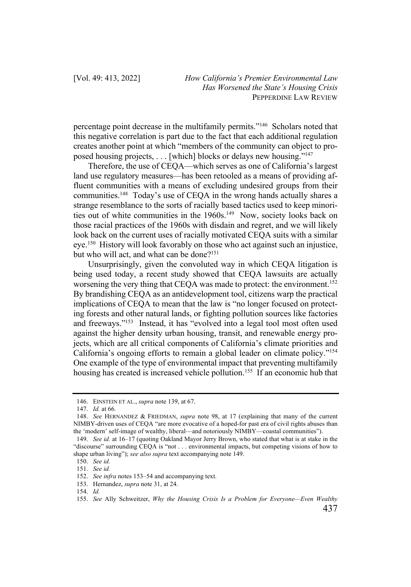percentage point decrease in the multifamily permits."146 Scholars noted that this negative correlation is part due to the fact that each additional regulation creates another point at which "members of the community can object to proposed housing projects, . . . [which] blocks or delays new housing."147

Therefore, the use of CEQA—which serves as one of California's largest land use regulatory measures—has been retooled as a means of providing affluent communities with a means of excluding undesired groups from their communities.148 Today's use of CEQA in the wrong hands actually shares a strange resemblance to the sorts of racially based tactics used to keep minorities out of white communities in the 1960s.<sup>149</sup> Now, society looks back on those racial practices of the 1960s with disdain and regret, and we will likely look back on the current uses of racially motivated CEQA suits with a similar eye.150 History will look favorably on those who act against such an injustice, but who will act, and what can be done?<sup>151</sup>

Unsurprisingly, given the convoluted way in which CEQA litigation is being used today, a recent study showed that CEQA lawsuits are actually worsening the very thing that CEQA was made to protect: the environment.<sup>152</sup> By brandishing CEQA as an antidevelopment tool, citizens warp the practical implications of CEQA to mean that the law is "no longer focused on protecting forests and other natural lands, or fighting pollution sources like factories and freeways."153 Instead, it has "evolved into a legal tool most often used against the higher density urban housing, transit, and renewable energy projects, which are all critical components of California's climate priorities and California's ongoing efforts to remain a global leader on climate policy."154 One example of the type of environmental impact that preventing multifamily housing has created is increased vehicle pollution.<sup>155</sup> If an economic hub that

<sup>146.</sup> EINSTEIN ET AL., *supra* note 139, at 67.

<sup>147.</sup> *Id.* at 66*.*

<sup>148.</sup> *See* HERNANDEZ & FRIEDMAN, *supra* note 98, at 17 (explaining that many of the current NIMBY-driven uses of CEQA "are more evocative of a hoped-for past era of civil rights abuses than the 'modern' self-image of wealthy, liberal—and notoriously NIMBY—coastal communities").

<sup>149.</sup> *See id.* at 16–17 (quoting Oakland Mayor Jerry Brown, who stated that what is at stake in the "discourse" surrounding CEQA is "not . . . environmental impacts, but competing visions of how to shape urban living"); *see also supra* text accompanying note 149.

<sup>150.</sup> *See id.*

<sup>151.</sup> *See id.*

<sup>152.</sup> *See infra* notes 153–54 and accompanying text.

<sup>153.</sup> Hernandez, *supra* note 31, at 24.

<sup>154.</sup> *Id.*

<sup>155.</sup> *See* Ally Schweitzer, *Why the Housing Crisis Is a Problem for Everyone—Even Wealthy*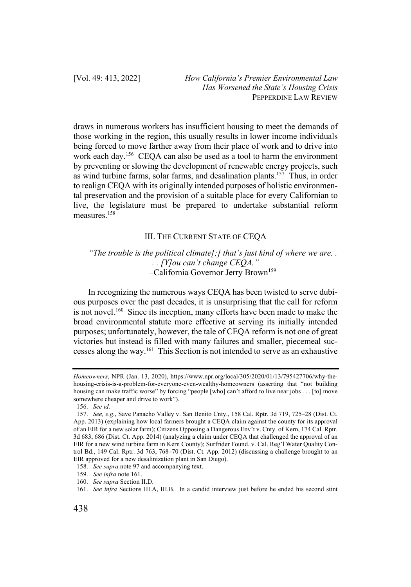draws in numerous workers has insufficient housing to meet the demands of those working in the region, this usually results in lower income individuals being forced to move farther away from their place of work and to drive into work each day.156 CEQA can also be used as a tool to harm the environment by preventing or slowing the development of renewable energy projects, such as wind turbine farms, solar farms, and desalination plants.157 Thus, in order to realign CEQA with its originally intended purposes of holistic environmental preservation and the provision of a suitable place for every Californian to live, the legislature must be prepared to undertake substantial reform measures.158

# III. THE CURRENT STATE OF CEQA

## *"The trouble is the political climate[;] that's just kind of where we are. . . . [Y]ou can't change CEQA." –*California Governor Jerry Brown159

In recognizing the numerous ways CEQA has been twisted to serve dubious purposes over the past decades, it is unsurprising that the call for reform is not novel.<sup>160</sup> Since its inception, many efforts have been made to make the broad environmental statute more effective at serving its initially intended purposes; unfortunately, however, the tale of CEQA reform is not one of great victories but instead is filled with many failures and smaller, piecemeal successes along the way.161 This Section is not intended to serve as an exhaustive

*Homeowners*, NPR (Jan. 13, 2020), https://www.npr.org/local/305/2020/01/13/795427706/why-thehousing-crisis-is-a-problem-for-everyone-even-wealthy-homeowners (asserting that "not building housing can make traffic worse" by forcing "people [who] can't afford to live near jobs . . . [to] move somewhere cheaper and drive to work").

<sup>156.</sup> *See id.*

<sup>157.</sup> *See, e.g.*, Save Panacho Valley v. San Benito Cnty., 158 Cal. Rptr. 3d 719, 725–28 (Dist. Ct. App. 2013) (explaining how local farmers brought a CEQA claim against the county for its approval of an EIR for a new solar farm); Citizens Opposing a Dangerous Env't v. Cnty. of Kern, 174 Cal. Rptr. 3d 683, 686 (Dist. Ct. App. 2014) (analyzing a claim under CEQA that challenged the approval of an EIR for a new wind turbine farm in Kern County); Surfrider Found. v. Cal. Reg'l Water Quality Control Bd., 149 Cal. Rptr. 3d 763, 768–70 (Dist. Ct. App. 2012) (discussing a challenge brought to an EIR approved for a new desalinization plant in San Diego).

<sup>158.</sup> *See supra* note 97 and accompanying text.

<sup>159.</sup> *See infra* note 161.

<sup>160.</sup> *See supra* Section II.D.

<sup>161.</sup> *See infra* Sections III.A, III.B. In a candid interview just before he ended his second stint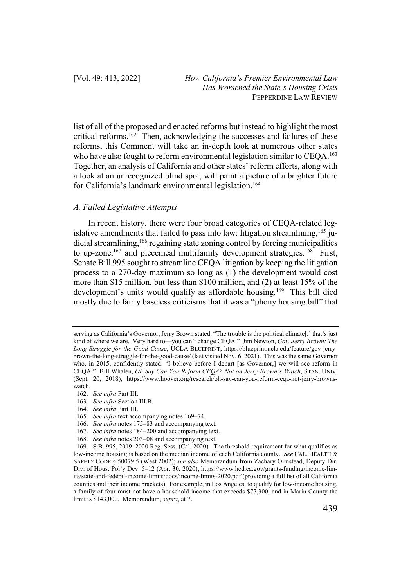list of all of the proposed and enacted reforms but instead to highlight the most critical reforms.<sup>162</sup> Then, acknowledging the successes and failures of these reforms, this Comment will take an in-depth look at numerous other states who have also fought to reform environmental legislation similar to CEQA.<sup>163</sup> Together, an analysis of California and other states' reform efforts, along with a look at an unrecognized blind spot, will paint a picture of a brighter future for California's landmark environmental legislation.<sup>164</sup>

### *A. Failed Legislative Attempts*

In recent history, there were four broad categories of CEQA-related legislative amendments that failed to pass into law: litigation streamlining,  $165$  judicial streamlining,<sup>166</sup> regaining state zoning control by forcing municipalities to up-zone,<sup>167</sup> and piecemeal multifamily development strategies.<sup>168</sup> First, Senate Bill 995 sought to streamline CEQA litigation by keeping the litigation process to a 270-day maximum so long as (1) the development would cost more than \$15 million, but less than \$100 million, and (2) at least 15% of the development's units would qualify as affordable housing.<sup>169</sup> This bill died mostly due to fairly baseless criticisms that it was a "phony housing bill" that

164. *See infra* Part III.

serving as California's Governor, Jerry Brown stated, "The trouble is the political climate[;] that's just kind of where we are. Very hard to—you can't change CEQA." Jim Newton, *Gov. Jerry Brown: The Long Struggle for the Good Cause*, UCLA BLUEPRINT, https://blueprint.ucla.edu/feature/gov-jerrybrown-the-long-struggle-for-the-good-cause/ (last visited Nov. 6, 2021). This was the same Governor who, in 2015, confidently stated: "I believe before I depart [as Governor,] we will see reform in CEQA." Bill Whalen, *Oh Say Can You Reform CEQA? Not on Jerry Brown's Watch*, STAN. UNIV. (Sept. 20, 2018), https://www.hoover.org/research/oh-say-can-you-reform-ceqa-not-jerry-brownswatch.

<sup>162.</sup> *See infra* Part III.

<sup>163.</sup> *See infra* Section III.B.

<sup>165.</sup> *See infra* text accompanying notes 169–74.

<sup>166.</sup> *See infra* notes 175–83 and accompanying text.

<sup>167.</sup> *See infra* notes 184–200 and accompanying text.

<sup>168.</sup> *See infra* notes 203–08 and accompanying text.

<sup>169.</sup> S.B. 995, 2019–2020 Reg. Sess. (Cal. 2020). The threshold requirement for what qualifies as low-income housing is based on the median income of each California county. *See* CAL. HEALTH & SAFETY CODE § 50079.5 (West 2002); *see also* Memorandum from Zachary Olmstead, Deputy Dir. Div. of Hous. Pol'y Dev. 5–12 (Apr. 30, 2020), https://www.hcd.ca.gov/grants-funding/income-limits/state-and-federal-income-limits/docs/income-limits-2020.pdf (providing a full list of all California counties and their income brackets). For example, in Los Angeles, to qualify for low-income housing, a family of four must not have a household income that exceeds \$77,300, and in Marin County the limit is \$143,000. Memorandum, *supra*, at 7.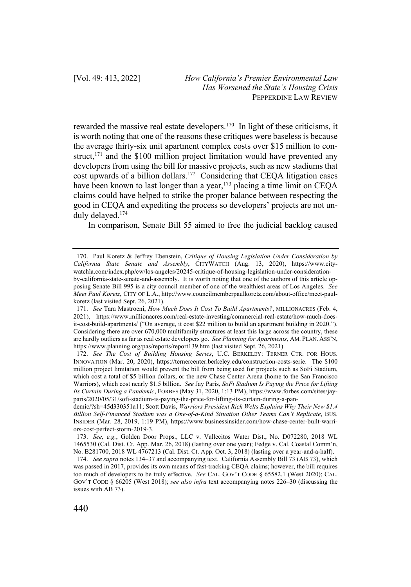rewarded the massive real estate developers.170 In light of these criticisms, it is worth noting that one of the reasons these critiques were baseless is because the average thirty-six unit apartment complex costs over \$15 million to construct, $171$  and the \$100 million project limitation would have prevented any developers from using the bill for massive projects, such as new stadiums that cost upwards of a billion dollars.172 Considering that CEQA litigation cases have been known to last longer than a year,  $173$  placing a time limit on CEOA claims could have helped to strike the proper balance between respecting the good in CEQA and expediting the process so developers' projects are not unduly delayed.174

In comparison, Senate Bill 55 aimed to free the judicial backlog caused

173. *See, e.g.*, Golden Door Props., LLC v. Vallecitos Water Dist., No. D072280, 2018 WL 1465530 (Cal. Dist. Ct. App. Mar. 26, 2018) (lasting over one year); Fedge v. Cal. Coastal Comm'n, No. B281700, 2018 WL 4767213 (Cal. Dist. Ct. App. Oct. 3, 2018) (lasting over a year-and-a-half).

<sup>170.</sup> Paul Koretz & Jeffrey Ebenstein, *Critique of Housing Legislation Under Consideration by California State Senate and Assembly*, CITYWATCH (Aug. 13, 2020), https://www.citywatchla.com/index.php/cw/los-angeles/20245-critique-of-housing-legislation-under-considerationby-california-state-senate-and-assembly. It is worth noting that one of the authors of this article opposing Senate Bill 995 is a city council member of one of the wealthiest areas of Los Angeles. *See Meet Paul Koretz*, CITY OF L.A., http://www.councilmemberpaulkoretz.com/about-office/meet-paulkoretz (last visited Sept. 26, 2021).

<sup>171.</sup> *See* Tara Mastroeni, *How Much Does It Cost To Build Apartments?*, MILLIONACRES (Feb. 4, 2021), https://www.millionacres.com/real-estate-investing/commercial-real-estate/how-much-doesit-cost-build-apartments/ ("On average, it cost \$22 million to build an apartment building in 2020."). Considering there are over 670,000 multifamily structures at least this large across the country, these are hardly outliers as far as real estate developers go. *See Planning for Apartments*, AM. PLAN. ASS'N, https://www.planning.org/pas/reports/report139.htm (last visited Sept. 26, 2021).

<sup>172.</sup> *See The Cost of Building Housing Series*, U.C. BERKELEY: TERNER CTR. FOR HOUS. INNOVATION (Mar. 20, 2020), https://ternercenter.berkeley.edu/construction-costs-serie. The \$100 million project limitation would prevent the bill from being used for projects such as SoFi Stadium, which cost a total of \$5 billion dollars, or the new Chase Center Arena (home to the San Francisco Warriors), which cost nearly \$1.5 billion. *See* Jay Paris, *SoFi Stadium Is Paying the Price for Lifting Its Curtain During a Pandemic*, FORBES (May 31, 2020, 1:13 PM), https://www.forbes.com/sites/jayparis/2020/05/31/sofi-stadium-is-paying-the-price-for-lifting-its-curtain-during-a-pan-

demic/?sh=45d330351a11; Scott Davis, *Warriors President Rick Welts Explains Why Their New \$1.4 Billion Self-Financed Stadium was a One-of-a-Kind Situation Other Teams Can't Replicate*, BUS. INSIDER (Mar. 28, 2019, 1:19 PM), https://www.businessinsider.com/how-chase-center-built-warriors-cost-perfect-storm-2019-3.

<sup>174.</sup> *See supra* notes 134–37 and accompanying text. California Assembly Bill 73 (AB 73), which was passed in 2017, provides its own means of fast-tracking CEQA claims; however, the bill requires too much of developers to be truly effective. *See* CAL. GOV'T CODE § 65582.1 (West 2020); CAL. GOV'T CODE § 66205 (West 2018); *see also infra* text accompanying notes 226–30 (discussing the issues with AB 73).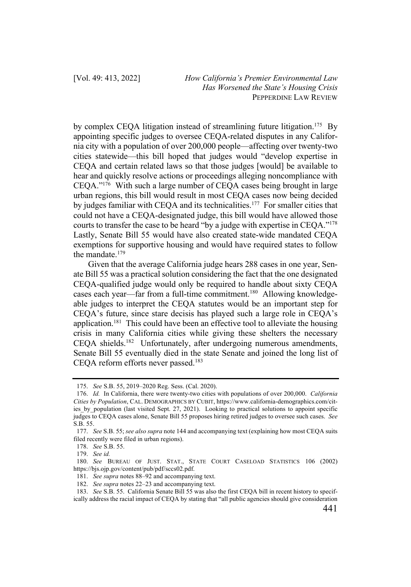by complex CEOA litigation instead of streamlining future litigation.<sup>175</sup> By appointing specific judges to oversee CEQA-related disputes in any California city with a population of over 200,000 people—affecting over twenty-two cities statewide—this bill hoped that judges would "develop expertise in CEQA and certain related laws so that those judges [would] be available to hear and quickly resolve actions or proceedings alleging noncompliance with CEQA."176 With such a large number of CEQA cases being brought in large urban regions, this bill would result in most CEQA cases now being decided by judges familiar with CEQA and its technicalities.<sup>177</sup> For smaller cities that could not have a CEQA-designated judge, this bill would have allowed those courts to transfer the case to be heard "by a judge with expertise in CEQA."178 Lastly, Senate Bill 55 would have also created state-wide mandated CEQA exemptions for supportive housing and would have required states to follow the mandate.179

Given that the average California judge hears 288 cases in one year, Senate Bill 55 was a practical solution considering the fact that the one designated CEQA-qualified judge would only be required to handle about sixty CEQA cases each year—far from a full-time commitment.<sup>180</sup> Allowing knowledgeable judges to interpret the CEQA statutes would be an important step for CEQA's future, since stare decisis has played such a large role in CEQA's application.<sup>181</sup> This could have been an effective tool to alleviate the housing crisis in many California cities while giving these shelters the necessary CEQA shields.<sup>182</sup> Unfortunately, after undergoing numerous amendments, Senate Bill 55 eventually died in the state Senate and joined the long list of CEQA reform efforts never passed.<sup>183</sup>

<sup>175.</sup> *See* S.B. 55, 2019–2020 Reg. Sess. (Cal. 2020).

<sup>176.</sup> *Id.* In California, there were twenty-two cities with populations of over 200,000. *California Cities by Population*, CAL. DEMOGRAPHICS BY CUBIT, https://www.california-demographics.com/cities by population (last visited Sept. 27, 2021). Looking to practical solutions to appoint specific judges to CEQA cases alone, Senate Bill 55 proposes hiring retired judges to oversee such cases. *See*  S.B. 55.

<sup>177.</sup> *See* S.B. 55; *see also supra* note 144 and accompanying text (explaining how most CEQA suits filed recently were filed in urban regions).

<sup>178.</sup> *See* S.B. 55.

<sup>179.</sup> *See id.*

<sup>180.</sup> *See* BUREAU OF JUST. STAT., STATE COURT CASELOAD STATISTICS 106 (2002) https://bjs.ojp.gov/content/pub/pdf/sccs02.pdf.

<sup>181.</sup> *See supra* notes 88–92 and accompanying text.

<sup>182.</sup> *See supra* notes 22–23 and accompanying text.

<sup>183.</sup> *See* S.B. 55. California Senate Bill 55 was also the first CEQA bill in recent history to specifically address the racial impact of CEQA by stating that "all public agencies should give consideration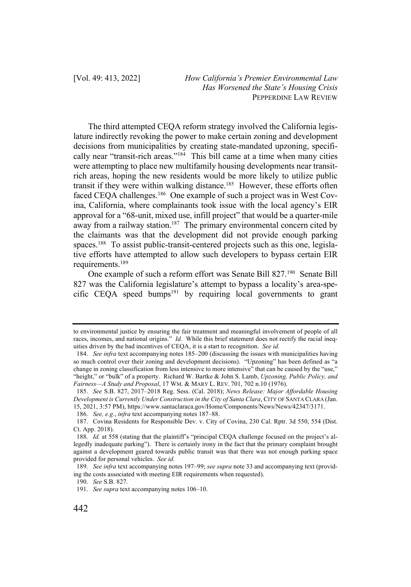The third attempted CEQA reform strategy involved the California legislature indirectly revoking the power to make certain zoning and development decisions from municipalities by creating state-mandated upzoning, specifically near "transit-rich areas."184 This bill came at a time when many cities were attempting to place new multifamily housing developments near transitrich areas, hoping the new residents would be more likely to utilize public transit if they were within walking distance.<sup>185</sup> However, these efforts often faced CEQA challenges.<sup>186</sup> One example of such a project was in West Covina, California, where complainants took issue with the local agency's EIR approval for a "68-unit, mixed use, infill project" that would be a quarter-mile  $\frac{1}{2}$  away from a railway station.<sup>187</sup> The primary environmental concern cited by the claimants was that the development did not provide enough parking spaces.<sup>188</sup> To assist public-transit-centered projects such as this one, legislative efforts have attempted to allow such developers to bypass certain EIR requirements.189

One example of such a reform effort was Senate Bill 827.190 Senate Bill 827 was the California legislature's attempt to bypass a locality's area-specific CEQA speed bumps<sup>191</sup> by requiring local governments to grant

to environmental justice by ensuring the fair treatment and meaningful involvement of people of all races, incomes, and national origins." *Id.* While this brief statement does not rectify the racial inequities driven by the bad incentives of CEQA, it is a start to recognition. *See id.*

<sup>184.</sup> *See infra* text accompanying notes 185–200 (discussing the issues with municipalities having so much control over their zoning and development decisions). "Upzoning" has been defined as "a change in zoning classification from less intensive to more intensive" that can be caused by the "use," "height," or "bulk" of a property. Richard W. Bartke & John S. Lamb, *Upzoning, Public Policy, and Fairness—A Study and Proposal*, 17 WM. & MARY L. REV. 701, 702 n.10 (1976).

<sup>185.</sup> *See* S.B. 827, 2017–2018 Reg. Sess. (Cal. 2018); *News Release: Major Affordable Housing Development is Currently Under Construction in the City of Santa Clara*, CITY OF SANTA CLARA (Jan. 15, 2021, 3:57 PM), https://www.santaclaraca.gov/Home/Components/News/News/42347/3171.

<sup>186.</sup> *See, e.g.*, *infra* text accompanying notes 187–88.

<sup>187.</sup> Covina Residents for Responsible Dev. v. City of Covina, 230 Cal. Rptr. 3d 550, 554 (Dist. Ct. App. 2018).

<sup>188.</sup> *Id.* at 558 (stating that the plaintiff's "principal CEQA challenge focused on the project's allegedly inadequate parking"). There is certainly irony in the fact that the primary complaint brought against a development geared towards public transit was that there was not enough parking space provided for personal vehicles. *See id.*

<sup>189.</sup> *See infra* text accompanying notes 197–99; *see supra* note 33 and accompanying text (providing the costs associated with meeting EIR requirements when requested).

<sup>190.</sup> *See* S.B. 827.

<sup>191.</sup> *See supra* text accompanying notes 106–10.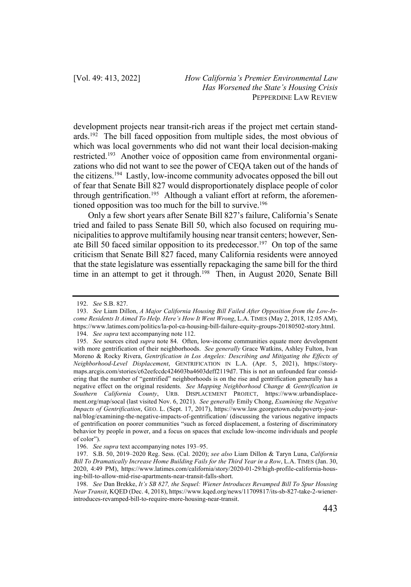development projects near transit-rich areas if the project met certain standards.<sup>192</sup> The bill faced opposition from multiple sides, the most obvious of which was local governments who did not want their local decision-making restricted.193 Another voice of opposition came from environmental organizations who did not want to see the power of CEQA taken out of the hands of the citizens.194 Lastly, low-income community advocates opposed the bill out of fear that Senate Bill 827 would disproportionately displace people of color through gentrification.<sup>195</sup> Although a valiant effort at reform, the aforementioned opposition was too much for the bill to survive.<sup>196</sup>

Only a few short years after Senate Bill 827's failure, California's Senate tried and failed to pass Senate Bill 50, which also focused on requiring municipalities to approve multifamily housing near transit centers; however, Senate Bill 50 faced similar opposition to its predecessor.<sup>197</sup> On top of the same criticism that Senate Bill 827 faced, many California residents were annoyed that the state legislature was essentially repackaging the same bill for the third time in an attempt to get it through.<sup>198</sup> Then, in August 2020, Senate Bill

<sup>192.</sup> *See* S.B. 827.

<sup>193.</sup> *See* Liam Dillon, *A Major California Housing Bill Failed After Opposition from the Low-Income Residents It Aimed To Help. Here's How It Went Wrong*, L.A. TIMES (May 2, 2018, 12:05 AM), https://www.latimes.com/politics/la-pol-ca-housing-bill-failure-equity-groups-20180502-story.html.

<sup>194.</sup> *See supra* text accompanying note 112.

<sup>195.</sup> *See* sources cited *supra* note 84. Often, low-income communities equate more development with more gentrification of their neighborhoods. *See generally* Grace Watkins, Ashley Fulton, Ivan Moreno & Rocky Rivera, *Gentrification in Los Angeles: Describing and Mitigating the Effects of Neighborhood-Level Displacement*, GENTRIFICATION IN L.A. (Apr. 5, 2021), https://storymaps.arcgis.com/stories/c62eefccdc424603ba4603deff2119d7. This is not an unfounded fear considering that the number of "gentrified" neighborhoods is on the rise and gentrification generally has a negative effect on the original residents. *See Mapping Neighborhood Change & Gentrification in Southern California County*, URB. DISPLACEMENT PROJECT, https://www.urbandisplacement.org/map/socal (last visited Nov. 6, 2021). *See generally* Emily Chong, *Examining the Negative Impacts of Gentrification*, GEO. L. (Sept. 17, 2017), https://www.law.georgetown.edu/poverty-journal/blog/examining-the-negative-impacts-of-gentrification/ (discussing the various negative impacts of gentrification on poorer communities "such as forced displacement, a fostering of discriminatory behavior by people in power, and a focus on spaces that exclude low-income individuals and people of color").

<sup>196.</sup> *See supra* text accompanying notes 193–95.

<sup>197.</sup> S.B. 50, 2019–2020 Reg. Sess. (Cal. 2020); *see also* Liam Dillon & Taryn Luna, *California Bill To Dramatically Increase Home Building Fails for the Third Year in a Row*, L.A. TIMES (Jan. 30, 2020, 4:49 PM), https://www.latimes.com/california/story/2020-01-29/high-profile-california-housing-bill-to-allow-mid-rise-apartments-near-transit-falls-short.

<sup>198.</sup> *See* Dan Brekke, *It's SB 827, the Sequel: Wiener Introduces Revamped Bill To Spur Housing Near Transit*, KQED (Dec. 4, 2018), https://www.kqed.org/news/11709817/its-sb-827-take-2-wienerintroduces-revamped-bill-to-require-more-housing-near-transit.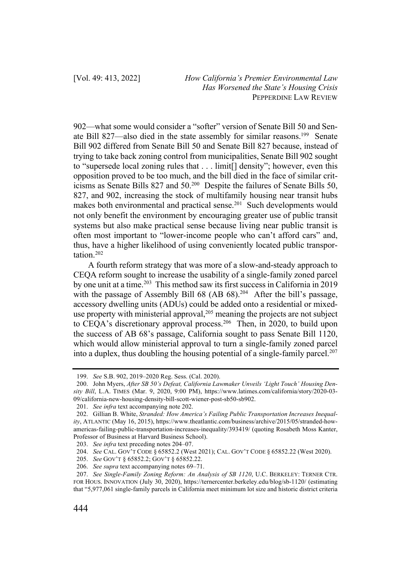902—what some would consider a "softer" version of Senate Bill 50 and Senate Bill 827—also died in the state assembly for similar reasons.<sup>199</sup> Senate Bill 902 differed from Senate Bill 50 and Senate Bill 827 because, instead of trying to take back zoning control from municipalities, Senate Bill 902 sought to "supersede local zoning rules that . . . limit[] density"; however, even this opposition proved to be too much, and the bill died in the face of similar criticisms as Senate Bills 827 and 50.200 Despite the failures of Senate Bills 50, 827, and 902, increasing the stock of multifamily housing near transit hubs makes both environmental and practical sense.<sup>201</sup> Such developments would not only benefit the environment by encouraging greater use of public transit systems but also make practical sense because living near public transit is often most important to "lower-income people who can't afford cars" and, thus, have a higher likelihood of using conveniently located public transportation.202

A fourth reform strategy that was more of a slow-and-steady approach to CEQA reform sought to increase the usability of a single-family zoned parcel by one unit at a time.<sup>203</sup> This method saw its first success in California in 2019 with the passage of Assembly Bill 68 (AB 68).<sup>204</sup> After the bill's passage, accessory dwelling units (ADUs) could be added onto a residential or mixeduse property with ministerial approval,  $205$  meaning the projects are not subject to CEQA's discretionary approval process.<sup>206</sup> Then, in 2020, to build upon the success of AB 68's passage, California sought to pass Senate Bill 1120, which would allow ministerial approval to turn a single-family zoned parcel into a duplex, thus doubling the housing potential of a single-family parcel.<sup>207</sup>

<sup>199.</sup> *See* S.B. 902, 2019–2020 Reg. Sess. (Cal. 2020).

<sup>200.</sup> John Myers, *After SB 50's Defeat, California Lawmaker Unveils 'Light Touch' Housing Density Bill*, L.A. TIMES (Mar. 9, 2020, 9:00 PM), https://www.latimes.com/california/story/2020-03- 09/california-new-housing-density-bill-scott-wiener-post-sb50-sb902.

<sup>201.</sup> *See infra* text accompanying note 202.

<sup>202.</sup> Gillian B. White, *Stranded: How America's Failing Public Transportation Increases Inequality*, ATLANTIC (May 16, 2015), https://www.theatlantic.com/business/archive/2015/05/stranded-howamericas-failing-public-transportation-increases-inequality/393419/ (quoting Rosabeth Moss Kanter, Professor of Business at Harvard Business School).

<sup>203.</sup> *See infra* text preceding notes 204–07.

<sup>204.</sup> *See* CAL. GOV'T CODE § 65852.2 (West 2021); CAL. GOV'T CODE § 65852.22 (West 2020).

<sup>205.</sup> *See* GOV'T § 65852.2; GOV'T § 65852.22.

<sup>206.</sup> *See supra* text accompanying notes 69–71.

<sup>207.</sup> *See Single-Family Zoning Reform: An Analysis of SB 1120*, U.C. BERKELEY: TERNER CTR. FOR HOUS. INNOVATION (July 30, 2020), https://ternercenter.berkeley.edu/blog/sb-1120/ (estimating that "5,977,061 single-family parcels in California meet minimum lot size and historic district criteria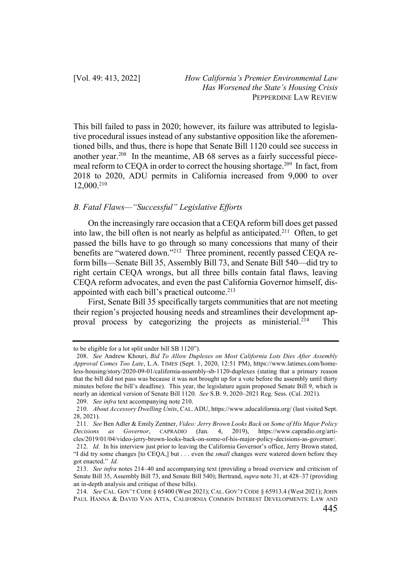This bill failed to pass in 2020; however, its failure was attributed to legislative procedural issues instead of any substantive opposition like the aforementioned bills, and thus, there is hope that Senate Bill 1120 could see success in another year.208 In the meantime, AB 68 serves as a fairly successful piecemeal reform to CEQA in order to correct the housing shortage.209 In fact, from 2018 to 2020, ADU permits in California increased from 9,000 to over 12,000.210

## *B. Fatal Flaws—"Successful" Legislative Efforts*

On the increasingly rare occasion that a CEQA reform bill does get passed into law, the bill often is not nearly as helpful as anticipated.211 Often, to get passed the bills have to go through so many concessions that many of their benefits are "watered down."<sup>212</sup> Three prominent, recently passed CEQA reform bills—Senate Bill 35, Assembly Bill 73, and Senate Bill 540—did try to right certain CEQA wrongs, but all three bills contain fatal flaws, leaving CEQA reform advocates, and even the past California Governor himself, disappointed with each bill's practical outcome.<sup>213</sup>

First, Senate Bill 35 specifically targets communities that are not meeting their region's projected housing needs and streamlines their development approval process by categorizing the projects as ministerial.<sup>214</sup> This

to be eligible for a lot split under bill SB 1120").

<sup>208.</sup> *See* Andrew Khouri, *Bid To Allow Duplexes on Most California Lots Dies After Assembly Approval Comes Too Late*, L.A. TIMES (Sept. 1, 2020, 12:51 PM), https://www.latimes.com/homeless-housing/story/2020-09-01/california-assembly-sb-1120-duplexes (stating that a primary reason that the bill did not pass was because it was not brought up for a vote before the assembly until thirty minutes before the bill's deadline). This year, the legislature again proposed Senate Bill 9, which is nearly an identical version of Senate Bill 1120. *See* S.B. 9, 2020–2021 Reg. Sess. (Cal. 2021). 209. *See infra* text accompanying note 210.

<sup>210.</sup> *About Accessory Dwelling Units*, CAL. ADU, https://www.aducalifornia.org/ (last visited Sept. 28, 2021).

<sup>211.</sup> *See* Ben Adler & Emily Zentner, *Video: Jerry Brown Looks Back on Some of His Major Policy Decisions as Governor*, CAPRADIO (Jan. 4, 2019), https://www.capradio.org/articles/2019/01/04/video-jerry-brown-looks-back-on-some-of-his-major-policy-decisions-as-governor/. 212. *Id.* In his interview just prior to leaving the California Governor's office, Jerry Brown stated, "I did try some changes [to CEQA,] but . . . even the *small* changes were watered down before they got enacted." *Id.*

<sup>213.</sup> *See infra* notes 214–40 and accompanying text (providing a broad overview and criticism of Senate Bill 35, Assembly Bill 73, and Senate Bill 540); Bertrand, *supra* note 31, at 428–37 (providing an in-depth analysis and critique of these bills).

<sup>214.</sup> *See* CAL. GOV'T CODE § 65400 (West 2021); CAL. GOV'T CODE § 65913.4 (West 2021); JOHN PAUL HANNA & DAVID VAN ATTA, CALIFORNIA COMMON INTEREST DEVELOPMENTS: LAW AND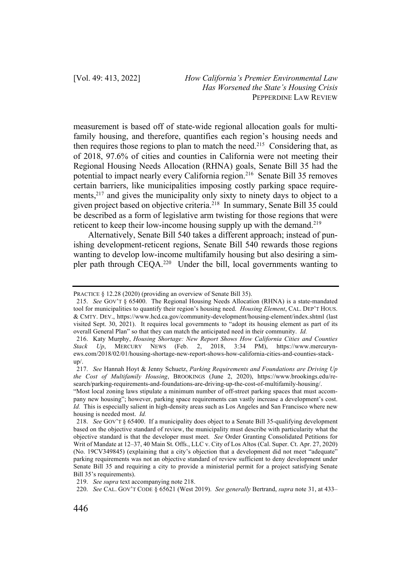measurement is based off of state-wide regional allocation goals for multifamily housing, and therefore, quantifies each region's housing needs and then requires those regions to plan to match the need.<sup>215</sup> Considering that, as of 2018, 97.6% of cities and counties in California were not meeting their Regional Housing Needs Allocation (RHNA) goals, Senate Bill 35 had the potential to impact nearly every California region.216 Senate Bill 35 removes certain barriers, like municipalities imposing costly parking space requirements,<sup>217</sup> and gives the municipality only sixty to ninety days to object to a given project based on objective criteria.<sup>218</sup> In summary, Senate Bill 35 could be described as a form of legislative arm twisting for those regions that were reticent to keep their low-income housing supply up with the demand.<sup>219</sup>

Alternatively, Senate Bill 540 takes a different approach; instead of punishing development-reticent regions, Senate Bill 540 rewards those regions wanting to develop low-income multifamily housing but also desiring a simpler path through CEQA.220 Under the bill, local governments wanting to

PRACTICE § 12.28 (2020) (providing an overview of Senate Bill 35).

<sup>215.</sup> *See* GOV'T § 65400. The Regional Housing Needs Allocation (RHNA) is a state-mandated tool for municipalities to quantify their region's housing need. *Housing Element*, CAL. DEP'T HOUS. & CMTY. DEV., https://www.hcd.ca.gov/community-development/housing-element/index.shtml (last visited Sept. 30, 2021). It requires local governments to "adopt its housing element as part of its overall General Plan" so that they can match the anticipated need in their community. *Id.*

<sup>216.</sup> Katy Murphy, *Housing Shortage: New Report Shows How California Cities and Counties Stack Up*, MERCURY NEWS (Feb. 2, 2018, 3:34 PM), https://www.mercurynews.com/2018/02/01/housing-shortage-new-report-shows-how-california-cities-and-counties-stackup/.

<sup>217.</sup> *See* Hannah Hoyt & Jenny Schuetz, *Parking Requirements and Foundations are Driving Up the Cost of Multifamily Housing*, BROOKINGS (June 2, 2020), https://www.brookings.edu/research/parking-requirements-and-foundations-are-driving-up-the-cost-of-multifamily-housing/.

<sup>&</sup>quot;Most local zoning laws stipulate a minimum number of off-street parking spaces that must accompany new housing"; however, parking space requirements can vastly increase a development's cost. *Id.* This is especially salient in high-density areas such as Los Angeles and San Francisco where new housing is needed most. *Id.*

<sup>218.</sup> *See* GOV'T § 65400. If a municipality does object to a Senate Bill 35-qualifying development based on the objective standard of review, the municipality must describe with particularity what the objective standard is that the developer must meet. *See* Order Granting Consolidated Petitions for Writ of Mandate at 12–37, 40 Main St. Offs., LLC v. City of Los Altos (Cal. Super. Ct. Apr. 27, 2020) (No. 19CV349845) (explaining that a city's objection that a development did not meet "adequate" parking requirements was not an objective standard of review sufficient to deny development under Senate Bill 35 and requiring a city to provide a ministerial permit for a project satisfying Senate Bill 35's requirements).

<sup>219.</sup> *See supra* text accompanying note 218.

<sup>220.</sup> *See* CAL. GOV'T CODE § 65621 (West 2019). *See generally* Bertrand, *supra* note 31, at 433–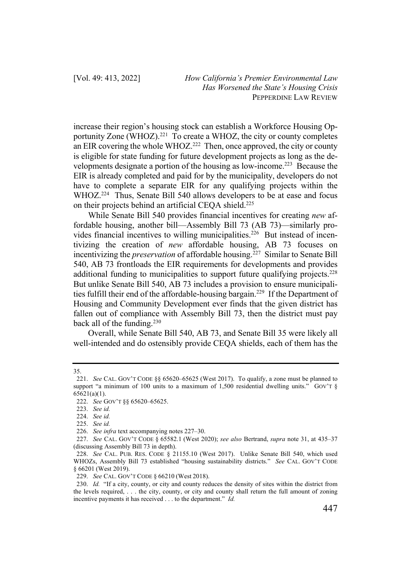increase their region's housing stock can establish a Workforce Housing Opportunity Zone (WHOZ).<sup>221</sup> To create a WHOZ, the city or county completes an EIR covering the whole WHOZ.<sup>222</sup> Then, once approved, the city or county is eligible for state funding for future development projects as long as the developments designate a portion of the housing as low-income.223 Because the EIR is already completed and paid for by the municipality, developers do not have to complete a separate EIR for any qualifying projects within the WHOZ.<sup>224</sup> Thus, Senate Bill 540 allows developers to be at ease and focus on their projects behind an artificial CEQA shield.<sup>225</sup>

While Senate Bill 540 provides financial incentives for creating *new* affordable housing, another bill—Assembly Bill 73 (AB 73)—similarly provides financial incentives to willing municipalities.<sup>226</sup> But instead of incentivizing the creation of *new* affordable housing, AB 73 focuses on incentivizing the *preservation* of affordable housing.227 Similar to Senate Bill 540, AB 73 frontloads the EIR requirements for developments and provides additional funding to municipalities to support future qualifying projects.<sup>228</sup> But unlike Senate Bill 540, AB 73 includes a provision to ensure municipalities fulfill their end of the affordable-housing bargain.<sup>229</sup> If the Department of Housing and Community Development ever finds that the given district has fallen out of compliance with Assembly Bill 73, then the district must pay back all of the funding.<sup>230</sup>

Overall, while Senate Bill 540, AB 73, and Senate Bill 35 were likely all well-intended and do ostensibly provide CEQA shields, each of them has the

<sup>35.</sup>

<sup>221.</sup> *See* CAL. GOV'T CODE §§ 65620–65625 (West 2017). To qualify, a zone must be planned to support "a minimum of 100 units to a maximum of 1,500 residential dwelling units." GOV'T  $\S$  $65621(a)(1)$ .

<sup>222.</sup> *See* GOV'T §§ 65620–65625.

<sup>223.</sup> *See id.*

<sup>224.</sup> *See id.*

<sup>225.</sup> *See id.*

<sup>226.</sup> *See infra* text accompanying notes 227–30.

<sup>227.</sup> *See* CAL. GOV'T CODE § 65582.1 (West 2020); *see also* Bertrand, *supra* note 31, at 435–37 (discussing Assembly Bill 73 in depth).

<sup>228.</sup> *See* CAL. PUB. RES. CODE § 21155.10 (West 2017). Unlike Senate Bill 540, which used WHOZs, Assembly Bill 73 established "housing sustainability districts." *See* CAL. GOV'T CODE § 66201 (West 2019).

<sup>229.</sup> *See* CAL. GOV'T CODE § 66210 (West 2018).

<sup>230.</sup> *Id.* "If a city, county, or city and county reduces the density of sites within the district from the levels required, . . . the city, county, or city and county shall return the full amount of zoning incentive payments it has received . . . to the department." *Id.*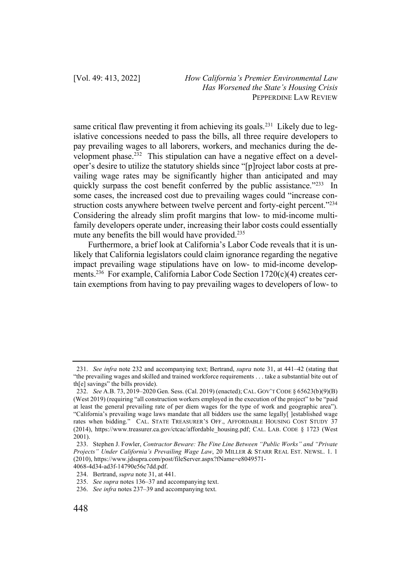same critical flaw preventing it from achieving its goals.<sup>231</sup> Likely due to legislative concessions needed to pass the bills, all three require developers to pay prevailing wages to all laborers, workers, and mechanics during the development phase.<sup>232</sup> This stipulation can have a negative effect on a developer's desire to utilize the statutory shields since "[p]roject labor costs at prevailing wage rates may be significantly higher than anticipated and may quickly surpass the cost benefit conferred by the public assistance."<sup>233</sup> In some cases, the increased cost due to prevailing wages could "increase construction costs anywhere between twelve percent and forty-eight percent."<sup>234</sup> Considering the already slim profit margins that low- to mid-income multifamily developers operate under, increasing their labor costs could essentially mute any benefits the bill would have provided.<sup>235</sup>

Furthermore, a brief look at California's Labor Code reveals that it is unlikely that California legislators could claim ignorance regarding the negative impact prevailing wage stipulations have on low- to mid-income developments.236 For example, California Labor Code Section 1720(c)(4) creates certain exemptions from having to pay prevailing wages to developers of low- to

<sup>231.</sup> *See infra* note 232 and accompanying text; Bertrand, *supra* note 31, at 441–42 (stating that "the prevailing wages and skilled and trained workforce requirements . . . take a substantial bite out of th[e] savings" the bills provide).

<sup>232.</sup> *See* A.B. 73, 2019–2020 Gen. Sess. (Cal. 2019) (enacted); CAL. GOV'T CODE § 65623(b)(9)(B) (West 2019) (requiring "all construction workers employed in the execution of the project" to be "paid at least the general prevailing rate of per diem wages for the type of work and geographic area"). "California's prevailing wage laws mandate that all bidders use the same legally[ ]established wage rates when bidding." CAL. STATE TREASURER'S OFF., AFFORDABLE HOUSING COST STUDY 37 (2014), https://www.treasurer.ca.gov/ctcac/affordable\_housing.pdf; CAL. LAB. CODE § 1723 (West  $2001$ ).

<sup>233.</sup> Stephen J. Fowler, *Contractor Beware: The Fine Line Between "Public Works" and "Private Projects" Under California's Prevailing Wage Law*, 20 MILLER & STARR REAL EST. NEWSL. 1. 1 (2010), https://www.jdsupra.com/post/fileServer.aspx?fName=e8049571- 4068-4d34-ad3f-14790e56c7dd.pdf.

<sup>234.</sup> Bertrand, *supra* note 31, at 441.

<sup>235.</sup> *See supra* notes 136–37 and accompanying text.

<sup>236.</sup> *See infra* notes 237–39 and accompanying text.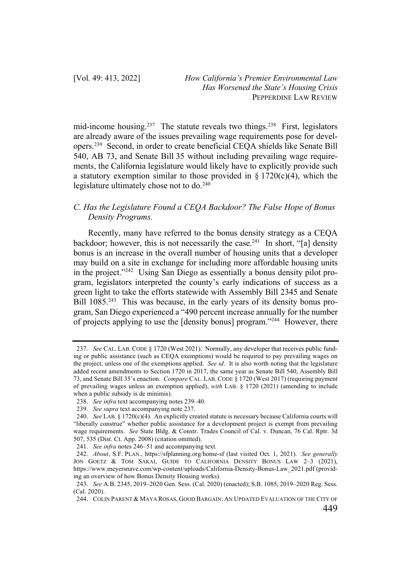mid-income housing.<sup>237</sup> The statute reveals two things.<sup>238</sup> First, legislators are already aware of the issues prevailing wage requirements pose for developers.239 Second, in order to create beneficial CEQA shields like Senate Bill 540, AB 73, and Senate Bill 35 without including prevailing wage requirements, the California legislature would likely have to explicitly provide such a statutory exemption similar to those provided in  $\S 1720(c)(4)$ , which the legislature ultimately chose not to do. 240

# *C. Has the Legislature Found a CEQA Backdoor? The False Hope of Bonus Density Programs.*

Recently, many have referred to the bonus density strategy as a CEQA backdoor; however, this is not necessarily the case.<sup>241</sup> In short, "[a] density bonus is an increase in the overall number of housing units that a developer may build on a site in exchange for including more affordable housing units in the project."242 Using San Diego as essentially a bonus density pilot program, legislators interpreted the county's early indications of success as a green light to take the efforts statewide with Assembly Bill 2345 and Senate Bill 1085<sup>243</sup> This was because, in the early years of its density bonus program, San Diego experienced a "490 percent increase annually for the number of projects applying to use the [density bonus] program."244 However, there

<sup>237.</sup> *See* CAL. LAB. CODE § 1720 (West 2021). Normally, any developer that receives public funding or public assistance (such as CEQA exemptions) would be required to pay prevailing wages on the project, unless one of the exemptions applied. *See id*. It is also worth noting that the legislature added recent amendments to Section 1720 in 2017, the same year as Senate Bill 540, Assembly Bill 73, and Senate Bill 35's enaction. *Compare* CAL. LAB. CODE § 1720 (West 2017) (requiring payment of prevailing wages unless an exemption applied), *with* LAB. § 1720 (2021) (amending to include when a public subsidy is de minimis).

<sup>238.</sup> *See infra* text accompanying notes 239–40.

<sup>239.</sup> *See supra* text accompanying note 237.

<sup>240.</sup> *See* LAB. § 1720(c)(4). An explicitly created statute is necessary because California courts will "liberally construe" whether public assistance for a development project is exempt from prevailing wage requirements. *See* State Bldg. & Constr. Trades Council of Cal. v. Duncan, 76 Cal. Rptr. 3d 507, 535 (Dist. Ct. App. 2008) (citation omitted).

<sup>241.</sup> *See infra* notes 246–51 and accompanying text.

<sup>242.</sup> *About*, S.F. PLAN., https://sfplanning.org/home-sf (last visited Oct. 1, 2021). *See generally* JON GOETZ & TOM SAKAI, GUIDE TO CALIFORNIA DENSITY BONUS LAW 2–3 (2021), https://www.meyersnave.com/wp-content/uploads/California-Density-Bonus-Law\_2021.pdf (providing an overview of how Bonus Density Housing works).

<sup>243.</sup> *See* A.B. 2345, 2019–2020 Gen. Sess. (Cal. 2020) (enacted); S.B. 1085, 2019–2020 Reg. Sess. (Cal. 2020).

<sup>244.</sup> COLIN PARENT & MAYA ROSAS, GOOD BARGAIN: AN UPDATED EVALUATION OF THE CITY OF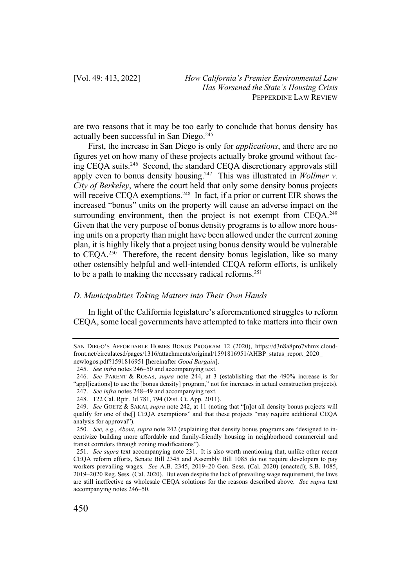are two reasons that it may be too early to conclude that bonus density has actually been successful in San Diego.245

First, the increase in San Diego is only for *applications*, and there are no figures yet on how many of these projects actually broke ground without facing CEQA suits.246 Second, the standard CEQA discretionary approvals still apply even to bonus density housing.<sup>247</sup> This was illustrated in *Wollmer v*. *City of Berkeley*, where the court held that only some density bonus projects will receive CEQA exemptions.<sup>248</sup> In fact, if a prior or current EIR shows the increased "bonus" units on the property will cause an adverse impact on the surrounding environment, then the project is not exempt from CEQA.<sup>249</sup> Given that the very purpose of bonus density programs is to allow more housing units on a property than might have been allowed under the current zoning plan, it is highly likely that a project using bonus density would be vulnerable to CEQA.250 Therefore, the recent density bonus legislation, like so many other ostensibly helpful and well-intended CEQA reform efforts, is unlikely to be a path to making the necessary radical reforms. 251

### *D. Municipalities Taking Matters into Their Own Hands*

In light of the California legislature's aforementioned struggles to reform CEQA, some local governments have attempted to take matters into their own

SAN DIEGO'S AFFORDABLE HOMES BONUS PROGRAM 12 (2020), https://d3n8a8pro7vhmx.cloudfront.net/circulatesd/pages/1316/attachments/original/1591816951/AHBP\_status\_report\_2020\_ newlogos.pdf?1591816951 [hereinafter *Good Bargain*].

<sup>245.</sup> *See infra* notes 246–50 and accompanying text.

<sup>246.</sup> *See* PARENT & ROSAS, *supra* note 244, at 3 (establishing that the 490% increase is for "appl[ications] to use the [bonus density] program," not for increases in actual construction projects). 247. *See infra* notes 248–49 and accompanying text.

<sup>248.</sup> 122 Cal. Rptr. 3d 781, 794 (Dist. Ct. App. 2011).

<sup>249.</sup> *See* GOETZ & SAKAI, *supra* note 242, at 11 (noting that "[n]ot all density bonus projects will qualify for one of the[] CEQA exemptions" and that these projects "may require additional CEQA analysis for approval").

<sup>250.</sup> *See, e.g.*, *About*, *supra* note 242 (explaining that density bonus programs are "designed to incentivize building more affordable and family-friendly housing in neighborhood commercial and transit corridors through zoning modifications")*.*

<sup>251.</sup> *See supra* text accompanying note 231. It is also worth mentioning that, unlike other recent CEQA reform efforts, Senate Bill 2345 and Assembly Bill 1085 do not require developers to pay workers prevailing wages. *See* A.B. 2345, 2019–20 Gen. Sess. (Cal. 2020) (enacted); S.B. 1085, 2019–2020 Reg. Sess. (Cal. 2020). But even despite the lack of prevailing wage requirement, the laws are still ineffective as wholesale CEQA solutions for the reasons described above. *See supra* text accompanying notes 246–50.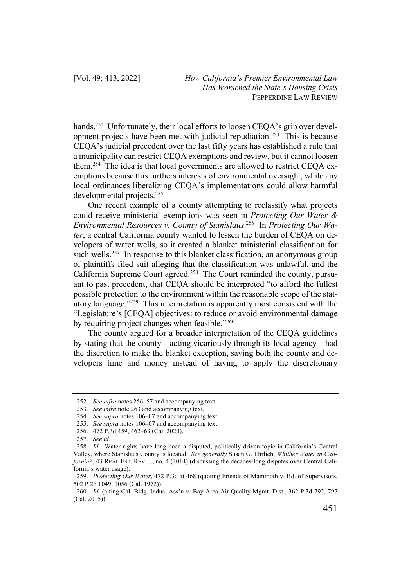hands.<sup>252</sup> Unfortunately, their local efforts to loosen CEQA's grip over development projects have been met with judicial repudiation. 253 This is because CEQA's judicial precedent over the last fifty years has established a rule that a municipality can restrict CEQA exemptions and review, but it cannot loosen them.254 The idea is that local governments are allowed to restrict CEQA exemptions because this furthers interests of environmental oversight, while any local ordinances liberalizing CEQA's implementations could allow harmful developmental projects.255

One recent example of a county attempting to reclassify what projects could receive ministerial exemptions was seen in *Protecting Our Water & Environmental Resources v. County of Stanislaus*. 256 In *Protecting Our Water*, a central California county wanted to lessen the burden of CEQA on developers of water wells, so it created a blanket ministerial classification for such wells.<sup>257</sup> In response to this blanket classification, an anonymous group of plaintiffs filed suit alleging that the classification was unlawful, and the California Supreme Court agreed.258 The Court reminded the county, pursuant to past precedent, that CEQA should be interpreted "to afford the fullest possible protection to the environment within the reasonable scope of the statutory language."259 This interpretation is apparently most consistent with the "Legislature's [CEQA] objectives: to reduce or avoid environmental damage by requiring project changes when feasible."<sup>260</sup>

The county argued for a broader interpretation of the CEQA guidelines by stating that the county—acting vicariously through its local agency—had the discretion to make the blanket exception, saving both the county and developers time and money instead of having to apply the discretionary

<sup>252.</sup> *See infra* notes 256–57 and accompanying text.

<sup>253.</sup> *See infra* note 263 and accompanying text.

<sup>254.</sup> *See supra* notes 106–07 and accompanying text.

<sup>255.</sup> *See supra* notes 106–07 and accompanying text.

<sup>256.</sup> 472 P.3d 459, 462–63 (Cal. 2020).

<sup>257.</sup> *See id.*

<sup>258.</sup> *Id.* Water rights have long been a disputed, politically driven topic in California's Central Valley, where Stanislaus County is located. *See generally* Susan G. Ehrlich, *Whither Water in California?*, 43 REAL EST. REV. J., no. 4 (2014) (discussing the decades-long disputes over Central California's water usage).

<sup>259.</sup> *Protecting Our Water*, 472 P.3d at 468 (quoting Friends of Mammoth v. Bd. of Supervisors, 502 P.2d 1049, 1056 (Cal. 1972)).

<sup>260.</sup> *Id.* (citing Cal. Bldg. Indus. Ass'n v. Bay Area Air Quality Mgmt. Dist., 362 P.3d 792, 797 (Cal. 2015)).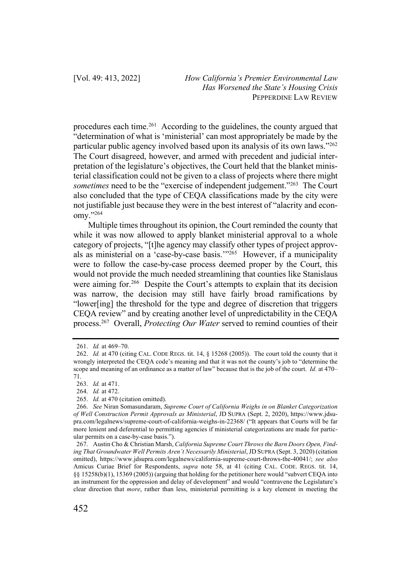procedures each time.<sup>261</sup> According to the guidelines, the county argued that "determination of what is 'ministerial' can most appropriately be made by the particular public agency involved based upon its analysis of its own laws."262 The Court disagreed, however, and armed with precedent and judicial interpretation of the legislature's objectives, the Court held that the blanket ministerial classification could not be given to a class of projects where there might *sometimes* need to be the "exercise of independent judgement."<sup>263</sup> The Court also concluded that the type of CEQA classifications made by the city were not justifiable just because they were in the best interest of "alacrity and economy."264

Multiple times throughout its opinion, the Court reminded the county that while it was now allowed to apply blanket ministerial approval to a whole category of projects, "[t]he agency may classify other types of project approvals as ministerial on a 'case-by-case basis.'"265 However, if a municipality were to follow the case-by-case process deemed proper by the Court, this would not provide the much needed streamlining that counties like Stanislaus were aiming for.<sup>266</sup> Despite the Court's attempts to explain that its decision was narrow, the decision may still have fairly broad ramifications by "lower[ing] the threshold for the type and degree of discretion that triggers CEQA review" and by creating another level of unpredictability in the CEQA process.267 Overall, *Protecting Our Water* served to remind counties of their

<sup>261.</sup> *Id.* at 469–70.

<sup>262.</sup> *Id.* at 470 (citing CAL. CODE REGS. tit. 14, § 15268 (2005)). The court told the county that it wrongly interpreted the CEQA code's meaning and that it was not the county's job to "determine the scope and meaning of an ordinance as a matter of law" because that is the job of the court. *Id.* at 470– 71.

<sup>263.</sup> *Id.* at 471.

<sup>264.</sup> *Id.* at 472.

<sup>265.</sup> *Id.* at 470 (citation omitted).

<sup>266.</sup> *See* Niran Somasundaram, *Supreme Court of California Weighs in on Blanket Categorization of Well Construction Permit Approvals as Ministerial*, JD SUPRA (Sept. 2, 2020), https://www.jdsupra.com/legalnews/supreme-court-of-california-weighs-in-22368/ ("It appears that Courts will be far more lenient and deferential to permitting agencies if ministerial categorizations are made for particular permits on a case-by-case basis.").

<sup>267.</sup> Austin Cho & Christian Marsh, *California Supreme Court Throws the Barn Doors Open, Finding That Groundwater Well Permits Aren't Necessarily Ministerial*, JD SUPRA (Sept. 3, 2020) (citation omitted), https://www.jdsupra.com/legalnews/california-supreme-court-throws-the-40041/; *see also* Amicus Curiae Brief for Respondents, *supra* note 58, at 41 (citing CAL. CODE. REGS. tit. 14, §§ 15258(b)(1), 15369 (2005)) (arguing that holding for the petitioner here would "subvert CEQA into an instrument for the oppression and delay of development" and would "contravene the Legislature's clear direction that *more*, rather than less, ministerial permitting is a key element in meeting the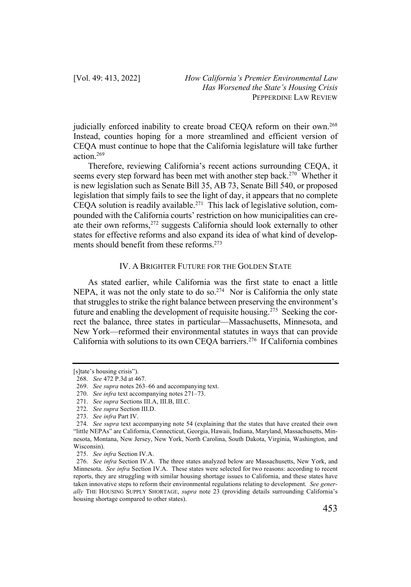judicially enforced inability to create broad CEQA reform on their own.<sup>268</sup> Instead, counties hoping for a more streamlined and efficient version of CEQA must continue to hope that the California legislature will take further action.269

Therefore, reviewing California's recent actions surrounding CEQA, it seems every step forward has been met with another step back.270 Whether it is new legislation such as Senate Bill 35, AB 73, Senate Bill 540, or proposed legislation that simply fails to see the light of day, it appears that no complete CEQA solution is readily available.<sup>271</sup> This lack of legislative solution, compounded with the California courts' restriction on how municipalities can create their own reforms, <sup>272</sup> suggests California should look externally to other states for effective reforms and also expand its idea of what kind of developments should benefit from these reforms.273

## IV. A BRIGHTER FUTURE FOR THE GOLDEN STATE

As stated earlier, while California was the first state to enact a little NEPA, it was not the only state to do so.<sup>274</sup> Nor is California the only state that struggles to strike the right balance between preserving the environment's future and enabling the development of requisite housing.275 Seeking the correct the balance, three states in particular—Massachusetts, Minnesota, and New York—reformed their environmental statutes in ways that can provide California with solutions to its own CEQA barriers.276 If California combines

<sup>[</sup>s]tate's housing crisis").

<sup>268.</sup> *See* 472 P.3d at 467.

<sup>269.</sup> *See supra* notes 263–66 and accompanying text.

<sup>270.</sup> *See infra* text accompanying notes 271–73.

<sup>271.</sup> *See supra* Sections III.A, III.B, III.C.

<sup>272.</sup> *See supra* Section III.D.

<sup>273.</sup> *See infra* Part IV.

<sup>274.</sup> *See supra* text accompanying note 54 (explaining that the states that have created their own "little NEPAs" are California, Connecticut, Georgia, Hawaii, Indiana, Maryland, Massachusetts, Minnesota, Montana, New Jersey, New York, North Carolina, South Dakota, Virginia, Washington, and Wisconsin).

<sup>275.</sup> *See infra* Section IV.A.

<sup>276.</sup> *See infra* Section IV.A. The three states analyzed below are Massachusetts, New York, and Minnesota. *See infra* Section IV.A. These states were selected for two reasons: according to recent reports, they are struggling with similar housing shortage issues to California, and these states have taken innovative steps to reform their environmental regulations relating to development. *See generally* THE HOUSING SUPPLY SHORTAGE, *supra* note 23 (providing details surrounding California's housing shortage compared to other states).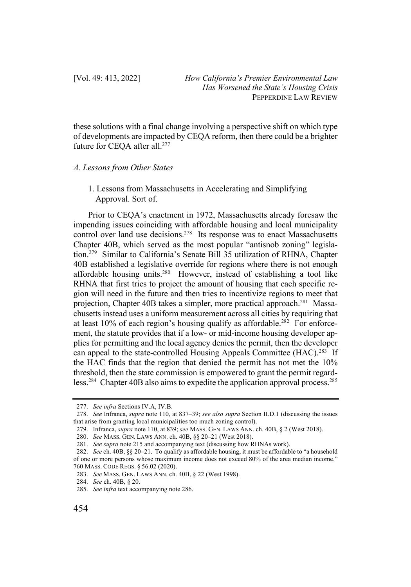these solutions with a final change involving a perspective shift on which type of developments are impacted by CEQA reform, then there could be a brighter future for CEQA after all.<sup>277</sup>

#### *A. Lessons from Other States*

1. Lessons from Massachusetts in Accelerating and Simplifying Approval. Sort of.

Prior to CEQA's enactment in 1972, Massachusetts already foresaw the impending issues coinciding with affordable housing and local municipality control over land use decisions.<sup>278</sup> Its response was to enact Massachusetts Chapter 40B, which served as the most popular "antisnob zoning" legislation.279 Similar to California's Senate Bill 35 utilization of RHNA, Chapter 40B established a legislative override for regions where there is not enough affordable housing units.<sup>280</sup> However, instead of establishing a tool like RHNA that first tries to project the amount of housing that each specific region will need in the future and then tries to incentivize regions to meet that projection, Chapter 40B takes a simpler, more practical approach.<sup>281</sup> Massachusetts instead uses a uniform measurement across all cities by requiring that at least  $10\%$  of each region's housing qualify as affordable.<sup>282</sup> For enforcement, the statute provides that if a low- or mid-income housing developer applies for permitting and the local agency denies the permit, then the developer can appeal to the state-controlled Housing Appeals Committee (HAC).<sup>283</sup> If the HAC finds that the region that denied the permit has not met the 10% threshold, then the state commission is empowered to grant the permit regardless.<sup>284</sup> Chapter 40B also aims to expedite the application approval process.<sup>285</sup>

<sup>277.</sup> *See infra* Sections IV.A, IV.B.

<sup>278.</sup> *See* Infranca, *supra* note 110, at 837–39; *see also supra* Section II.D.1 (discussing the issues that arise from granting local municipalities too much zoning control).

<sup>279.</sup> Infranca, *supra* note 110, at 839; *see* MASS. GEN. LAWS ANN. ch. 40B, § 2 (West 2018).

<sup>280.</sup> *See* MASS. GEN. LAWS ANN. ch. 40B, §§ 20–21 (West 2018).

<sup>281.</sup> *See supra* note 215 and accompanying text (discussing how RHNAs work).

<sup>282.</sup> *See* ch. 40B, §§ 20–21. To qualify as affordable housing, it must be affordable to "a household of one or more persons whose maximum income does not exceed 80% of the area median income." 760 MASS. CODE REGS. § 56.02 (2020).

<sup>283.</sup> *See* MASS. GEN. LAWS ANN. ch. 40B, § 22 (West 1998).

<sup>284.</sup> *See* ch. 40B, § 20.

<sup>285.</sup> *See infra* text accompanying note 286.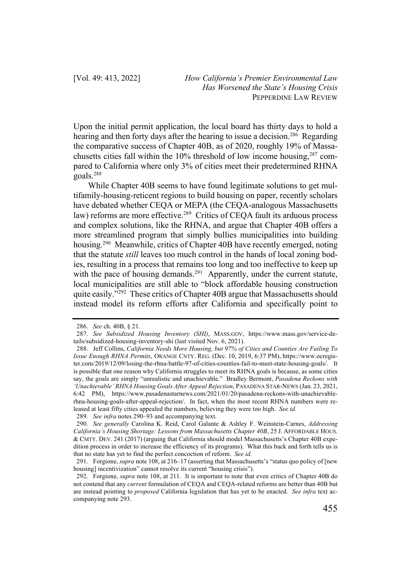Upon the initial permit application, the local board has thirty days to hold a hearing and then forty days after the hearing to issue a decision.<sup>286</sup> Regarding the comparative success of Chapter 40B, as of 2020, roughly 19% of Massachusetts cities fall within the  $10\%$  threshold of low income housing,  $287$  compared to California where only 3% of cities meet their predetermined RHNA goals.288

While Chapter 40B seems to have found legitimate solutions to get multifamily-housing-reticent regions to build housing on paper, recently scholars have debated whether CEQA or MEPA (the CEQA-analogous Massachusetts law) reforms are more effective.<sup>289</sup> Critics of CEQA fault its arduous process and complex solutions, like the RHNA, and argue that Chapter 40B offers a more streamlined program that simply bullies municipalities into building housing.<sup>290</sup> Meanwhile, critics of Chapter 40B have recently emerged, noting that the statute *still* leaves too much control in the hands of local zoning bodies, resulting in a process that remains too long and too ineffective to keep up with the pace of housing demands.<sup>291</sup> Apparently, under the current statute, local municipalities are still able to "block affordable housing construction quite easily."<sup>292</sup> These critics of Chapter 40B argue that Massachusetts should instead model its reform efforts after California and specifically point to

<sup>286.</sup> *See* ch. 40B, § 21.

<sup>287.</sup> *See Subsidized Housing Inventory (SHI)*, MASS.GOV, https://www.mass.gov/service-details/subsidized-housing-inventory-shi (last visited Nov. 6, 2021).

<sup>288.</sup> Jeff Collins, *California Needs More Housing, but 97% of Cities and Counties Are Failing To Issue Enough RHNA Permits*, ORANGE CNTY. REG. (Dec. 10, 2019, 6:37 PM), https://www.ocregister.com/2019/12/09/losing-the-rhna-battle-97-of-cities-counties-fail-to-meet-state-housing-goals/. It is possible that one reason why California struggles to meet its RHNA goals is because, as some cities say, the goals are simply "unrealistic and unachievable." Bradley Bermont, *Pasadena Reckons with 'Unachievable' RHNA Housing Goals After Appeal Rejection*, PASADENA STAR-NEWS (Jan. 23, 2021, 6:42 PM), https://www.pasadenastarnews.com/2021/01/20/pasadena-reckons-with-unachievablerhna-housing-goals-after-appeal-rejection/. In fact, when the most recent RHNA numbers were released at least fifty cities appealed the numbers, believing they were too high. *See id.*

<sup>289.</sup> *See infra* notes 290–93 and accompanying text.

<sup>290.</sup> *See generally* Carolina K. Reid, Carol Galante & Ashley F. Weinstein-Carnes, *Addressing California's Housing Shortage: Lessons from Massachusetts Chapter 40B*, 25 J. AFFORDABLE HOUS. & CMTY. DEV. 241 (2017) (arguing that California should model Massachusetts's Chapter 40B expedition process in order to increase the efficiency of its programs). What this back and forth tells us is that no state has yet to find the perfect concoction of reform. *See id.*

<sup>291.</sup> Forgione, *supra* note 108, at 216–17 (asserting that Massachusetts's "status quo policy of [new housing] incentivization" cannot resolve its current "housing crisis").

<sup>292.</sup> Forgione, *supra* note 108, at 211. It is important to note that even critics of Chapter 40B do not contend that any *current* formulation of CEQA and CEQA-related reforms are better than 40B but are instead pointing to *proposed* California legislation that has yet to be enacted. *See infra* text accompanying note 293.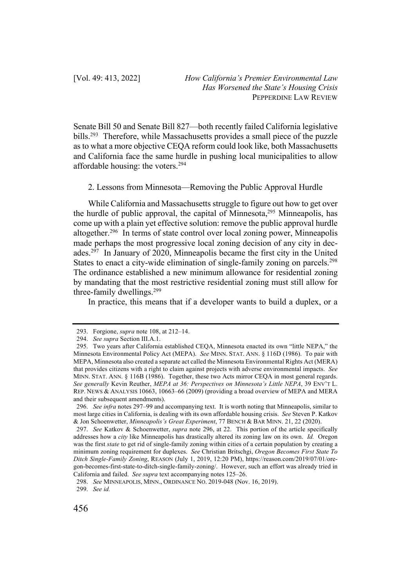Senate Bill 50 and Senate Bill 827—both recently failed California legislative bills.<sup>293</sup> Therefore, while Massachusetts provides a small piece of the puzzle as to what a more objective CEQA reform could look like, both Massachusetts and California face the same hurdle in pushing local municipalities to allow affordable housing: the voters.294

2. Lessons from Minnesota—Removing the Public Approval Hurdle

While California and Massachusetts struggle to figure out how to get over the hurdle of public approval, the capital of Minnesota, $295$  Minneapolis, has come up with a plain yet effective solution: remove the public approval hurdle altogether.296 In terms of state control over local zoning power, Minneapolis made perhaps the most progressive local zoning decision of any city in decades.297 In January of 2020, Minneapolis became the first city in the United States to enact a city-wide elimination of single-family zoning on parcels.<sup>298</sup> The ordinance established a new minimum allowance for residential zoning by mandating that the most restrictive residential zoning must still allow for three-family dwellings.299

In practice, this means that if a developer wants to build a duplex, or a

299. *See id.*

<sup>293.</sup> Forgione, *supra* note 108, at 212–14.

<sup>294.</sup> *See supra* Section III.A.1.

<sup>295.</sup> Two years after California established CEQA, Minnesota enacted its own "little NEPA," the Minnesota Environmental Policy Act (MEPA). *See* MINN. STAT. ANN. § 116D (1986). To pair with MEPA, Minnesota also created a separate act called the Minnesota Environmental Rights Act (MERA) that provides citizens with a right to claim against projects with adverse environmental impacts. *See*  MINN. STAT. ANN. § 116B (1986). Together, these two Acts mirror CEQA in most general regards. *See generally* Kevin Reuther, *MEPA at 36: Perspectives on Minnesota's Little NEPA*, 39 ENV'T L. REP. NEWS & ANALYSIS 10663, 10663–66 (2009) (providing a broad overview of MEPA and MERA and their subsequent amendments).

<sup>296.</sup> *See infra* notes 297–99 and accompanying text. It is worth noting that Minneapolis, similar to most large cities in California, is dealing with its own affordable housing crisis. *See* Steven P. Katkov & Jon Schoenwetter, *Minneapolis's Great Experiment*, 77 BENCH & BAR MINN. 21, 22 (2020).

<sup>297.</sup> *See* Katkov & Schoenwetter, *supra* note 296, at 22. This portion of the article specifically addresses how a *city* like Minneapolis has drastically altered its zoning law on its own. *Id.* Oregon was the first *state* to get rid of single-family zoning within cities of a certain population by creating a minimum zoning requirement for duplexes. *See* Christian Britschgi, *Oregon Becomes First State To Ditch Single-Family Zoning*, REASON (July 1, 2019, 12:20 PM), https://reason.com/2019/07/01/oregon-becomes-first-state-to-ditch-single-family-zoning/. However, such an effort was already tried in California and failed. *See supra* text accompanying notes 125–26.

<sup>298.</sup> *See* MINNEAPOLIS, MINN., ORDINANCE NO. 2019-048 (Nov. 16, 2019).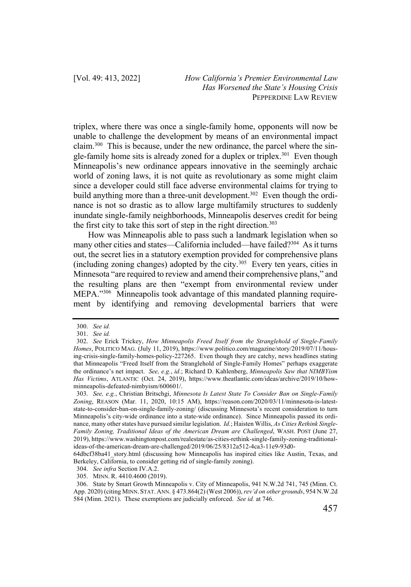triplex, where there was once a single-family home, opponents will now be unable to challenge the development by means of an environmental impact claim.300 This is because, under the new ordinance, the parcel where the single-family home sits is already zoned for a duplex or triplex.<sup>301</sup> Even though Minneapolis's new ordinance appears innovative in the seemingly archaic world of zoning laws, it is not quite as revolutionary as some might claim since a developer could still face adverse environmental claims for trying to build anything more than a three-unit development.<sup>302</sup> Even though the ordinance is not so drastic as to allow large multifamily structures to suddenly inundate single-family neighborhoods, Minneapolis deserves credit for being the first city to take this sort of step in the right direction.<sup>303</sup>

How was Minneapolis able to pass such a landmark legislation when so many other cities and states—California included—have failed?<sup>304</sup> As it turns out, the secret lies in a statutory exemption provided for comprehensive plans (including zoning changes) adopted by the city.305 Every ten years, cities in Minnesota "are required to review and amend their comprehensive plans," and the resulting plans are then "exempt from environmental review under MEPA."306 Minneapolis took advantage of this mandated planning requirement by identifying and removing developmental barriers that were

<sup>300.</sup> *See id.*

<sup>301.</sup> *See id.*

<sup>302.</sup> *See* Erick Trickey, *How Minneapolis Freed Itself from the Stranglehold of Single-Family Homes*, POLITICO MAG. (July 11, 2019), https://www.politico.com/magazine/story/2019/07/11/housing-crisis-single-family-homes-policy-227265. Even though they are catchy, news headlines stating that Minneapolis "Freed Itself from the Stranglehold of Single-Family Homes" perhaps exaggerate the ordinance's net impact. *See, e.g.*, *id.*; Richard D. Kahlenberg, *Minneapolis Saw that NIMBYism Has Victims*, ATLANTIC (Oct. 24, 2019), https://www.theatlantic.com/ideas/archive/2019/10/howminneapolis-defeated-nimbyism/600601/.

<sup>303.</sup> *See, e.g.*, Christian Britschgi, *Minnesota Is Latest State To Consider Ban on Single-Family Zoning*, REASON (Mar. 11, 2020, 10:15 AM), https://reason.com/2020/03/11/minnesota-is-lateststate-to-consider-ban-on-single-family-zoning/ (discussing Minnesota's recent consideration to turn Minneapolis's city-wide ordinance into a state-wide ordinance). Since Minneapolis passed its ordinance, many other states have pursued similar legislation. *Id.*; Haisten Willis, *As Cities Rethink Single-Family Zoning, Traditional Ideas of the American Dream are Challenged*, WASH. POST (June 27, 2019), https://www.washingtonpost.com/realestate/as-cities-rethink-single-family-zoning-traditionalideas-of-the-american-dream-are-challenged/2019/06/25/8312a512-4ca3-11e9-93d0-

<sup>64</sup>dbcf38ba41\_story.html (discussing how Minneapolis has inspired cities like Austin, Texas, and Berkeley, California, to consider getting rid of single-family zoning).

<sup>304.</sup> *See infra* Section IV.A.2.

<sup>305.</sup> MINN. R. 4410.4600 (2019).

<sup>306.</sup> State by Smart Growth Minneapolis v. City of Minneapolis, 941 N.W.2d 741, 745 (Minn. Ct. App. 2020) (citing MINN. STAT. ANN. § 473.864(2) (West 2006)), *rev'd on other grounds*, 954 N.W.2d 584 (Minn. 2021). These exemptions are judicially enforced. *See id.* at 746.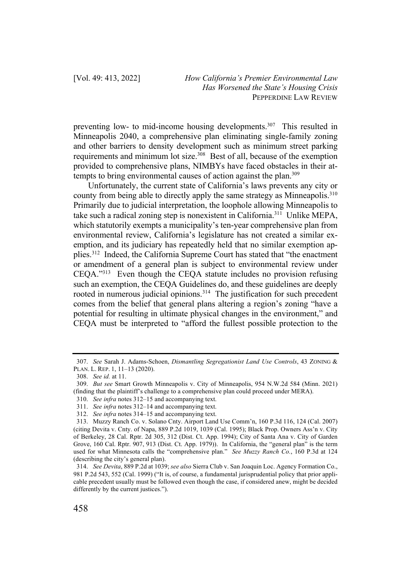preventing low- to mid-income housing developments.307 This resulted in Minneapolis 2040, a comprehensive plan eliminating single-family zoning and other barriers to density development such as minimum street parking requirements and minimum lot size.<sup>308</sup> Best of all, because of the exemption provided to comprehensive plans, NIMBYs have faced obstacles in their attempts to bring environmental causes of action against the plan.<sup>309</sup>

Unfortunately, the current state of California's laws prevents any city or county from being able to directly apply the same strategy as Minneapolis.<sup>310</sup> Primarily due to judicial interpretation, the loophole allowing Minneapolis to take such a radical zoning step is nonexistent in California.<sup>311</sup> Unlike MEPA, which statutorily exempts a municipality's ten-year comprehensive plan from environmental review, California's legislature has not created a similar exemption, and its judiciary has repeatedly held that no similar exemption applies.312 Indeed, the California Supreme Court has stated that "the enactment or amendment of a general plan is subject to environmental review under CEQA."313 Even though the CEQA statute includes no provision refusing such an exemption, the CEQA Guidelines do, and these guidelines are deeply rooted in numerous judicial opinions.<sup>314</sup> The justification for such precedent comes from the belief that general plans altering a region's zoning "have a potential for resulting in ultimate physical changes in the environment," and CEQA must be interpreted to "afford the fullest possible protection to the

<sup>307.</sup> *See* Sarah J. Adams-Schoen, *Dismantling Segregationist Land Use Controls*, 43 ZONING & PLAN. L. REP. 1, 11–13 (2020).

<sup>308.</sup> *See id.* at 11.

<sup>309.</sup> *But see* Smart Growth Minneapolis v. City of Minneapolis, 954 N.W.2d 584 (Minn. 2021) (finding that the plaintiff's challenge to a comprehensive plan could proceed under MERA).

<sup>310.</sup> *See infra* notes 312–15 and accompanying text.

<sup>311.</sup> *See infra* notes 312–14 and accompanying text.

<sup>312.</sup> *See infra* notes 314–15 and accompanying text.

<sup>313.</sup> Muzzy Ranch Co. v. Solano Cnty. Airport Land Use Comm'n, 160 P.3d 116, 124 (Cal. 2007) (citing Devita v. Cnty. of Napa, 889 P.2d 1019, 1039 (Cal. 1995); Black Prop. Owners Ass'n v. City of Berkeley, 28 Cal. Rptr. 2d 305, 312 (Dist. Ct. App. 1994); City of Santa Ana v. City of Garden Grove, 160 Cal. Rptr. 907, 913 (Dist. Ct. App. 1979)). In California, the "general plan" is the term used for what Minnesota calls the "comprehensive plan." *See Muzzy Ranch Co.*, 160 P.3d at 124 (describing the city's general plan).

<sup>314.</sup> *See Devita*, 889 P.2d at 1039; *see also* Sierra Club v. San Joaquin Loc. Agency Formation Co., 981 P.2d 543, 552 (Cal. 1999) ("It is, of course, a fundamental jurisprudential policy that prior applicable precedent usually must be followed even though the case, if considered anew, might be decided differently by the current justices.").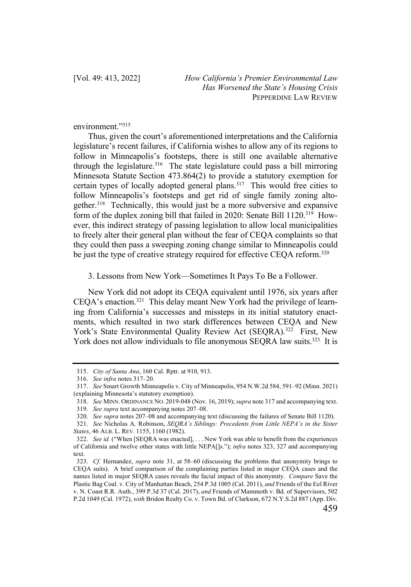environment."315

Thus, given the court's aforementioned interpretations and the California legislature's recent failures, if California wishes to allow any of its regions to follow in Minneapolis's footsteps, there is still one available alternative through the legislature.316 The state legislature could pass a bill mirroring Minnesota Statute Section 473.864(2) to provide a statutory exemption for certain types of locally adopted general plans.<sup>317</sup> This would free cities to follow Minneapolis's footsteps and get rid of single family zoning altogether.<sup>318</sup> Technically, this would just be a more subversive and expansive form of the duplex zoning bill that failed in 2020: Senate Bill 1120.<sup>319</sup> However, this indirect strategy of passing legislation to allow local municipalities to freely alter their general plan without the fear of CEQA complaints so that they could then pass a sweeping zoning change similar to Minneapolis could be just the type of creative strategy required for effective CEQA reform.<sup>320</sup>

3. Lessons from New York—Sometimes It Pays To Be a Follower.

New York did not adopt its CEQA equivalent until 1976, six years after CEQA's enaction.321 This delay meant New York had the privilege of learning from California's successes and missteps in its initial statutory enactments, which resulted in two stark differences between CEQA and New York's State Environmental Quality Review Act (SEQRA).<sup>322</sup> First, New York does not allow individuals to file anonymous SEQRA law suits.<sup>323</sup> It is

<sup>315.</sup> *City of Santa Ana*, 160 Cal. Rptr. at 910, 913.

<sup>316.</sup> *See infra* notes 317–20.

<sup>317.</sup> *See* Smart Growth Minneapolis v. City of Minneapolis, 954 N.W.2d 584, 591–92 (Minn. 2021) (explaining Minnesota's statutory exemption).

<sup>318.</sup> *See* MINN. ORDINANCE NO. 2019-048 (Nov. 16, 2019); *supra* note 317 and accompanying text.

<sup>319.</sup> *See supra* text accompanying notes 207–08.

<sup>320.</sup> *See supra* notes 207–08 and accompanying text (discussing the failures of Senate Bill 1120).

<sup>321.</sup> *See* Nicholas A. Robinson, *SEQRA's Siblings: Precedents from Little NEPA's in the Sister States*, 46 ALB. L. REV. 1155, 1160 (1982).

<sup>322.</sup> *See id.* ("When [SEQRA was enacted], . . . New York was able to benefit from the experiences of California and twelve other states with little NEPA[]s."); *infra* notes 323, 327 and accompanying text.

<sup>323.</sup> *Cf.* Hernandez, *supra* note 31, at 58–60 (discussing the problems that anonymity brings to CEQA suits). A brief comparison of the complaining parties listed in major CEQA cases and the names listed in major SEQRA cases reveals the facial impact of this anonymity. *Compare* Save the Plastic Bag Coal. v. City of Manhattan Beach, 254 P.3d 1005 (Cal. 2011), *and* Friends of the Eel River v. N. Coast R.R. Auth., 399 P.3d 37 (Cal. 2017), *and* Friends of Mammoth v. Bd. of Supervisors, 502 P.2d 1049 (Cal. 1972), *with* Bridon Realty Co. v. Town Bd. of Clarkson, 672 N.Y.S.2d 887 (App. Div.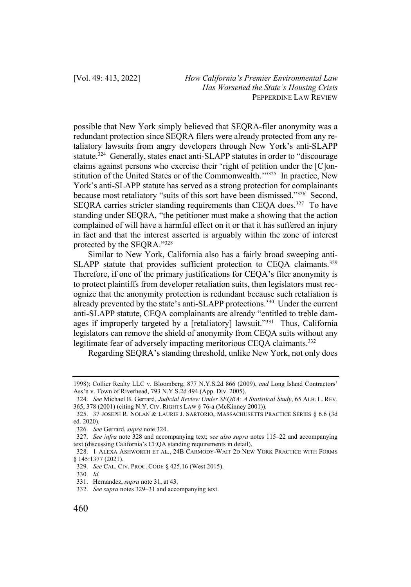possible that New York simply believed that SEQRA-filer anonymity was a redundant protection since SEQRA filers were already protected from any retaliatory lawsuits from angry developers through New York's anti-SLAPP statute.<sup>324</sup> Generally, states enact anti-SLAPP statutes in order to "discourage" claims against persons who exercise their 'right of petition under the [C]onstitution of the United States or of the Commonwealth.'"325 In practice, New York's anti-SLAPP statute has served as a strong protection for complainants because most retaliatory "suits of this sort have been dismissed."<sup>326</sup> Second, SEQRA carries stricter standing requirements than CEQA does.<sup>327</sup> To have standing under SEQRA, "the petitioner must make a showing that the action complained of will have a harmful effect on it or that it has suffered an injury in fact and that the interest asserted is arguably within the zone of interest protected by the SEQRA."328

Similar to New York, California also has a fairly broad sweeping anti-SLAPP statute that provides sufficient protection to CEQA claimants.<sup>329</sup> Therefore, if one of the primary justifications for CEQA's filer anonymity is to protect plaintiffs from developer retaliation suits, then legislators must recognize that the anonymity protection is redundant because such retaliation is already prevented by the state's anti-SLAPP protections.<sup>330</sup> Under the current anti-SLAPP statute, CEQA complainants are already "entitled to treble damages if improperly targeted by a [retaliatory] lawsuit."<sup>331</sup> Thus, California legislators can remove the shield of anonymity from CEQA suits without any legitimate fear of adversely impacting meritorious CEQA claimants.<sup>332</sup>

Regarding SEQRA's standing threshold, unlike New York, not only does

<sup>1998);</sup> Collier Realty LLC v. Bloomberg, 877 N.Y.S.2d 866 (2009), *and* Long Island Contractors' Ass'n v. Town of Riverhead, 793 N.Y.S.2d 494 (App. Div. 2005).

<sup>324.</sup> *See* Michael B. Gerrard, *Judicial Review Under SEQRA: A Statistical Study*, 65 ALB. L. REV. 365, 378 (2001) (citing N.Y. CIV. RIGHTS LAW § 76-a (McKinney 2001)).

<sup>325.</sup> 37 JOSEPH R. NOLAN & LAURIE J. SARTORIO, MASSACHUSETTS PRACTICE SERIES § 6.6 (3d ed. 2020).

<sup>326.</sup> *See* Gerrard, *supra* note 324.

<sup>327.</sup> *See infra* note 328 and accompanying text; *see also supra* notes 115–22 and accompanying text (discussing California's CEQA standing requirements in detail).

<sup>328.</sup> 1 ALEXA ASHWORTH ET AL., 24B CARMODY-WAIT 2D NEW YORK PRACTICE WITH FORMS § 145:1377 (2021).

<sup>329.</sup> *See* CAL. CIV. PROC. CODE § 425.16 (West 2015).

<sup>330.</sup> *Id.*

<sup>331.</sup> Hernandez, *supra* note 31, at 43.

<sup>332.</sup> *See supra* notes 329–31 and accompanying text.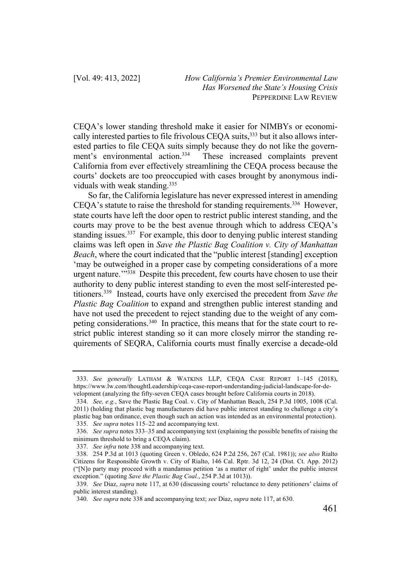CEQA's lower standing threshold make it easier for NIMBYs or economically interested parties to file frivolous CEQA suits,<sup>333</sup> but it also allows interested parties to file CEQA suits simply because they do not like the government's environmental action.334 These increased complaints prevent California from ever effectively streamlining the CEQA process because the courts' dockets are too preoccupied with cases brought by anonymous individuals with weak standing.<sup>335</sup>

So far, the California legislature has never expressed interest in amending CEQA's statute to raise the threshold for standing requirements.<sup>336</sup> However, state courts have left the door open to restrict public interest standing, and the courts may prove to be the best avenue through which to address CEQA's standing issues.<sup>337</sup> For example, this door to denying public interest standing claims was left open in *Save the Plastic Bag Coalition v. City of Manhattan Beach*, where the court indicated that the "public interest [standing] exception 'may be outweighed in a proper case by competing considerations of a more urgent nature."<sup>338</sup> Despite this precedent, few courts have chosen to use their authority to deny public interest standing to even the most self-interested petitioners.339 Instead, courts have only exercised the precedent from *Save the Plastic Bag Coalition* to expand and strengthen public interest standing and have not used the precedent to reject standing due to the weight of any competing considerations.<sup>340</sup> In practice, this means that for the state court to restrict public interest standing so it can more closely mirror the standing requirements of SEQRA, California courts must finally exercise a decade-old

<sup>333.</sup> *See generally* LATHAM & WATKINS LLP, CEQA CASE REPORT 1–145 (2018), https://www.lw.com/thoughtLeadership/ceqa-case-report-understanding-judicial-landscape-for-development (analyzing the fifty-seven CEQA cases brought before California courts in 2018).

<sup>334.</sup> *See, e.g.*, Save the Plastic Bag Coal. v. City of Manhattan Beach, 254 P.3d 1005, 1008 (Cal. 2011) (holding that plastic bag manufacturers did have public interest standing to challenge a city's plastic bag ban ordinance, even though such an action was intended as an environmental protection). 335. *See supra* notes 115–22 and accompanying text.

<sup>336.</sup> *See supra* notes 333–35 and accompanying text (explaining the possible benefits of raising the minimum threshold to bring a CEQA claim).

<sup>337.</sup> *See infra* note 338 and accompanying text.

<sup>338.</sup> 254 P.3d at 1013 (quoting Green v. Obledo, 624 P.2d 256, 267 (Cal. 1981)); *see also* Rialto Citizens for Responsible Growth v. City of Rialto, 146 Cal. Rptr. 3d 12, 24 (Dist. Ct. App. 2012) ("[N]o party may proceed with a mandamus petition 'as a matter of right' under the public interest exception." (quoting *Save the Plastic Bag Coal.*, 254 P.3d at 1013)).

<sup>339.</sup> *See* Diaz, *supra* note 117, at 630 (discussing courts' reluctance to deny petitioners' claims of public interest standing).

<sup>340.</sup> *See supra* note 338 and accompanying text; *see* Diaz, *supra* note 117, at 630.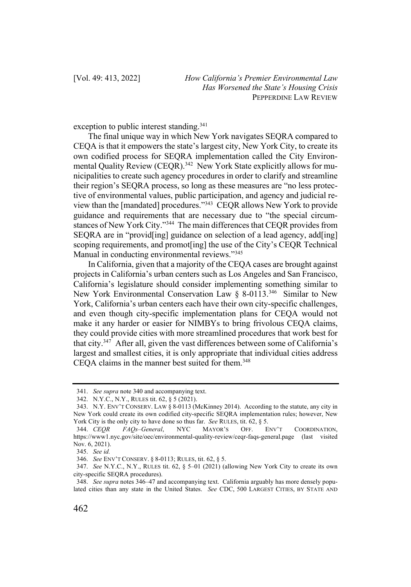exception to public interest standing.<sup>341</sup>

The final unique way in which New York navigates SEQRA compared to CEQA is that it empowers the state's largest city, New York City, to create its own codified process for SEQRA implementation called the City Environmental Quality Review (CEQR).<sup>342</sup> New York State explicitly allows for municipalities to create such agency procedures in order to clarify and streamline their region's SEQRA process, so long as these measures are "no less protective of environmental values, public participation, and agency and judicial review than the [mandated] procedures."343 CEQR allows New York to provide guidance and requirements that are necessary due to "the special circumstances of New York City."344 The main differences that CEQR provides from SEQRA are in "provid[ing] guidance on selection of a lead agency, add[ing] scoping requirements, and promot[ing] the use of the City's CEQR Technical Manual in conducting environmental reviews."<sup>345</sup>

In California, given that a majority of the CEQA cases are brought against projects in California's urban centers such as Los Angeles and San Francisco, California's legislature should consider implementing something similar to New York Environmental Conservation Law § 8-0113.<sup>346</sup> Similar to New York, California's urban centers each have their own city-specific challenges, and even though city-specific implementation plans for CEQA would not make it any harder or easier for NIMBYs to bring frivolous CEQA claims, they could provide cities with more streamlined procedures that work best for that city.347 After all, given the vast differences between some of California's largest and smallest cities, it is only appropriate that individual cities address CEQA claims in the manner best suited for them.348

<sup>341.</sup> *See supra* note 340 and accompanying text.

<sup>342.</sup> N.Y.C., N.Y., RULES tit. 62, § 5 (2021).

<sup>343.</sup> N.Y. ENV'T CONSERV. LAW § 8-0113 (McKinney 2014). According to the statute, any city in New York could create its own codified city-specific SEQRA implementation rules; however, New York City is the only city to have done so thus far. *See* RULES, tit. 62, § 5.

<sup>344.</sup> *CEQR FAQs–General*, NYC MAYOR'S OFF. ENV'T COORDINATION, https://www1.nyc.gov/site/oec/environmental-quality-review/ceqr-faqs-general.page (last visited Nov. 6, 2021).

<sup>345.</sup> *See id.*

<sup>346.</sup> *See* ENV'T CONSERV. § 8-0113; RULES, tit. 62, § 5.

<sup>347.</sup> *See* N.Y.C., N.Y., RULES tit. 62, § 5–01 (2021) (allowing New York City to create its own city-specific SEQRA procedures).

<sup>348.</sup> *See supra* notes 346–47 and accompanying text. California arguably has more densely populated cities than any state in the United States. *See* CDC, 500 LARGEST CITIES, BY STATE AND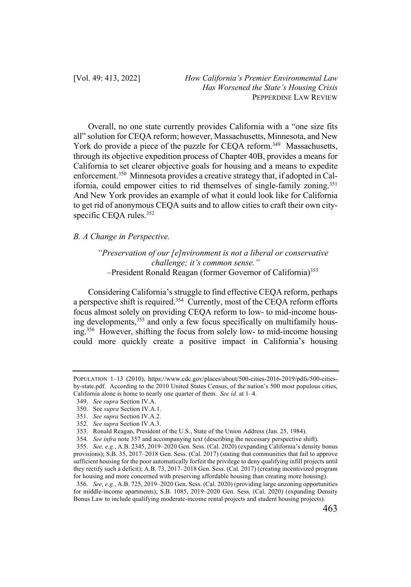Overall, no one state currently provides California with a "one size fits all" solution for CEQA reform; however, Massachusetts, Minnesota, and New York do provide a piece of the puzzle for CEQA reform.<sup>349</sup> Massachusetts, through its objective expedition process of Chapter 40B, provides a means for California to set clearer objective goals for housing and a means to expedite enforcement.350 Minnesota provides a creative strategy that, if adopted in California, could empower cities to rid themselves of single-family zoning.<sup>351</sup> And New York provides an example of what it could look like for California to get rid of anonymous CEQA suits and to allow cities to craft their own cityspecific CEQA rules.<sup>352</sup>

*B. A Change in Perspective.*

*"Preservation of our [e]nvironment is not a liberal or conservative challenge; it's common sense."* –President Ronald Reagan (former Governor of California)<sup>353</sup>

Considering California's struggle to find effective CEQA reform, perhaps a perspective shift is required.<sup>354</sup> Currently, most of the CEQA reform efforts focus almost solely on providing CEQA reform to low- to mid-income housing developments,<sup>355</sup> and only a few focus specifically on multifamily housing.356 However, shifting the focus from solely low- to mid-income housing could more quickly create a positive impact in California's housing

POPULATION 1–13 (2010), https://www.cdc.gov/places/about/500-cities-2016-2019/pdfs/500-citiesby-state.pdf. According to the 2010 United States Census, of the nation's 500 most populous cities, California alone is home to nearly one quarter of them. *See id.* at 1–4.

<sup>349.</sup> *See supra* Section IV.A.

<sup>350.</sup> See *supra* Section IV.A.1.

<sup>351.</sup> *See supra* Section IV.A.2.

<sup>352.</sup> *See supra* Section IV.A.3.

<sup>353.</sup> Ronald Reagan, President of the U.S., State of the Union Address (Jan. 25, 1984).

<sup>354.</sup> *See infra* note 357 and accompanying text (describing the necessary perspective shift).

<sup>355.</sup> *See, e.g.*, A.B. 2345, 2019–2020 Gen. Sess. (Cal. 2020) (expanding California's density bonus provisions); S.B. 35, 2017–2018 Gen. Sess. (Cal. 2017) (stating that communities that fail to approve sufficient housing for the poor automatically forfeit the privilege to deny qualifying infill projects until they rectify such a deficit); A.B. 73, 2017–2018 Gen. Sess. (Cal. 2017) (creating incentivized program for housing and more concerned with preserving affordable housing than creating more housing).

<sup>356.</sup> *See, e.g.*, A.B. 725, 2019–2020 Gen. Sess. (Cal. 2020) (providing large unzoning opportunities for middle-income apartments); S.B. 1085, 2019–2020 Gen. Sess. (Cal. 2020) (expanding Density Bonus Law to include qualifying moderate-income rental projects and student housing projects).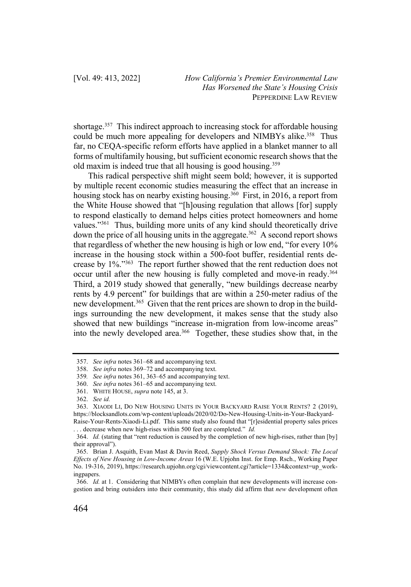shortage.<sup>357</sup> This indirect approach to increasing stock for affordable housing could be much more appealing for developers and NIMBYs alike.<sup>358</sup> Thus far, no CEQA-specific reform efforts have applied in a blanket manner to all forms of multifamily housing, but sufficient economic research shows that the old maxim is indeed true that all housing is good housing.359

This radical perspective shift might seem bold; however, it is supported by multiple recent economic studies measuring the effect that an increase in housing stock has on nearby existing housing.<sup>360</sup> First, in 2016, a report from the White House showed that "[h]ousing regulation that allows [for] supply to respond elastically to demand helps cities protect homeowners and home values."<sup>361</sup> Thus, building more units of any kind should theoretically drive down the price of all housing units in the aggregate.<sup>362</sup> A second report shows that regardless of whether the new housing is high or low end, "for every 10% increase in the housing stock within a 500-foot buffer, residential rents decrease by 1%."363 The report further showed that the rent reduction does not occur until after the new housing is fully completed and move-in ready.364 Third, a 2019 study showed that generally, "new buildings decrease nearby rents by 4.9 percent" for buildings that are within a 250-meter radius of the new development.<sup>365</sup> Given that the rent prices are shown to drop in the buildings surrounding the new development, it makes sense that the study also showed that new buildings "increase in-migration from low-income areas" into the newly developed area.<sup>366</sup> Together, these studies show that, in the

<sup>357.</sup> *See infra* notes 361–68 and accompanying text.

<sup>358.</sup> *See infra* notes 369–72 and accompanying text.

<sup>359</sup>*. See infra* notes 361, 363–65 and accompanying text.

<sup>360.</sup> *See infra* notes 361–65 and accompanying text.

<sup>361.</sup> WHITE HOUSE, *supra* note 145, at 3.

<sup>362.</sup> *See id.*

<sup>363.</sup> XIAODI LI, DO NEW HOUSING UNITS IN YOUR BACKYARD RAISE YOUR RENTS? 2 (2019), https://blocksandlots.com/wp-content/uploads/2020/02/Do-New-Housing-Units-in-Your-Backyard-

Raise-Your-Rents-Xiaodi-Li.pdf. This same study also found that "[r]esidential property sales prices . . . decrease when new high-rises within 500 feet are completed." *Id.*

<sup>364.</sup> *Id.* (stating that "rent reduction is caused by the completion of new high-rises, rather than [by] their approval").

<sup>365.</sup> Brian J. Asquith, Evan Mast & Davin Reed, *Supply Shock Versus Demand Shock: The Local Effects of New Housing in Low-Income Areas* 16 (W.E. Upjohn Inst. for Emp. Rsch., Working Paper No. 19-316, 2019), https://research.upjohn.org/cgi/viewcontent.cgi?article=1334&context=up\_workingpapers.

<sup>366.</sup> *Id.* at 1. Considering that NIMBYs often complain that new developments will increase congestion and bring outsiders into their community, this study did affirm that *new* development often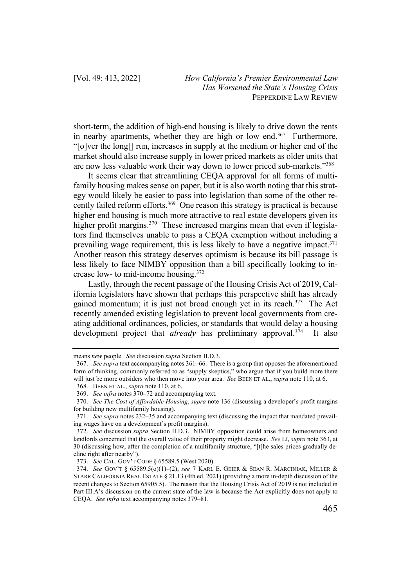short-term, the addition of high-end housing is likely to drive down the rents in nearby apartments, whether they are high or low end.<sup>367</sup> Furthermore, "[o]ver the long[] run, increases in supply at the medium or higher end of the market should also increase supply in lower priced markets as older units that are now less valuable work their way down to lower priced sub-markets."368

It seems clear that streamlining CEQA approval for all forms of multifamily housing makes sense on paper, but it is also worth noting that this strategy would likely be easier to pass into legislation than some of the other recently failed reform efforts.<sup>369</sup> One reason this strategy is practical is because higher end housing is much more attractive to real estate developers given its higher profit margins.<sup>370</sup> These increased margins mean that even if legislators find themselves unable to pass a CEQA exemption without including a prevailing wage requirement, this is less likely to have a negative impact.<sup>371</sup> Another reason this strategy deserves optimism is because its bill passage is less likely to face NIMBY opposition than a bill specifically looking to increase low- to mid-income housing.372

Lastly, through the recent passage of the Housing Crisis Act of 2019, California legislators have shown that perhaps this perspective shift has already gained momentum; it is just not broad enough yet in its reach. $373$  The Act recently amended existing legislation to prevent local governments from creating additional ordinances, policies, or standards that would delay a housing development project that *already* has preliminary approval.<sup>374</sup> It also

means *new* people. *See* discussion *supra* Section II.D.3.

<sup>367.</sup> *See supra* text accompanying notes 361–66. There is a group that opposes the aforementioned form of thinking, commonly referred to as "supply skeptics," who argue that if you build more there will just be more outsiders who then move into your area. *See* BEEN ET AL., *supra* note 110, at 6.

<sup>368.</sup> BEEN ET AL., *supra* note 110, at 6.

<sup>369.</sup> *See infra* notes 370–72 and accompanying text.

<sup>370.</sup> *See The Cost of Affordable Housing*, *supra* note 136 (discussing a developer's profit margins for building new multifamily housing).

<sup>371.</sup> *See supra* notes 232–35 and accompanying text (discussing the impact that mandated prevailing wages have on a development's profit margins).

<sup>372.</sup> *See* discussion *supra* Section II.D.3. NIMBY opposition could arise from homeowners and landlords concerned that the overall value of their property might decrease. *See* LI, *supra* note 363, at 30 (discussing how, after the completion of a multifamily structure, "[t]he sales prices gradually decline right after nearby").

<sup>373.</sup> *See* CAL. GOV'T CODE § 65589.5 (West 2020).

<sup>374.</sup> *See* GOV'T § 65589.5(o)(1)–(2); *see* 7 KARL E. GEIER & SEAN R. MARCINIAK, MILLER & STARR CALIFORNIA REAL ESTATE § 21.13 (4th ed. 2021) (providing a more in-depth discussion of the recent changes to Section 65905.5). The reason that the Housing Crisis Act of 2019 is not included in Part III.A's discussion on the current state of the law is because the Act explicitly does not apply to CEQA. *See infra* text accompanying notes 379–81.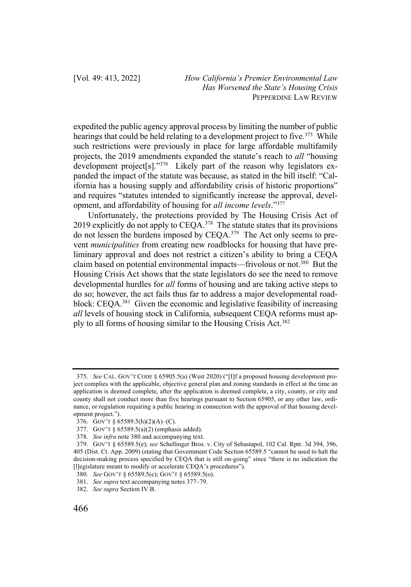expedited the public agency approval process by limiting the number of public hearings that could be held relating to a development project to five.<sup>375</sup> While such restrictions were previously in place for large affordable multifamily projects, the 2019 amendments expanded the statute's reach to *all* "housing development project[s]."376 Likely part of the reason why legislators expanded the impact of the statute was because, as stated in the bill itself: "California has a housing supply and affordability crisis of historic proportions" and requires "statutes intended to significantly increase the approval, development, and affordability of housing for *all income levels*."377

Unfortunately, the protections provided by The Housing Crisis Act of 2019 explicitly do not apply to  $CEQA$ .<sup>378</sup> The statute states that its provisions do not lessen the burdens imposed by CEQA.<sup>379</sup> The Act only seems to prevent *municipalities* from creating new roadblocks for housing that have preliminary approval and does not restrict a citizen's ability to bring a CEQA claim based on potential environmental impacts—frivolous or not.380 But the Housing Crisis Act shows that the state legislators do see the need to remove developmental hurdles for *all* forms of housing and are taking active steps to do so; however, the act fails thus far to address a major developmental roadblock: CEQA.381 Given the economic and legislative feasibility of increasing *all* levels of housing stock in California, subsequent CEQA reforms must apply to all forms of housing similar to the Housing Crisis Act.382

<sup>375.</sup> *See* CAL. GOV'T CODE § 65905.5(a) (West 2020) ("[I]f a proposed housing development project complies with the applicable, objective general plan and zoning standards in effect at the time an application is deemed complete, after the application is deemed complete, a city, county, or city and county shall not conduct more than five hearings pursuant to Section 65905, or any other law, ordinance, or regulation requiring a public hearing in connection with the approval of that housing development project.").

<sup>376.</sup> GOV'T § 65589.5(h)(2)(A)–(C).

<sup>377.</sup> GOV'T § 65589.5(a)(2) (emphasis added).

<sup>378.</sup> *See infra* note 380 and accompanying text.

<sup>379.</sup> GOV'T § 65589.5(e); *see* Schellinger Bros. v. City of Sebastapol, 102 Cal. Rptr. 3d 394, 396, 405 (Dist. Ct. App. 2009) (stating that Government Code Section 65589.5 "cannot be used to halt the decision-making process specified by CEQA that is still on-going" since "there is no indication the [l]egislature meant to modify or accelerate CEQA's procedures").

<sup>380.</sup> *See* GOV'T § 65589.5(e); GOV'T § 65589.5(o).

<sup>381.</sup> *See supra* text accompanying notes 377–79.

<sup>382.</sup> *See supra* Section IV.B.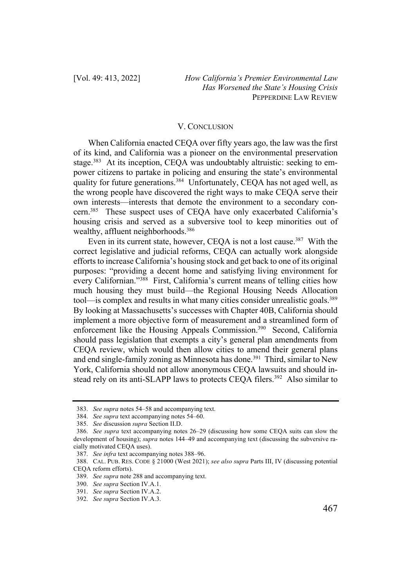#### V. CONCLUSION

When California enacted CEQA over fifty years ago, the law was the first of its kind, and California was a pioneer on the environmental preservation stage.<sup>383</sup> At its inception, CEQA was undoubtably altruistic: seeking to empower citizens to partake in policing and ensuring the state's environmental quality for future generations.<sup>384</sup> Unfortunately, CEQA has not aged well, as the wrong people have discovered the right ways to make CEQA serve their own interests—interests that demote the environment to a secondary concern.385 These suspect uses of CEQA have only exacerbated California's housing crisis and served as a subversive tool to keep minorities out of wealthy, affluent neighborhoods.<sup>386</sup>

Even in its current state, however, CEQA is not a lost cause.<sup>387</sup> With the correct legislative and judicial reforms, CEQA can actually work alongside efforts to increase California's housing stock and get back to one of its original purposes: "providing a decent home and satisfying living environment for every Californian."388 First, California's current means of telling cities how much housing they must build—the Regional Housing Needs Allocation tool—is complex and results in what many cities consider unrealistic goals.<sup>389</sup> By looking at Massachusetts's successes with Chapter 40B, California should implement a more objective form of measurement and a streamlined form of enforcement like the Housing Appeals Commission.<sup>390</sup> Second, California should pass legislation that exempts a city's general plan amendments from CEQA review, which would then allow cities to amend their general plans and end single-family zoning as Minnesota has done.<sup>391</sup> Third, similar to New York, California should not allow anonymous CEQA lawsuits and should instead rely on its anti-SLAPP laws to protects CEQA filers.<sup>392</sup> Also similar to

<sup>383.</sup> *See supra* notes 54–58 and accompanying text.

<sup>384.</sup> *See supra* text accompanying notes 54–60.

<sup>385.</sup> *See* discussion *supra* Section II.D.

<sup>386.</sup> *See supra* text accompanying notes 26–29 (discussing how some CEQA suits can slow the development of housing); *supra* notes 144–49 and accompanying text (discussing the subversive racially motivated CEQA uses).

<sup>387.</sup> *See infra* text accompanying notes 388–96.

<sup>388.</sup> CAL. PUB. RES. CODE § 21000 (West 2021); *see also supra* Parts III, IV (discussing potential CEQA reform efforts).

<sup>389.</sup> *See supra* note 288 and accompanying text.

<sup>390.</sup> *See supra* Section IV.A.1.

<sup>391.</sup> *See supra* Section IV.A.2.

<sup>392.</sup> *See supra* Section IV.A.3.